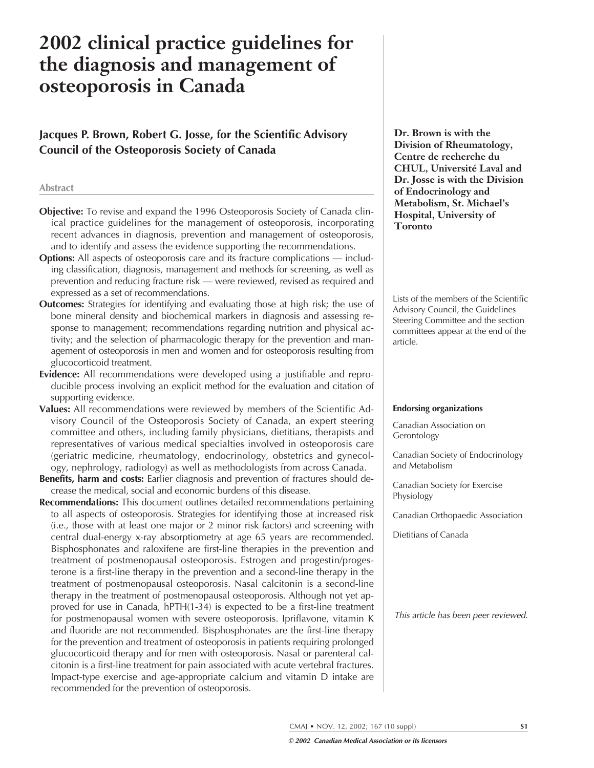# **2002 clinical practice guidelines for the diagnosis and management of osteoporosis in Canada**

**Jacques P. Brown, Robert G. Josse, for the Scientific Advisory Council of the Osteoporosis Society of Canada**

#### **Abstract**

- **Objective:** To revise and expand the 1996 Osteoporosis Society of Canada clinical practice guidelines for the management of osteoporosis, incorporating recent advances in diagnosis, prevention and management of osteoporosis, and to identify and assess the evidence supporting the recommendations.
- **Options:** All aspects of osteoporosis care and its fracture complications including classification, diagnosis, management and methods for screening, as well as prevention and reducing fracture risk — were reviewed, revised as required and expressed as a set of recommendations.
- **Outcomes:** Strategies for identifying and evaluating those at high risk; the use of bone mineral density and biochemical markers in diagnosis and assessing response to management; recommendations regarding nutrition and physical activity; and the selection of pharmacologic therapy for the prevention and management of osteoporosis in men and women and for osteoporosis resulting from glucocorticoid treatment.
- **Evidence:** All recommendations were developed using a justifiable and reproducible process involving an explicit method for the evaluation and citation of supporting evidence.
- **Values:** All recommendations were reviewed by members of the Scientific Advisory Council of the Osteoporosis Society of Canada, an expert steering committee and others, including family physicians, dietitians, therapists and representatives of various medical specialties involved in osteoporosis care (geriatric medicine, rheumatology, endocrinology, obstetrics and gynecology, nephrology, radiology) as well as methodologists from across Canada.
- **Benefits, harm and costs:** Earlier diagnosis and prevention of fractures should decrease the medical, social and economic burdens of this disease.
- **Recommendations:** This document outlines detailed recommendations pertaining to all aspects of osteoporosis. Strategies for identifying those at increased risk (i.e., those with at least one major or 2 minor risk factors) and screening with central dual-energy x-ray absorptiometry at age 65 years are recommended. Bisphosphonates and raloxifene are first-line therapies in the prevention and treatment of postmenopausal osteoporosis. Estrogen and progestin/progesterone is a first-line therapy in the prevention and a second-line therapy in the treatment of postmenopausal osteoporosis. Nasal calcitonin is a second-line therapy in the treatment of postmenopausal osteoporosis. Although not yet approved for use in Canada, hPTH(1-34) is expected to be a first-line treatment for postmenopausal women with severe osteoporosis. Ipriflavone, vitamin K and fluoride are not recommended. Bisphosphonates are the first-line therapy for the prevention and treatment of osteoporosis in patients requiring prolonged glucocorticoid therapy and for men with osteoporosis. Nasal or parenteral calcitonin is a first-line treatment for pain associated with acute vertebral fractures. Impact-type exercise and age-appropriate calcium and vitamin D intake are recommended for the prevention of osteoporosis.

**Dr. Brown is with the Division of Rheumatology, Centre de recherche du CHUL, Université Laval and Dr. Josse is with the Division of Endocrinology and Metabolism, St. Michael's Hospital, University of Toronto**

Lists of the members of the Scientific Advisory Council, the Guidelines Steering Committee and the section committees appear at the end of the article.

#### **Endorsing organizations**

Canadian Association on Gerontology

Canadian Society of Endocrinology and Metabolism

Canadian Society for Exercise Physiology

Canadian Orthopaedic Association

Dietitians of Canada

This article has been peer reviewed.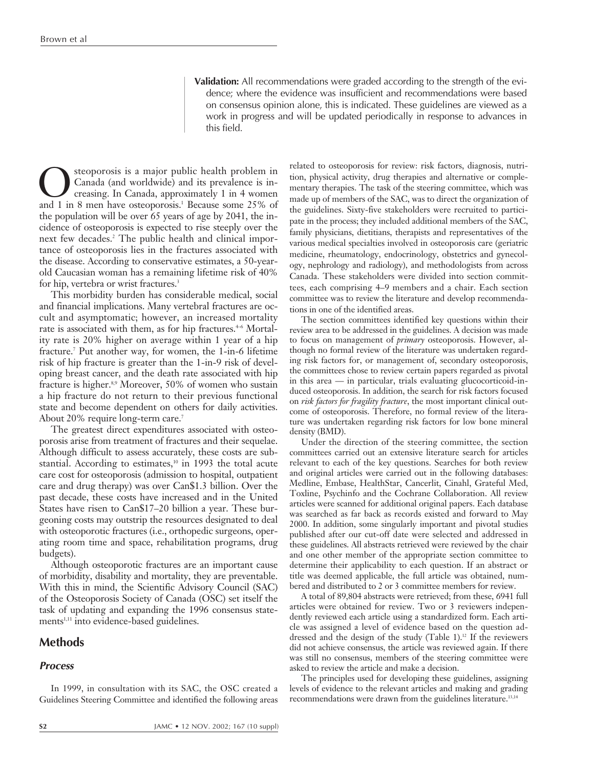**Validation:** All recommendations were graded according to the strength of the evidence; where the evidence was insufficient and recommendations were based on consensus opinion alone, this is indicated. These guidelines are viewed as a work in progress and will be updated periodically in response to advances in this field.

Canada (and worldwide) and its prevalence is increasing. In Canada, approximately 1 in 4 women<br>and 1 in 8 men have osteoporosis.<sup>1</sup> Because some 25% of Canada (and worldwide) and its prevalence is increasing. In Canada, approximately 1 in 4 women and 1 in 8 men have osteoporosis.<sup>1</sup> Because some 25% of the population will be over 65 years of age by 2041, the incidence of osteoporosis is expected to rise steeply over the next few decades.<sup>2</sup> The public health and clinical importance of osteoporosis lies in the fractures associated with the disease. According to conservative estimates, a 50-yearold Caucasian woman has a remaining lifetime risk of 40% for hip, vertebra or wrist fractures.<sup>3</sup>

This morbidity burden has considerable medical, social and financial implications. Many vertebral fractures are occult and asymptomatic; however, an increased mortality rate is associated with them, as for hip fractures.<sup>4-6</sup> Mortality rate is 20% higher on average within 1 year of a hip fracture.7 Put another way, for women, the 1-in-6 lifetime risk of hip fracture is greater than the 1-in-9 risk of developing breast cancer, and the death rate associated with hip fracture is higher.<sup>8,9</sup> Moreover, 50% of women who sustain a hip fracture do not return to their previous functional state and become dependent on others for daily activities. About 20% require long-term care.<sup>7</sup>

The greatest direct expenditures associated with osteoporosis arise from treatment of fractures and their sequelae. Although difficult to assess accurately, these costs are substantial. According to estimates, $10$  in 1993 the total acute care cost for osteoporosis (admission to hospital, outpatient care and drug therapy) was over Can\$1.3 billion. Over the past decade, these costs have increased and in the United States have risen to Can\$17–20 billion a year. These burgeoning costs may outstrip the resources designated to deal with osteoporotic fractures (i.e., orthopedic surgeons, operating room time and space, rehabilitation programs, drug budgets).

Although osteoporotic fractures are an important cause of morbidity, disability and mortality, they are preventable. With this in mind, the Scientific Advisory Council (SAC) of the Osteoporosis Society of Canada (OSC) set itself the task of updating and expanding the 1996 consensus statements<sup>1,11</sup> into evidence-based guidelines.

# **Methods**

## **Process**

In 1999, in consultation with its SAC, the OSC created a Guidelines Steering Committee and identified the following areas related to osteoporosis for review: risk factors, diagnosis, nutrition, physical activity, drug therapies and alternative or complementary therapies. The task of the steering committee, which was made up of members of the SAC, was to direct the organization of the guidelines. Sixty-five stakeholders were recruited to participate in the process; they included additional members of the SAC, family physicians, dietitians, therapists and representatives of the various medical specialties involved in osteoporosis care (geriatric medicine, rheumatology, endocrinology, obstetrics and gynecology, nephrology and radiology), and methodologists from across Canada. These stakeholders were divided into section committees, each comprising 4–9 members and a chair. Each section committee was to review the literature and develop recommendations in one of the identified areas.

The section committees identified key questions within their review area to be addressed in the guidelines. A decision was made to focus on management of *primary* osteoporosis. However, although no formal review of the literature was undertaken regarding risk factors for, or management of, secondary osteoporosis, the committees chose to review certain papers regarded as pivotal in this area — in particular, trials evaluating glucocorticoid-induced osteoporosis. In addition, the search for risk factors focused on *risk factors for fragility fracture*, the most important clinical outcome of osteoporosis. Therefore, no formal review of the literature was undertaken regarding risk factors for low bone mineral density (BMD).

Under the direction of the steering committee, the section committees carried out an extensive literature search for articles relevant to each of the key questions. Searches for both review and original articles were carried out in the following databases: Medline, Embase, HealthStar, Cancerlit, Cinahl, Grateful Med, Toxline, Psychinfo and the Cochrane Collaboration. All review articles were scanned for additional original papers. Each database was searched as far back as records existed and forward to May 2000. In addition, some singularly important and pivotal studies published after our cut-off date were selected and addressed in these guidelines. All abstracts retrieved were reviewed by the chair and one other member of the appropriate section committee to determine their applicability to each question. If an abstract or title was deemed applicable, the full article was obtained, numbered and distributed to 2 or 3 committee members for review.

A total of 89,804 abstracts were retrieved; from these, 6941 full articles were obtained for review. Two or 3 reviewers independently reviewed each article using a standardized form. Each article was assigned a level of evidence based on the question addressed and the design of the study (Table 1).12 If the reviewers did not achieve consensus, the article was reviewed again. If there was still no consensus, members of the steering committee were asked to review the article and make a decision.

The principles used for developing these guidelines, assigning levels of evidence to the relevant articles and making and grading recommendations were drawn from the guidelines literature.13,14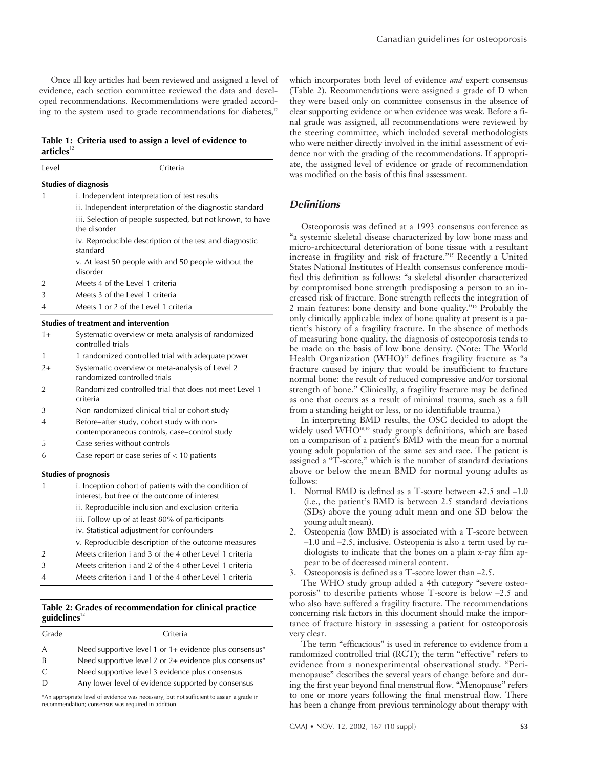Once all key articles had been reviewed and assigned a level of evidence, each section committee reviewed the data and developed recommendations. Recommendations were graded according to the system used to grade recommendations for diabetes,<sup>12</sup>

## **Table 1: Criteria used to assign a level of evidence to** articles<sup>12</sup>

| Level          | Criteria                                                                                               |
|----------------|--------------------------------------------------------------------------------------------------------|
|                | <b>Studies of diagnosis</b>                                                                            |
| 1              | i. Independent interpretation of test results                                                          |
|                | ii. Independent interpretation of the diagnostic standard                                              |
|                | iii. Selection of people suspected, but not known, to have<br>the disorder                             |
|                | iv. Reproducible description of the test and diagnostic<br>standard                                    |
|                | v. At least 50 people with and 50 people without the<br>disorder                                       |
| 2              | Meets 4 of the Level 1 criteria                                                                        |
| 3              | Meets 3 of the Level 1 criteria                                                                        |
| $\overline{A}$ | Meets 1 or 2 of the Level 1 criteria                                                                   |
|                | <b>Studies of treatment and intervention</b>                                                           |
| $1+$           | Systematic overview or meta-analysis of randomized<br>controlled trials                                |
| 1              | 1 randomized controlled trial with adequate power                                                      |
| $2+$           | Systematic overview or meta-analysis of Level 2<br>randomized controlled trials                        |
| 2              | Randomized controlled trial that does not meet Level 1<br>criteria                                     |
| 3              | Non-randomized clinical trial or cohort study                                                          |
| 4              | Before-after study, cohort study with non-<br>contemporaneous controls, case–control study             |
| 5              | Case series without controls                                                                           |
| 6              | Case report or case series of $<$ 10 patients                                                          |
|                | <b>Studies of prognosis</b>                                                                            |
| 1              | i. Inception cohort of patients with the condition of<br>interest, but free of the outcome of interest |
|                | ii. Reproducible inclusion and exclusion criteria                                                      |
|                | iii. Follow-up of at least 80% of participants                                                         |
|                | iv. Statistical adjustment for confounders                                                             |
|                | v. Reproducible description of the outcome measures                                                    |
| $\overline{2}$ | Meets criterion i and 3 of the 4 other Level 1 criteria                                                |

- 3 Meets criterion i and 2 of the 4 other Level 1 criteria
- 4 Meets criterion i and 1 of the 4 other Level 1 criteria

# **Table 2: Grades of recommendation for clinical practice** guidelines<sup>12</sup>

| Grade         | Criteria                                                 |
|---------------|----------------------------------------------------------|
| A             | Need supportive level 1 or 1+ evidence plus consensus*   |
| -B            | Need supportive level 2 or $2+$ evidence plus consensus* |
| $\mathcal{C}$ | Need supportive level 3 evidence plus consensus          |
|               | Any lower level of evidence supported by consensus       |

\*An appropriate level of evidence was necessary, but not sufficient to assign a grade in recommendation; consensus was required in addition.

which incorporates both level of evidence *and* expert consensus (Table 2). Recommendations were assigned a grade of D when they were based only on committee consensus in the absence of clear supporting evidence or when evidence was weak. Before a final grade was assigned, all recommendations were reviewed by the steering committee, which included several methodologists who were neither directly involved in the initial assessment of evidence nor with the grading of the recommendations. If appropriate, the assigned level of evidence or grade of recommendation was modified on the basis of this final assessment.

# **Definitions**

Osteoporosis was defined at a 1993 consensus conference as "a systemic skeletal disease characterized by low bone mass and micro-architectural deterioration of bone tissue with a resultant increase in fragility and risk of fracture."15 Recently a United States National Institutes of Health consensus conference modified this definition as follows: "a skeletal disorder characterized by compromised bone strength predisposing a person to an increased risk of fracture. Bone strength reflects the integration of 2 main features: bone density and bone quality."16 Probably the only clinically applicable index of bone quality at present is a patient's history of a fragility fracture. In the absence of methods of measuring bone quality, the diagnosis of osteoporosis tends to be made on the basis of low bone density. (Note: The World Health Organization (WHO)<sup>17</sup> defines fragility fracture as "a fracture caused by injury that would be insufficient to fracture normal bone: the result of reduced compressive and/or torsional strength of bone." Clinically, a fragility fracture may be defined as one that occurs as a result of minimal trauma, such as a fall from a standing height or less, or no identifiable trauma.)

In interpreting BMD results, the OSC decided to adopt the widely used WHO<sup>18,19</sup> study group's definitions, which are based on a comparison of a patient's BMD with the mean for a normal young adult population of the same sex and race. The patient is assigned a "T-score," which is the number of standard deviations above or below the mean BMD for normal young adults as follows:

- 1. Normal BMD is defined as a T-score between +2.5 and –1.0 (i.e., the patient's BMD is between 2.5 standard deviations (SDs) above the young adult mean and one SD below the young adult mean).
- 2. Osteopenia (low BMD) is associated with a T-score between –1.0 and –2.5, inclusive. Osteopenia is also a term used by radiologists to indicate that the bones on a plain x-ray film appear to be of decreased mineral content.
- 3. Osteoporosis is defined as a T-score lower than –2.5.

The WHO study group added a 4th category "severe osteoporosis" to describe patients whose T-score is below –2.5 and who also have suffered a fragility fracture. The recommendations concerning risk factors in this document should make the importance of fracture history in assessing a patient for osteoporosis very clear.

The term "efficacious" is used in reference to evidence from a randomized controlled trial (RCT); the term "effective" refers to evidence from a nonexperimental observational study. "Perimenopause" describes the several years of change before and during the first year beyond final menstrual flow. "Menopause" refers to one or more years following the final menstrual flow. There has been a change from previous terminology about therapy with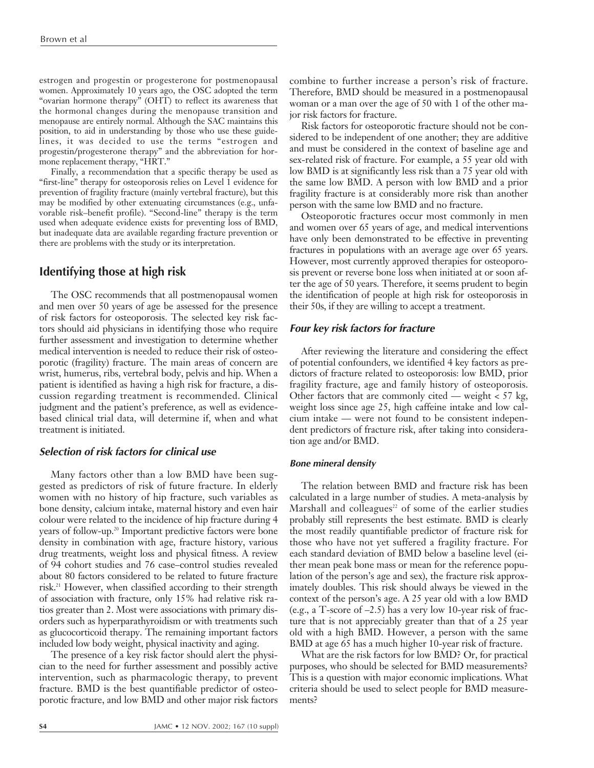estrogen and progestin or progesterone for postmenopausal women. Approximately 10 years ago, the OSC adopted the term "ovarian hormone therapy" (OHT) to reflect its awareness that the hormonal changes during the menopause transition and menopause are entirely normal. Although the SAC maintains this position, to aid in understanding by those who use these guidelines, it was decided to use the terms "estrogen and progestin/progesterone therapy" and the abbreviation for hormone replacement therapy, "HRT."

Finally, a recommendation that a specific therapy be used as "first-line" therapy for osteoporosis relies on Level 1 evidence for prevention of fragility fracture (mainly vertebral fracture), but this may be modified by other extenuating circumstances (e.g., unfavorable risk–benefit profile). "Second-line" therapy is the term used when adequate evidence exists for preventing loss of BMD, but inadequate data are available regarding fracture prevention or there are problems with the study or its interpretation.

# **Identifying those at high risk**

The OSC recommends that all postmenopausal women and men over 50 years of age be assessed for the presence of risk factors for osteoporosis. The selected key risk factors should aid physicians in identifying those who require further assessment and investigation to determine whether medical intervention is needed to reduce their risk of osteoporotic (fragility) fracture. The main areas of concern are wrist, humerus, ribs, vertebral body, pelvis and hip. When a patient is identified as having a high risk for fracture, a discussion regarding treatment is recommended. Clinical judgment and the patient's preference, as well as evidencebased clinical trial data, will determine if, when and what treatment is initiated.

# **Selection of risk factors for clinical use**

Many factors other than a low BMD have been suggested as predictors of risk of future fracture. In elderly women with no history of hip fracture, such variables as bone density, calcium intake, maternal history and even hair colour were related to the incidence of hip fracture during 4 years of follow-up.20 Important predictive factors were bone density in combination with age, fracture history, various drug treatments, weight loss and physical fitness. A review of 94 cohort studies and 76 case–control studies revealed about 80 factors considered to be related to future fracture risk.21 However, when classified according to their strength of association with fracture, only 15% had relative risk ratios greater than 2. Most were associations with primary disorders such as hyperparathyroidism or with treatments such as glucocorticoid therapy. The remaining important factors included low body weight, physical inactivity and aging.

The presence of a key risk factor should alert the physician to the need for further assessment and possibly active intervention, such as pharmacologic therapy, to prevent fracture. BMD is the best quantifiable predictor of osteoporotic fracture, and low BMD and other major risk factors combine to further increase a person's risk of fracture. Therefore, BMD should be measured in a postmenopausal woman or a man over the age of 50 with 1 of the other major risk factors for fracture.

Risk factors for osteoporotic fracture should not be considered to be independent of one another; they are additive and must be considered in the context of baseline age and sex-related risk of fracture. For example, a 55 year old with low BMD is at significantly less risk than a 75 year old with the same low BMD. A person with low BMD and a prior fragility fracture is at considerably more risk than another person with the same low BMD and no fracture.

Osteoporotic fractures occur most commonly in men and women over 65 years of age, and medical interventions have only been demonstrated to be effective in preventing fractures in populations with an average age over 65 years. However, most currently approved therapies for osteoporosis prevent or reverse bone loss when initiated at or soon after the age of 50 years. Therefore, it seems prudent to begin the identification of people at high risk for osteoporosis in their 50s, if they are willing to accept a treatment.

# **Four key risk factors for fracture**

After reviewing the literature and considering the effect of potential confounders, we identified 4 key factors as predictors of fracture related to osteoporosis: low BMD, prior fragility fracture, age and family history of osteoporosis. Other factors that are commonly cited — weight  $<$  57 kg, weight loss since age 25, high caffeine intake and low calcium intake — were not found to be consistent independent predictors of fracture risk, after taking into consideration age and/or BMD.

# **Bone mineral density**

The relation between BMD and fracture risk has been calculated in a large number of studies. A meta-analysis by Marshall and colleagues<sup>22</sup> of some of the earlier studies probably still represents the best estimate. BMD is clearly the most readily quantifiable predictor of fracture risk for those who have not yet suffered a fragility fracture. For each standard deviation of BMD below a baseline level (either mean peak bone mass or mean for the reference population of the person's age and sex), the fracture risk approximately doubles. This risk should always be viewed in the context of the person's age. A 25 year old with a low BMD (e.g., a T-score of –2.5) has a very low 10-year risk of fracture that is not appreciably greater than that of a 25 year old with a high BMD. However, a person with the same BMD at age 65 has a much higher 10-year risk of fracture.

What are the risk factors for low BMD? Or, for practical purposes, who should be selected for BMD measurements? This is a question with major economic implications. What criteria should be used to select people for BMD measurements?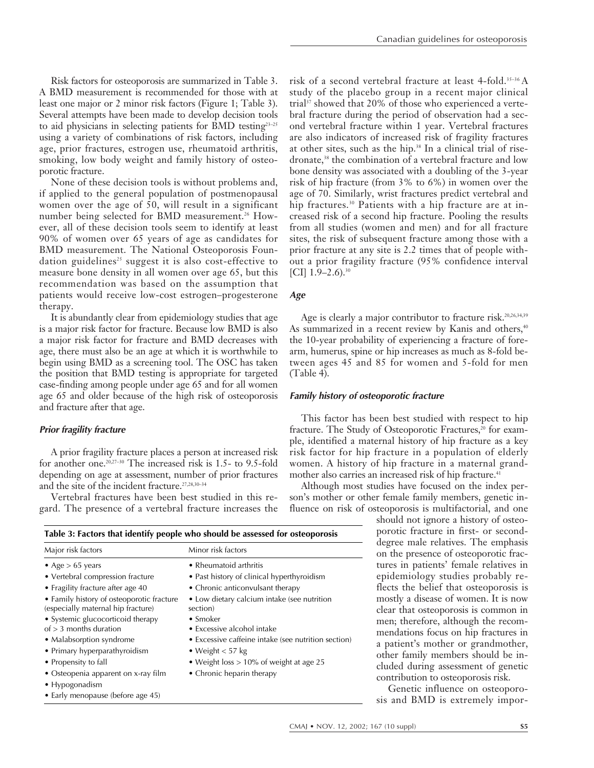Risk factors for osteoporosis are summarized in Table 3. A BMD measurement is recommended for those with at least one major or 2 minor risk factors (Figure 1; Table 3). Several attempts have been made to develop decision tools to aid physicians in selecting patients for BMD testing<sup>23-25</sup> using a variety of combinations of risk factors, including age, prior fractures, estrogen use, rheumatoid arthritis, smoking, low body weight and family history of osteoporotic fracture.

None of these decision tools is without problems and, if applied to the general population of postmenopausal women over the age of 50, will result in a significant number being selected for BMD measurement.<sup>26</sup> However, all of these decision tools seem to identify at least 90% of women over 65 years of age as candidates for BMD measurement. The National Osteoporosis Foundation guidelines<sup>25</sup> suggest it is also cost-effective to measure bone density in all women over age 65, but this recommendation was based on the assumption that patients would receive low-cost estrogen–progesterone therapy.

It is abundantly clear from epidemiology studies that age is a major risk factor for fracture. Because low BMD is also a major risk factor for fracture and BMD decreases with age, there must also be an age at which it is worthwhile to begin using BMD as a screening tool. The OSC has taken the position that BMD testing is appropriate for targeted case-finding among people under age 65 and for all women age 65 and older because of the high risk of osteoporosis and fracture after that age.

# **Prior fragility fracture**

A prior fragility fracture places a person at increased risk for another one.20,27–30 The increased risk is 1.5- to 9.5-fold depending on age at assessment, number of prior fractures and the site of the incident fracture.<sup>27,28,30-34</sup>

Vertebral fractures have been best studied in this regard. The presence of a vertebral fracture increases the

| risk of a second vertebral fracture at least 4-fold. <sup>35-36</sup> A     |
|-----------------------------------------------------------------------------|
| study of the placebo group in a recent major clinical                       |
| trial <sup>37</sup> showed that 20% of those who experienced a verte-       |
| bral fracture during the period of observation had a sec-                   |
| ond vertebral fracture within 1 year. Vertebral fractures                   |
| are also indicators of increased risk of fragility fractures                |
| at other sites, such as the hip. <sup>38</sup> In a clinical trial of rise- |
| dronate, <sup>38</sup> the combination of a vertebral fracture and low      |
| bone density was associated with a doubling of the 3-year                   |
| risk of hip fracture (from $3\%$ to $6\%$ ) in women over the               |
| age of 70. Similarly, wrist fractures predict vertebral and                 |
| hip fractures. <sup>30</sup> Patients with a hip fracture are at in-        |
| creased risk of a second hip fracture. Pooling the results                  |
| from all studies (women and men) and for all fracture                       |
| sites, the risk of subsequent fracture among those with a                   |
| prior fracture at any site is 2.2 times that of people with-                |
| out a prior fragility fracture (95% confidence interval                     |
| [CI] $1.9-2.6$ ). <sup>30</sup>                                             |

## **Age**

Age is clearly a major contributor to fracture risk.<sup>20,26,34,39</sup> As summarized in a recent review by Kanis and others,<sup>40</sup> the 10-year probability of experiencing a fracture of forearm, humerus, spine or hip increases as much as 8-fold between ages 45 and 85 for women and 5-fold for men (Table 4).

## **Family history of osteoporotic fracture**

This factor has been best studied with respect to hip fracture. The Study of Osteoporotic Fractures,<sup>20</sup> for example, identified a maternal history of hip fracture as a key risk factor for hip fracture in a population of elderly women. A history of hip fracture in a maternal grandmother also carries an increased risk of hip fracture.<sup>41</sup>

Although most studies have focused on the index person's mother or other female family members, genetic influence on risk of osteoporosis is multifactorial, and one

> should not ignore a history of osteoporotic fracture in first- or seconddegree male relatives. The emphasis on the presence of osteoporotic fractures in patients' female relatives in epidemiology studies probably reflects the belief that osteoporosis is mostly a disease of women. It is now clear that osteoporosis is common in men; therefore, although the recommendations focus on hip fractures in a patient's mother or grandmother, other family members should be included during assessment of genetic contribution to osteoporosis risk.

> Genetic influence on osteoporosis and BMD is extremely impor-

| Major risk factors                                                              | Minor risk factors                                      |  |  |  |
|---------------------------------------------------------------------------------|---------------------------------------------------------|--|--|--|
| • Age $> 65$ years                                                              | • Rheumatoid arthritis                                  |  |  |  |
| • Vertebral compression fracture                                                | • Past history of clinical hyperthyroidism              |  |  |  |
| • Fragility fracture after age 40                                               | • Chronic anticonvulsant therapy                        |  |  |  |
| • Family history of osteoporotic fracture<br>(especially maternal hip fracture) | • Low dietary calcium intake (see nutrition<br>section) |  |  |  |
| • Systemic glucocorticoid therapy<br>of $> 3$ months duration                   | $\bullet$ Smoker<br>• Excessive alcohol intake          |  |  |  |
| • Malabsorption syndrome                                                        | • Excessive caffeine intake (see nutrition section)     |  |  |  |
| • Primary hyperparathyroidism                                                   | • Weight $< 57$ kg                                      |  |  |  |
| • Propensity to fall                                                            | • Weight loss $> 10\%$ of weight at age 25              |  |  |  |
| • Osteopenia apparent on x-ray film                                             | • Chronic heparin therapy                               |  |  |  |
| $\bullet$ Hypogonadism                                                          |                                                         |  |  |  |
| • Early menopause (before age 45)                                               |                                                         |  |  |  |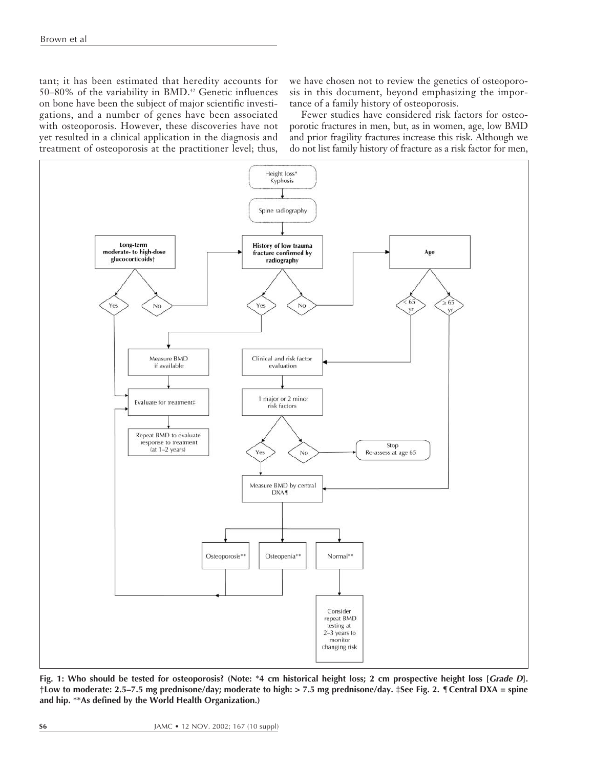tant; it has been estimated that heredity accounts for 50–80% of the variability in BMD.42 Genetic influences on bone have been the subject of major scientific investigations, and a number of genes have been associated with osteoporosis. However, these discoveries have not yet resulted in a clinical application in the diagnosis and treatment of osteoporosis at the practitioner level; thus,

we have chosen not to review the genetics of osteoporosis in this document, beyond emphasizing the importance of a family history of osteoporosis.

Fewer studies have considered risk factors for osteoporotic fractures in men, but, as in women, age, low BMD and prior fragility fractures increase this risk. Although we do not list family history of fracture as a risk factor for men,



**Fig. 1: Who should be tested for osteoporosis? (Note:** \***4 cm historical height loss; 2 cm prospective height loss [Grade D].** †**Low to moderate: 2.5–7.5 mg prednisone/day; moderate to high: > 7.5 mg prednisone/day.** ‡**See Fig. 2.** ¶**Central DXA = spine and hip. \*\*As defined by the World Health Organization.)**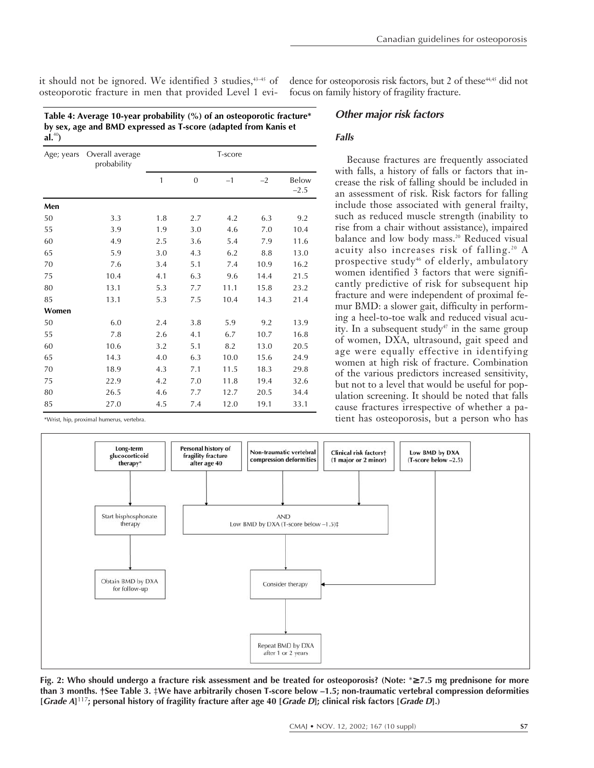it should not be ignored. We identified 3 studies, $43-45$  of dence for osteoporosis risk factors, but 2 of these $44,45$  did not osteoporotic fracture in men that provided Level 1 evi-

**Table 4: Average 10-year probability (%) of an osteoporotic fracture\* by sex, age and BMD expressed as T-score (adapted from Kanis et al.**<sup>40</sup>**)**

|  | <b>Other major risk factors</b> |
|--|---------------------------------|
|  |                                 |

focus on family history of fragility fracture.

# **Falls**

| Age; years | Overall average<br>probability | T-score |                |      |      |                 |
|------------|--------------------------------|---------|----------------|------|------|-----------------|
|            |                                | 1       | $\overline{0}$ | $-1$ | $-2$ | Below<br>$-2.5$ |
| Men        |                                |         |                |      |      |                 |
| 50         | 3.3                            | 1.8     | 2.7            | 4.2  | 6.3  | 9.2             |
| 55         | 3.9                            | 1.9     | 3.0            | 4.6  | 7.0  | 10.4            |
| 60         | 4.9                            | 2.5     | 3.6            | 5.4  | 7.9  | 11.6            |
| 65         | 5.9                            | 3.0     | 4.3            | 6.2  | 8.8  | 13.0            |
| 70         | 7.6                            | 3.4     | 5.1            | 7.4  | 10.9 | 16.2            |
| 75         | 10.4                           | 4.1     | 6.3            | 9.6  | 14.4 | 21.5            |
| 80         | 13.1                           | 5.3     | 7.7            | 11.1 | 15.8 | 23.2            |
| 85         | 13.1                           | 5.3     | 7.5            | 10.4 | 14.3 | 21.4            |
| Women      |                                |         |                |      |      |                 |
| 50         | 6.0                            | 2.4     | 3.8            | 5.9  | 9.2  | 13.9            |
| 55         | 7.8                            | 2.6     | 4.1            | 6.7  | 10.7 | 16.8            |
| 60         | 10.6                           | 3.2     | 5.1            | 8.2  | 13.0 | 20.5            |
| 65         | 14.3                           | 4.0     | 6.3            | 10.0 | 15.6 | 24.9            |
| 70         | 18.9                           | 4.3     | 7.1            | 11.5 | 18.3 | 29.8            |
| 75         | 22.9                           | 4.2     | 7.0            | 11.8 | 19.4 | 32.6            |
| 80         | 26.5                           | 4.6     | 7.7            | 12.7 | 20.5 | 34.4            |
| 85         | 27.0                           | 4.5     | 7.4            | 12.0 | 19.1 | 33.1            |

\*Wrist, hip, proximal humerus, vertebra.

Because fractures are frequently associated with falls, a history of falls or factors that increase the risk of falling should be included in an assessment of risk. Risk factors for falling include those associated with general frailty, such as reduced muscle strength (inability to rise from a chair without assistance), impaired balance and low body mass.<sup>20</sup> Reduced visual acuity also increases risk of falling.<sup>20</sup> A prospective study<sup>46</sup> of elderly, ambulatory women identified 3 factors that were significantly predictive of risk for subsequent hip fracture and were independent of proximal femur BMD: a slower gait, difficulty in performing a heel-to-toe walk and reduced visual acuity. In a subsequent study<sup>47</sup> in the same group of women, DXA, ultrasound, gait speed and age were equally effective in identifying women at high risk of fracture. Combination of the various predictors increased sensitivity, but not to a level that would be useful for population screening. It should be noted that falls cause fractures irrespective of whether a patient has osteoporosis, but a person who has



**Fig. 2: Who should undergo a fracture risk assessment and be treated for osteoporosis? (Note:** \*≥ **7.5 mg prednisone for more than 3 months. †See Table 3.** ‡**We have arbitrarily chosen T-score below –1.5; non-traumatic vertebral compression deformities [Grade A]** <sup>117</sup>**; personal history of fragility fracture after age 40 [Grade D]; clinical risk factors [Grade D].)**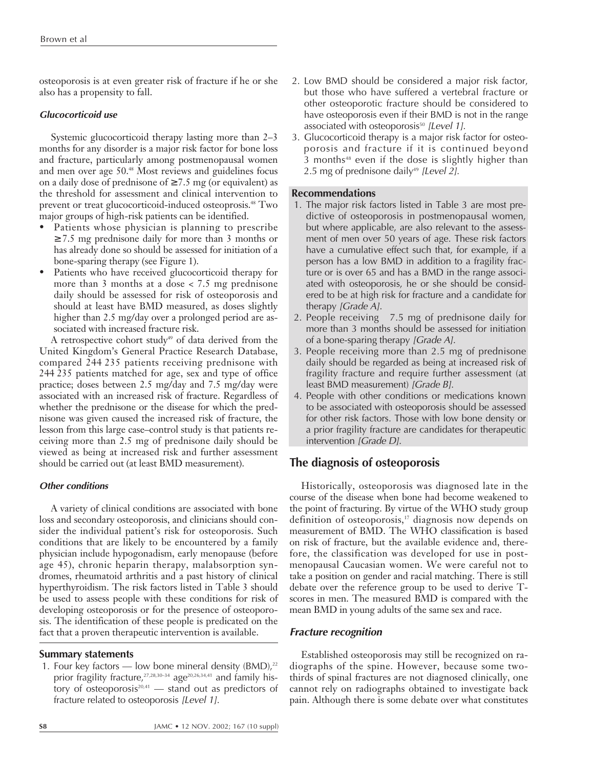osteoporosis is at even greater risk of fracture if he or she also has a propensity to fall.

# **Glucocorticoid use**

Systemic glucocorticoid therapy lasting more than 2–3 months for any disorder is a major risk factor for bone loss and fracture, particularly among postmenopausal women and men over age 50.48 Most reviews and guidelines focus on a daily dose of prednisone of  $\geq 7.5$  mg (or equivalent) as the threshold for assessment and clinical intervention to prevent or treat glucocorticoid-induced osteoprosis.48 Two major groups of high-risk patients can be identified.

- Patients whose physician is planning to prescribe ≥ 7.5 mg prednisone daily for more than 3 months or has already done so should be assessed for initiation of a bone-sparing therapy (see Figure 1).
- Patients who have received glucocorticoid therapy for more than 3 months at a dose < 7.5 mg prednisone daily should be assessed for risk of osteoporosis and should at least have BMD measured, as doses slightly higher than 2.5 mg/day over a prolonged period are associated with increased fracture risk.

A retrospective cohort study<sup>49</sup> of data derived from the United Kingdom's General Practice Research Database, compared 244 235 patients receiving prednisone with 244 235 patients matched for age, sex and type of office practice; doses between 2.5 mg/day and 7.5 mg/day were associated with an increased risk of fracture. Regardless of whether the prednisone or the disease for which the prednisone was given caused the increased risk of fracture, the lesson from this large case–control study is that patients receiving more than 2.5 mg of prednisone daily should be viewed as being at increased risk and further assessment should be carried out (at least BMD measurement).

## **Other conditions**

A variety of clinical conditions are associated with bone loss and secondary osteoporosis, and clinicians should consider the individual patient's risk for osteoporosis. Such conditions that are likely to be encountered by a family physician include hypogonadism, early menopause (before age 45), chronic heparin therapy, malabsorption syndromes, rheumatoid arthritis and a past history of clinical hyperthyroidism. The risk factors listed in Table 3 should be used to assess people with these conditions for risk of developing osteoporosis or for the presence of osteoporosis. The identification of these people is predicated on the fact that a proven therapeutic intervention is available.

## **Summary statements**

1. Four key factors — low bone mineral density  $(BMD)<sub>2</sub>$ <sup>22</sup> prior fragility fracture,<sup>27,28,30-34</sup> age<sup>20,26,34,41</sup> and family history of osteoporosis<sup>20,41</sup> — stand out as predictors of fracture related to osteoporosis [Level 1].

- 2. Low BMD should be considered a major risk factor, but those who have suffered a vertebral fracture or other osteoporotic fracture should be considered to have osteoporosis even if their BMD is not in the range associated with osteoporosis<sup>50</sup> [Level 1].
- 3. Glucocorticoid therapy is a major risk factor for osteoporosis and fracture if it is continued beyond 3 months<sup>48</sup> even if the dose is slightly higher than 2.5 mg of prednisone daily<sup>49</sup> [Level 2].

# **Recommendations**

- 1. The major risk factors listed in Table 3 are most predictive of osteoporosis in postmenopausal women, but where applicable, are also relevant to the assessment of men over 50 years of age. These risk factors have a cumulative effect such that, for example, if a person has a low BMD in addition to a fragility fracture or is over 65 and has a BMD in the range associated with osteoporosis, he or she should be considered to be at high risk for fracture and a candidate for therapy [Grade A].
- 2. People receiving 7.5 mg of prednisone daily for more than 3 months should be assessed for initiation of a bone-sparing therapy [Grade A].
- 3. People receiving more than 2.5 mg of prednisone daily should be regarded as being at increased risk of fragility fracture and require further assessment (at least BMD measurement) [Grade B].
- 4. People with other conditions or medications known to be associated with osteoporosis should be assessed for other risk factors. Those with low bone density or a prior fragility fracture are candidates for therapeutic intervention [Grade D].

# **The diagnosis of osteoporosis**

Historically, osteoporosis was diagnosed late in the course of the disease when bone had become weakened to the point of fracturing. By virtue of the WHO study group definition of osteoporosis,<sup>17</sup> diagnosis now depends on measurement of BMD. The WHO classification is based on risk of fracture, but the available evidence and, therefore, the classification was developed for use in postmenopausal Caucasian women. We were careful not to take a position on gender and racial matching. There is still debate over the reference group to be used to derive Tscores in men. The measured BMD is compared with the mean BMD in young adults of the same sex and race.

# **Fracture recognition**

Established osteoporosis may still be recognized on radiographs of the spine. However, because some twothirds of spinal fractures are not diagnosed clinically, one cannot rely on radiographs obtained to investigate back pain. Although there is some debate over what constitutes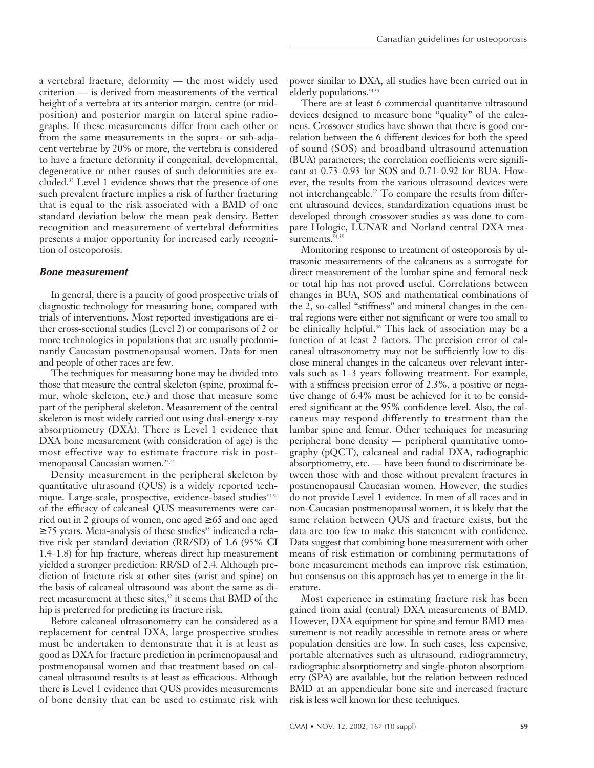a vertebral fracture, deformity — the most widely used criterion — is derived from measurements of the vertical height of a vertebra at its anterior margin, centre (or midposition) and posterior margin on lateral spine radiographs. If these measurements differ from each other or from the same measurements in the supra- or sub-adjacent vertebrae by 20% or more, the vertebra is considered to have a fracture deformity if congenital, developmental, degenerative or other causes of such deformities are excluded.33 Level 1 evidence shows that the presence of one such prevalent fracture implies a risk of further fracturing that is equal to the risk associated with a BMD of one standard deviation below the mean peak density. Better recognition and measurement of vertebral deformities presents a major opportunity for increased early recognition of osteoporosis.

#### **Bone measurement**

In general, there is a paucity of good prospective trials of diagnostic technology for measuring bone, compared with trials of interventions. Most reported investigations are either cross-sectional studies (Level 2) or comparisons of 2 or more technologies in populations that are usually predominantly Caucasian postmenopausal women. Data for men and people of other races are few.

The techniques for measuring bone may be divided into those that measure the central skeleton (spine, proximal femur, whole skeleton, etc.) and those that measure some part of the peripheral skeleton. Measurement of the central skeleton is most widely carried out using dual-energy x-ray absorptiometry (DXA). There is Level 1 evidence that DXA bone measurement (with consideration of age) is the most effective way to estimate fracture risk in postmenopausal Caucasian women.<sup>22,41</sup>

Density measurement in the peripheral skeleton by quantitative ultrasound (QUS) is a widely reported technique. Large-scale, prospective, evidence-based studies<sup>51,52</sup> of the efficacy of calcaneal QUS measurements were carried out in 2 groups of women, one aged  $\geq 65$  and one aged  $\geq$  75 years. Meta-analysis of these studies<sup>53</sup> indicated a relative risk per standard deviation (RR/SD) of 1.6 (95% CI 1.4–1.8) for hip fracture, whereas direct hip measurement yielded a stronger prediction: RR/SD of 2.4. Although prediction of fracture risk at other sites (wrist and spine) on the basis of calcaneal ultrasound was about the same as direct measurement at these sites,<sup>52</sup> it seems that BMD of the hip is preferred for predicting its fracture risk.

Before calcaneal ultrasonometry can be considered as a replacement for central DXA, large prospective studies must be undertaken to demonstrate that it is at least as good as DXA for fracture prediction in perimenopausal and postmenopausal women and that treatment based on calcaneal ultrasound results is at least as efficacious. Although there is Level 1 evidence that QUS provides measurements of bone density that can be used to estimate risk with power similar to DXA, all studies have been carried out in elderly populations.<sup>54,55</sup>

There are at least 6 commercial quantitative ultrasound devices designed to measure bone "quality" of the calcaneus. Crossover studies have shown that there is good correlation between the 6 different devices for both the speed of sound (SOS) and broadband ultrasound attenuation (BUA) parameters; the correlation coefficients were significant at 0.73–0.93 for SOS and 0.71–0.92 for BUA. However, the results from the various ultrasound devices were not interchangeable.<sup>52</sup> To compare the results from different ultrasound devices, standardization equations must be developed through crossover studies as was done to compare Hologic, LUNAR and Norland central DXA measurements.<sup>54,55</sup>

Monitoring response to treatment of osteoporosis by ultrasonic measurements of the calcaneus as a surrogate for direct measurement of the lumbar spine and femoral neck or total hip has not proved useful. Correlations between changes in BUA, SOS and mathematical combinations of the 2, so-called "stiffness" and mineral changes in the central regions were either not significant or were too small to be clinically helpful.<sup>56</sup> This lack of association may be a function of at least 2 factors. The precision error of calcaneal ultrasonometry may not be sufficiently low to disclose mineral changes in the calcaneus over relevant intervals such as 1–3 years following treatment. For example, with a stiffness precision error of 2.3%, a positive or negative change of 6.4% must be achieved for it to be considered significant at the 95% confidence level. Also, the calcaneus may respond differently to treatment than the lumbar spine and femur. Other techniques for measuring peripheral bone density — peripheral quantitative tomography (pQCT), calcaneal and radial DXA, radiographic absorptiometry, etc. — have been found to discriminate between those with and those without prevalent fractures in postmenopausal Caucasian women. However, the studies do not provide Level 1 evidence. In men of all races and in non-Caucasian postmenopausal women, it is likely that the same relation between QUS and fracture exists, but the data are too few to make this statement with confidence. Data suggest that combining bone measurement with other means of risk estimation or combining permutations of bone measurement methods can improve risk estimation, but consensus on this approach has yet to emerge in the literature.

Most experience in estimating fracture risk has been gained from axial (central) DXA measurements of BMD. However, DXA equipment for spine and femur BMD measurement is not readily accessible in remote areas or where population densities are low. In such cases, less expensive, portable alternatives such as ultrasound, radiogrammetry, radiographic absorptiometry and single-photon absorptiometry (SPA) are available, but the relation between reduced BMD at an appendicular bone site and increased fracture risk is less well known for these techniques.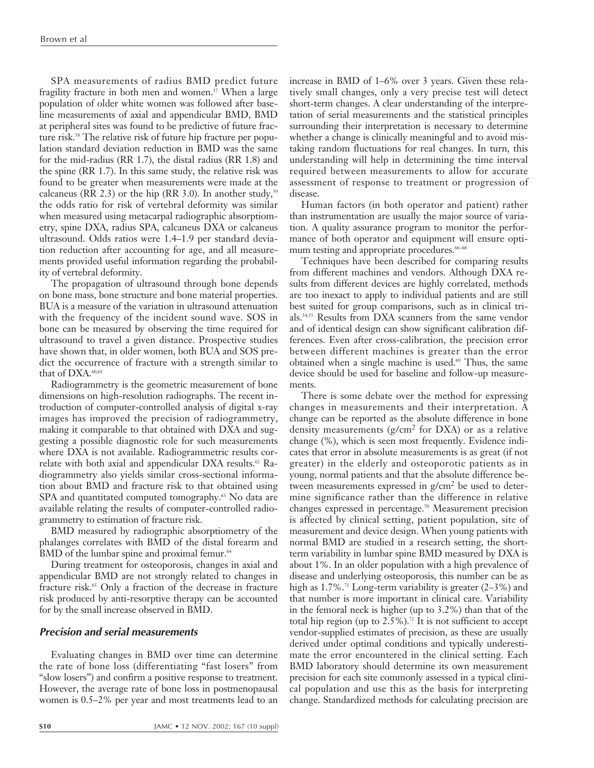SPA measurements of radius BMD predict future fragility fracture in both men and women.<sup>57</sup> When a large population of older white women was followed after baseline measurements of axial and appendicular BMD, BMD at peripheral sites was found to be predictive of future fracture risk.<sup>58</sup> The relative risk of future hip fracture per population standard deviation reduction in BMD was the same for the mid-radius (RR 1.7), the distal radius (RR 1.8) and the spine (RR 1.7). In this same study, the relative risk was found to be greater when measurements were made at the calcaneus (RR 2.3) or the hip (RR 3.0). In another study,<sup>59</sup> the odds ratio for risk of vertebral deformity was similar when measured using metacarpal radiographic absorptiometry, spine DXA, radius SPA, calcaneus DXA or calcaneus ultrasound. Odds ratios were 1.4–1.9 per standard deviation reduction after accounting for age, and all measurements provided useful information regarding the probability of vertebral deformity.

The propagation of ultrasound through bone depends on bone mass, bone structure and bone material properties. BUA is a measure of the variation in ultrasound attenuation with the frequency of the incident sound wave. SOS in bone can be measured by observing the time required for ultrasound to travel a given distance. Prospective studies have shown that, in older women, both BUA and SOS predict the occurrence of fracture with a strength similar to that of DXA.<sup>60,61</sup>

Radiogrammetry is the geometric measurement of bone dimensions on high-resolution radiographs. The recent introduction of computer-controlled analysis of digital x-ray images has improved the precision of radiogrammetry, making it comparable to that obtained with DXA and suggesting a possible diagnostic role for such measurements where DXA is not available. Radiogrammetric results correlate with both axial and appendicular DXA results.<sup>62</sup> Radiogrammetry also yields similar cross-sectional information about BMD and fracture risk to that obtained using SPA and quantitated computed tomography.<sup>63</sup> No data are available relating the results of computer-controlled radiogrammetry to estimation of fracture risk.

BMD measured by radiographic absorptiometry of the phalanges correlates with BMD of the distal forearm and BMD of the lumbar spine and proximal femur.<sup>64</sup>

During treatment for osteoporosis, changes in axial and appendicular BMD are not strongly related to changes in fracture risk.<sup>65</sup> Only a fraction of the decrease in fracture risk produced by anti-resorptive therapy can be accounted for by the small increase observed in BMD.

## **Precision and serial measurements**

Evaluating changes in BMD over time can determine the rate of bone loss (differentiating "fast losers" from "slow losers") and confirm a positive response to treatment. However, the average rate of bone loss in postmenopausal women is 0.5–2% per year and most treatments lead to an

increase in BMD of 1–6% over 3 years. Given these relatively small changes, only a very precise test will detect short-term changes. A clear understanding of the interpretation of serial measurements and the statistical principles surrounding their interpretation is necessary to determine whether a change is clinically meaningful and to avoid mistaking random fluctuations for real changes. In turn, this understanding will help in determining the time interval required between measurements to allow for accurate assessment of response to treatment or progression of disease.

Human factors (in both operator and patient) rather than instrumentation are usually the major source of variation. A quality assurance program to monitor the performance of both operator and equipment will ensure optimum testing and appropriate procedures.<sup>66-68</sup>

Techniques have been described for comparing results from different machines and vendors. Although DXA results from different devices are highly correlated, methods are too inexact to apply to individual patients and are still best suited for group comparisons, such as in clinical trials.54,55 Results from DXA scanners from the same vendor and of identical design can show significant calibration differences. Even after cross-calibration, the precision error between different machines is greater than the error obtained when a single machine is used.<sup>69</sup> Thus, the same device should be used for baseline and follow-up measurements.

There is some debate over the method for expressing changes in measurements and their interpretation. A change can be reported as the absolute difference in bone density measurements ( $g/cm<sup>2</sup>$  for DXA) or as a relative change (%), which is seen most frequently. Evidence indicates that error in absolute measurements is as great (if not greater) in the elderly and osteoporotic patients as in young, normal patients and that the absolute difference between measurements expressed in  $g/cm<sup>2</sup>$  be used to determine significance rather than the difference in relative changes expressed in percentage.70 Measurement precision is affected by clinical setting, patient population, site of measurement and device design. When young patients with normal BMD are studied in a research setting, the shortterm variability in lumbar spine BMD measured by DXA is about 1%. In an older population with a high prevalence of disease and underlying osteoporosis, this number can be as high as  $1.7\%$ .<sup>71</sup> Long-term variability is greater  $(2-3\%)$  and that number is more important in clinical care. Variability in the femoral neck is higher (up to 3.2%) than that of the total hip region (up to  $2.5\%$ ).<sup>72</sup> It is not sufficient to accept vendor-supplied estimates of precision, as these are usually derived under optimal conditions and typically underestimate the error encountered in the clinical setting. Each BMD laboratory should determine its own measurement precision for each site commonly assessed in a typical clinical population and use this as the basis for interpreting change. Standardized methods for calculating precision are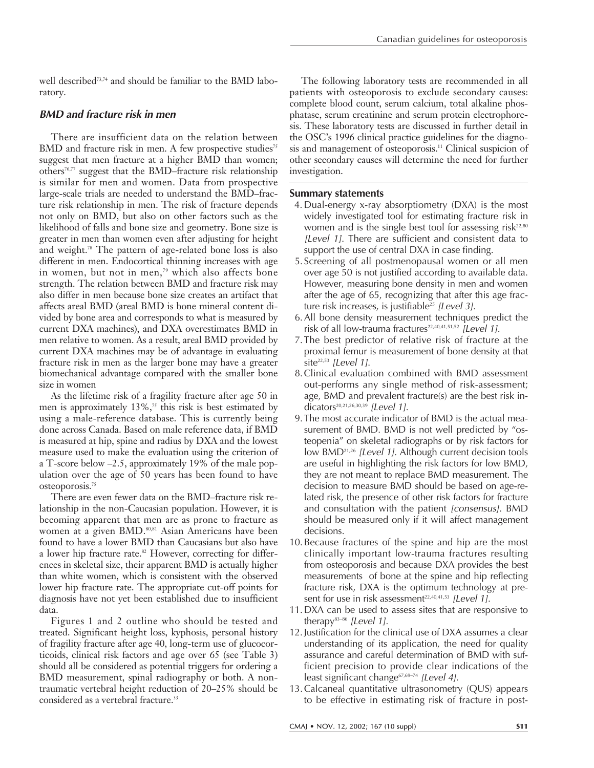well described73,74 and should be familiar to the BMD laboratory.

# **BMD and fracture risk in men**

There are insufficient data on the relation between BMD and fracture risk in men. A few prospective studies<sup>75</sup> suggest that men fracture at a higher BMD than women; others76,77 suggest that the BMD–fracture risk relationship is similar for men and women. Data from prospective large-scale trials are needed to understand the BMD–fracture risk relationship in men. The risk of fracture depends not only on BMD, but also on other factors such as the likelihood of falls and bone size and geometry. Bone size is greater in men than women even after adjusting for height and weight.78 The pattern of age-related bone loss is also different in men. Endocortical thinning increases with age in women, but not in men,<sup>79</sup> which also affects bone strength. The relation between BMD and fracture risk may also differ in men because bone size creates an artifact that affects areal BMD (areal BMD is bone mineral content divided by bone area and corresponds to what is measured by current DXA machines), and DXA overestimates BMD in men relative to women. As a result, areal BMD provided by current DXA machines may be of advantage in evaluating fracture risk in men as the larger bone may have a greater biomechanical advantage compared with the smaller bone size in women

As the lifetime risk of a fragility fracture after age 50 in men is approximately  $13\%$ ,<sup>75</sup> this risk is best estimated by using a male-reference database. This is currently being done across Canada. Based on male reference data, if BMD is measured at hip, spine and radius by DXA and the lowest measure used to make the evaluation using the criterion of a T-score below –2.5, approximately 19% of the male population over the age of 50 years has been found to have osteoporosis.75

There are even fewer data on the BMD–fracture risk relationship in the non-Caucasian population. However, it is becoming apparent that men are as prone to fracture as women at a given BMD.<sup>80,81</sup> Asian Americans have been found to have a lower BMD than Caucasians but also have a lower hip fracture rate.<sup>82</sup> However, correcting for differences in skeletal size, their apparent BMD is actually higher than white women, which is consistent with the observed lower hip fracture rate. The appropriate cut-off points for diagnosis have not yet been established due to insufficient data.

Figures 1and 2 outline who should be tested and treated. Significant height loss, kyphosis, personal history of fragility fracture after age 40, long-term use of glucocorticoids, clinical risk factors and age over 65 (see Table 3) should all be considered as potential triggers for ordering a BMD measurement, spinal radiography or both. A nontraumatic vertebral height reduction of 20–25% should be considered as a vertebral fracture.<sup>33</sup>

The following laboratory tests are recommended in all patients with osteoporosis to exclude secondary causes: complete blood count, serum calcium, total alkaline phosphatase, serum creatinine and serum protein electrophoresis. These laboratory tests are discussed in further detail in the OSC's 1996 clinical practice guidelines for the diagnosis and management of osteoporosis.<sup>11</sup> Clinical suspicion of other secondary causes will determine the need for further investigation.

# **Summary statements**

- 4. Dual-energy x-ray absorptiometry (DXA) is the most widely investigated tool for estimating fracture risk in women and is the single best tool for assessing risk<sup>22,80</sup> [Level 1]. There are sufficient and consistent data to support the use of central DXA in case finding.
- 5.Screening of all postmenopausal women or all men over age 50 is not justified according to available data. However, measuring bone density in men and women after the age of 65, recognizing that after this age fracture risk increases, is justifiable<sup>25</sup> [Level 3].
- 6.All bone density measurement techniques predict the risk of all low-trauma fractures<sup>22,40,41,51,52</sup> [Level 1].
- 7.The best predictor of relative risk of fracture at the proximal femur is measurement of bone density at that site $^{22,53}$  [Level 1].
- 8.Clinical evaluation combined with BMD assessment out-performs any single method of risk-assessment; age, BMD and prevalent fracture(s) are the best risk indicators<sup>20,21,26,30,39</sup> [Level 1].
- 9.The most accurate indicator of BMD is the actual measurement of BMD. BMD is not well predicted by "osteopenia" on skeletal radiographs or by risk factors for low BMD21,26 [Level 1]. Although current decision tools are useful in highlighting the risk factors for low BMD, they are not meant to replace BMD measurement. The decision to measure BMD should be based on age-related risk, the presence of other risk factors for fracture and consultation with the patient [consensus]. BMD should be measured only if it will affect management decisions.
- 10.Because fractures of the spine and hip are the most clinically important low-trauma fractures resulting from osteoporosis and because DXA provides the best measurements of bone at the spine and hip reflecting fracture risk, DXA is the optimum technology at present for use in risk assessment<sup>22,40,41,53</sup> [Level 1].
- 11.DXA can be used to assess sites that are responsive to therapy $83-86$  [Level 1].
- 12.Justification for the clinical use of DXA assumes a clear understanding of its application, the need for quality assurance and careful determination of BMD with sufficient precision to provide clear indications of the least significant change<sup>67,69-74</sup> [Level 4].
- 13.Calcaneal quantitative ultrasonometry (QUS) appears to be effective in estimating risk of fracture in post-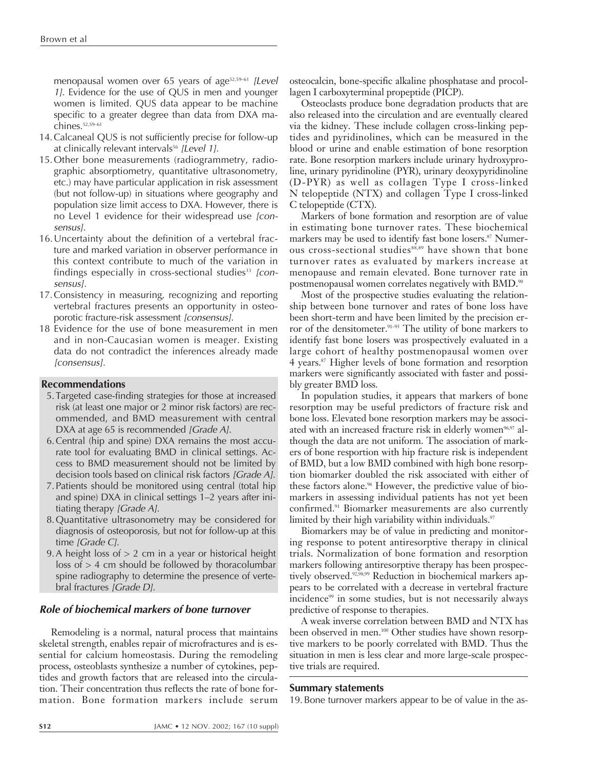menopausal women over 65 years of age<sup>52,59-61</sup> [Level 1]. Evidence for the use of QUS in men and younger women is limited. QUS data appear to be machine specific to a greater degree than data from DXA machines.52,59–61

- 14.Calcaneal QUS is not sufficiently precise for follow-up at clinically relevant intervals<sup>56</sup> [Level 1].
- 15.Other bone measurements (radiogrammetry, radiographic absorptiometry, quantitative ultrasonometry, etc.) may have particular application in risk assessment (but not follow-up) in situations where geography and population size limit access to DXA. However, there is no Level 1 evidence for their widespread use [consensus].
- 16.Uncertainty about the definition of a vertebral fracture and marked variation in observer performance in this context contribute to much of the variation in findings especially in cross-sectional studies<sup>33</sup> [consensus].
- 17.Consistency in measuring, recognizing and reporting vertebral fractures presents an opportunity in osteoporotic fracture-risk assessment [consensus].
- 18 Evidence for the use of bone measurement in men and in non-Caucasian women is meager. Existing data do not contradict the inferences already made [consensus].

# **Recommendations**

- 5.Targeted case-finding strategies for those at increased risk (at least one major or 2 minor risk factors) are recommended, and BMD measurement with central DXA at age 65 is recommended [Grade A].
- 6.Central (hip and spine) DXA remains the most accurate tool for evaluating BMD in clinical settings. Access to BMD measurement should not be limited by decision tools based on clinical risk factors [Grade A].
- 7.Patients should be monitored using central (total hip and spine) DXA in clinical settings 1–2 years after initiating therapy [Grade A].
- 8.Quantitative ultrasonometry may be considered for diagnosis of osteoporosis, but not for follow-up at this time [Grade C].
- 9.A height loss of > 2 cm in a year or historical height  $loss of > 4$  cm should be followed by thoracolumbar spine radiography to determine the presence of vertebral fractures [Grade D].

# **Role of biochemical markers of bone turnover**

Remodeling is a normal, natural process that maintains skeletal strength, enables repair of microfractures and is essential for calcium homeostasis. During the remodeling process, osteoblasts synthesize a number of cytokines, peptides and growth factors that are released into the circulation. Their concentration thus reflects the rate of bone formation. Bone formation markers include serum

osteocalcin, bone-specific alkaline phosphatase and procollagen I carboxyterminal propeptide (PICP).

Osteoclasts produce bone degradation products that are also released into the circulation and are eventually cleared via the kidney. These include collagen cross-linking peptides and pyridinolines, which can be measured in the blood or urine and enable estimation of bone resorption rate. Bone resorption markers include urinary hydroxyproline, urinary pyridinoline (PYR), urinary deoxypyridinoline (D-PYR) as well as collagen Type I cross-linked N telopeptide (NTX) and collagen Type I cross-linked C telopeptide (CTX).

Markers of bone formation and resorption are of value in estimating bone turnover rates. These biochemical markers may be used to identify fast bone losers.<sup>87</sup> Numerous cross-sectional studies88,89 have shown that bone turnover rates as evaluated by markers increase at menopause and remain elevated. Bone turnover rate in postmenopausal women correlates negatively with BMD.<sup>90</sup>

Most of the prospective studies evaluating the relationship between bone turnover and rates of bone loss have been short-term and have been limited by the precision error of the densitometer.<sup>91-95</sup> The utility of bone markers to identify fast bone losers was prospectively evaluated in a large cohort of healthy postmenopausal women over 4 years.87 Higher levels of bone formation and resorption markers were significantly associated with faster and possibly greater BMD loss.

In population studies, it appears that markers of bone resorption may be useful predictors of fracture risk and bone loss. Elevated bone resorption markers may be associated with an increased fracture risk in elderly women<sup>96,97</sup> although the data are not uniform. The association of markers of bone resportion with hip fracture risk is independent of BMD, but a low BMD combined with high bone resorption biomarker doubled the risk associated with either of these factors alone.<sup>96</sup> However, the predictive value of biomarkers in assessing individual patients has not yet been confirmed.91 Biomarker measurements are also currently limited by their high variability within individuals.<sup>97</sup>

Biomarkers may be of value in predicting and monitoring response to potent antiresorptive therapy in clinical trials. Normalization of bone formation and resorption markers following antiresorptive therapy has been prospectively observed.<sup>92,98,99</sup> Reduction in biochemical markers appears to be correlated with a decrease in vertebral fracture incidence<sup>99</sup> in some studies, but is not necessarily always predictive of response to therapies.

A weak inverse correlation between BMD and NTX has been observed in men.<sup>100</sup> Other studies have shown resorptive markers to be poorly correlated with BMD. Thus the situation in men is less clear and more large-scale prospective trials are required.

## **Summary statements**

19.Bone turnover markers appear to be of value in the as-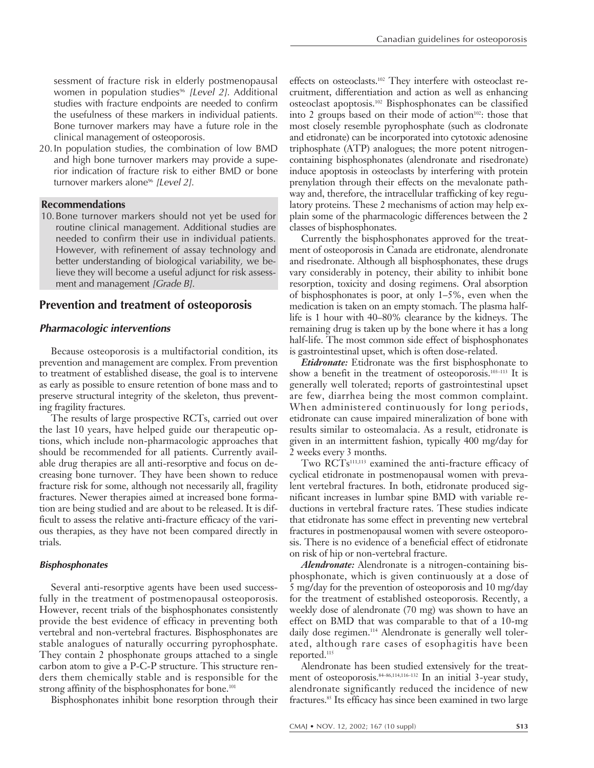sessment of fracture risk in elderly postmenopausal women in population studies<sup>96</sup> [Level 2]. Additional studies with fracture endpoints are needed to confirm the usefulness of these markers in individual patients. Bone turnover markers may have a future role in the clinical management of osteoporosis.

20.In population studies, the combination of low BMD and high bone turnover markers may provide a superior indication of fracture risk to either BMD or bone turnover markers alone<sup>96</sup> [Level 2].

## **Recommendations**

10.Bone turnover markers should not yet be used for routine clinical management. Additional studies are needed to confirm their use in individual patients. However, with refinement of assay technology and better understanding of biological variability, we believe they will become a useful adjunct for risk assessment and management [Grade B].

# **Prevention and treatment of osteoporosis**

# **Pharmacologic interventions**

Because osteoporosis is a multifactorial condition, its prevention and management are complex. From prevention to treatment of established disease, the goal is to intervene as early as possible to ensure retention of bone mass and to preserve structural integrity of the skeleton, thus preventing fragility fractures.

The results of large prospective RCTs, carried out over the last 10 years, have helped guide our therapeutic options, which include non-pharmacologic approaches that should be recommended for all patients. Currently available drug therapies are all anti-resorptive and focus on decreasing bone turnover. They have been shown to reduce fracture risk for some, although not necessarily all, fragility fractures. Newer therapies aimed at increased bone formation are being studied and are about to be released. It is difficult to assess the relative anti-fracture efficacy of the various therapies, as they have not been compared directly in trials.

## **Bisphosphonates**

Several anti-resorptive agents have been used successfully in the treatment of postmenopausal osteoporosis. However, recent trials of the bisphosphonates consistently provide the best evidence of efficacy in preventing both vertebral and non-vertebral fractures. Bisphosphonates are stable analogues of naturally occurring pyrophosphate. They contain 2 phosphonate groups attached to a single carbon atom to give a P-C-P structure. This structure renders them chemically stable and is responsible for the strong affinity of the bisphosphonates for bone.<sup>101</sup>

Bisphosphonates inhibit bone resorption through their

effects on osteoclasts.<sup>102</sup> They interfere with osteoclast recruitment, differentiation and action as well as enhancing osteoclast apoptosis.102 Bisphosphonates can be classified into 2 groups based on their mode of action $102$ : those that most closely resemble pyrophosphate (such as clodronate and etidronate) can be incorporated into cytotoxic adenosine triphosphate (ATP) analogues; the more potent nitrogencontaining bisphosphonates (alendronate and risedronate) induce apoptosis in osteoclasts by interfering with protein prenylation through their effects on the mevalonate pathway and, therefore, the intracellular trafficking of key regulatory proteins. These 2 mechanisms of action may help explain some of the pharmacologic differences between the 2 classes of bisphosphonates.

Currently the bisphosphonates approved for the treatment of osteoporosis in Canada are etidronate, alendronate and risedronate. Although all bisphosphonates, these drugs vary considerably in potency, their ability to inhibit bone resorption, toxicity and dosing regimens. Oral absorption of bisphosphonates is poor, at only 1–5%, even when the medication is taken on an empty stomach. The plasma halflife is 1 hour with 40–80% clearance by the kidneys. The remaining drug is taken up by the bone where it has a long half-life. The most common side effect of bisphosphonates is gastrointestinal upset, which is often dose-related.

*Etidronate:* Etidronate was the first bisphosphonate to show a benefit in the treatment of osteoporosis.103–113 It is generally well tolerated; reports of gastrointestinal upset are few, diarrhea being the most common complaint. When administered continuously for long periods, etidronate can cause impaired mineralization of bone with results similar to osteomalacia. As a result, etidronate is given in an intermittent fashion, typically 400 mg/day for 2 weeks every 3 months.

Two RCTs<sup>111,113</sup> examined the anti-fracture efficacy of cyclical etidronate in postmenopausal women with prevalent vertebral fractures. In both, etidronate produced significant increases in lumbar spine BMD with variable reductions in vertebral fracture rates. These studies indicate that etidronate has some effect in preventing new vertebral fractures in postmenopausal women with severe osteoporosis. There is no evidence of a beneficial effect of etidronate on risk of hip or non-vertebral fracture.

*Alendronate:* Alendronate is a nitrogen-containing bisphosphonate, which is given continuously at a dose of 5 mg/day for the prevention of osteoporosis and 10 mg/day for the treatment of established osteoporosis. Recently, a weekly dose of alendronate (70 mg) was shown to have an effect on BMD that was comparable to that of a 10-mg daily dose regimen.<sup>114</sup> Alendronate is generally well tolerated, although rare cases of esophagitis have been reported.115

Alendronate has been studied extensively for the treatment of osteoporosis.<sup>84–86,114,116–132</sup> In an initial 3-year study, alendronate significantly reduced the incidence of new fractures.85 Its efficacy has since been examined in two large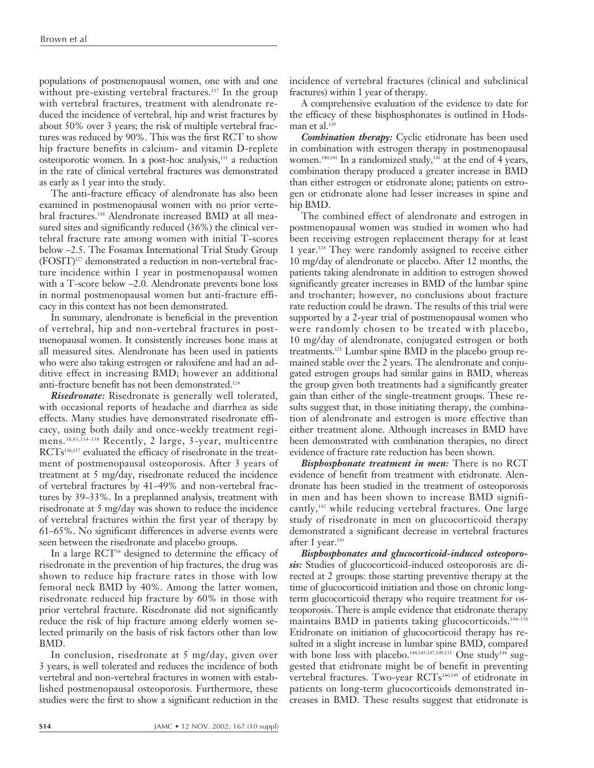populations of postmenopausal women, one with and one without pre-existing vertebral fractures.<sup>117</sup> In the group with vertebral fractures, treatment with alendronate reduced the incidence of vertebral, hip and wrist fractures by about 50% over 3 years; the risk of multiple vertebral fractures was reduced by 90%. This was the first RCT to show hip fracture benefits in calcium- and vitamin D-replete osteoporotic women. In a post-hoc analysis,<sup>133</sup> a reduction in the rate of clinical vertebral fractures was demonstrated as early as 1 year into the study.

The anti-fracture efficacy of alendronate has also been examined in postmenopausal women with no prior vertebral fractures.118 Alendronate increased BMD at all measured sites and significantly reduced (36%) the clinical vertebral fracture rate among women with initial T-scores below –2.5. The Fosamax International Trial Study Group (FOSIT)127 demonstrated a reduction in non-vertebral fracture incidence within 1 year in postmenopausal women with a T-score below –2.0. Alendronate prevents bone loss in normal postmenopausal women but anti-fracture efficacy in this context has not been demonstrated.

In summary, alendronate is beneficial in the prevention of vertebral, hip and non-vertebral fractures in postmenopausal women. It consistently increases bone mass at all measured sites. Alendronate has been used in patients who were also taking estrogen or raloxifene and had an additive effect in increasing BMD; however an additional anti-fracture benefit has not been demonstrated.124

*Risedronate:* Risedronate is generally well tolerated, with occasional reports of headache and diarrhea as side effects. Many studies have demonstrated risedronate efficacy, using both daily and once-weekly treatment regimens.38,83,134–138 Recently, 2 large, 3-year, multicentre RCTs<sup>136,137</sup> evaluated the efficacy of risedronate in the treatment of postmenopausal osteoporosis. After 3 years of treatment at 5 mg/day, risedronate reduced the incidence of vertebral fractures by 41–49% and non-vertebral fractures by 39–33%. In a preplanned analysis, treatment with risedronate at 5 mg/day was shown to reduce the incidence of vertebral fractures within the first year of therapy by 61–65%. No significant differences in adverse events were seen between the risedronate and placebo groups.

In a large RCT<sup>38</sup> designed to determine the efficacy of risedronate in the prevention of hip fractures, the drug was shown to reduce hip fracture rates in those with low femoral neck BMD by 40%. Among the latter women, risedronate reduced hip fracture by 60% in those with prior vertebral fracture. Risedronate did not significantly reduce the risk of hip fracture among elderly women selected primarily on the basis of risk factors other than low BMD.

In conclusion, risedronate at 5 mg/day, given over 3 years, is well tolerated and reduces the incidence of both vertebral and non-vertebral fractures in women with established postmenopausal osteoporosis. Furthermore, these studies were the first to show a significant reduction in the

incidence of vertebral fractures (clinical and subclinical fractures) within 1 year of therapy.

A comprehensive evaluation of the evidence to date for the efficacy of these bisphosphonates is outlined in Hodsman et al.<sup>139</sup>

*Combination therapy:* Cyclic etidronate has been used in combination with estrogen therapy in postmenopausal women.<sup>140,141</sup> In a randomized study,<sup>141</sup> at the end of 4 years, combination therapy produced a greater increase in BMD than either estrogen or etidronate alone; patients on estrogen or etidronate alone had lesser increases in spine and hip BMD.

The combined effect of alendronate and estrogen in postmenopausal women was studied in women who had been receiving estrogen replacement therapy for at least 1year.124 They were randomly assigned to receive either 10 mg/day of alendronate or placebo. After 12 months, the patients taking alendronate in addition to estrogen showed significantly greater increases in BMD of the lumbar spine and trochanter; however, no conclusions about fracture rate reduction could be drawn. The results of this trial were supported by a 2-year trial of postmenopausal women who were randomly chosen to be treated with placebo, 10 mg/day of alendronate, conjugated estrogen or both treatments.121 Lumbar spine BMD in the placebo group remained stable over the 2 years. The alendronate and conjugated estrogen groups had similar gains in BMD, whereas the group given both treatments had a significantly greater gain than either of the single-treatment groups. These results suggest that, in those initiating therapy, the combination of alendronate and estrogen is more effective than either treatment alone. Although increases in BMD have been demonstrated with combination therapies, no direct evidence of fracture rate reduction has been shown.

*Bisphosphonate treatment in men:* There is no RCT evidence of benefit from treatment with etidronate. Alendronate has been studied in the treatment of osteoporosis in men and has been shown to increase BMD significantly,142 while reducing vertebral fractures. One large study of risedronate in men on glucocorticoid therapy demonstrated a significant decrease in vertebral fractures after 1 year.<sup>143</sup>

*Bisphosphonates and glucocorticoid-induced osteoporosis:* Studies of glucocorticoid-induced osteoporosis are directed at 2 groups: those starting preventive therapy at the time of glucocorticoid initiation and those on chronic longterm glucocorticoid therapy who require treatment for osteoporosis. There is ample evidence that etidronate therapy maintains BMD in patients taking glucocorticoids.<sup>144-156</sup> Etidronate on initiation of glucocorticoid therapy has resulted in a slight increase in lumbar spine BMD, compared with bone loss with placebo.<sup>144,145,147,149,151</sup> One study<sup>144</sup> suggested that etidronate might be of benefit in preventing vertebral fractures. Two-year RCTs<sup>146,149</sup> of etidronate in patients on long-term glucocorticoids demonstrated increases in BMD. These results suggest that etidronate is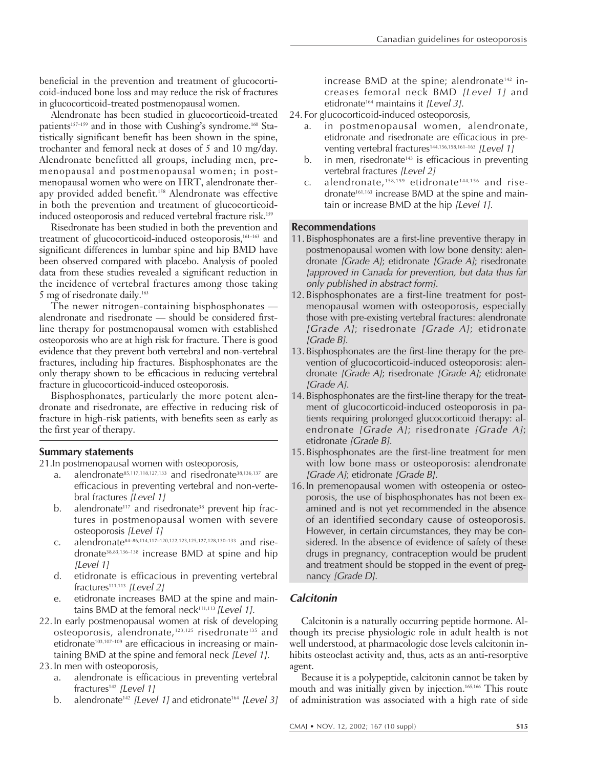beneficial in the prevention and treatment of glucocorticoid-induced bone loss and may reduce the risk of fractures in glucocorticoid-treated postmenopausal women.

Alendronate has been studied in glucocorticoid-treated patients<sup>157-159</sup> and in those with Cushing's syndrome.<sup>160</sup> Statistically significant benefit has been shown in the spine, trochanter and femoral neck at doses of 5 and 10 mg/day. Alendronate benefitted all groups, including men, premenopausal and postmenopausal women; in postmenopausal women who were on HRT, alendronate therapy provided added benefit.<sup>158</sup> Alendronate was effective in both the prevention and treatment of glucocorticoidinduced osteoporosis and reduced vertebral fracture risk.<sup>159</sup>

Risedronate has been studied in both the prevention and treatment of glucocorticoid-induced osteoporosis,<sup>161-163</sup> and significant differences in lumbar spine and hip BMD have been observed compared with placebo. Analysis of pooled data from these studies revealed a significant reduction in the incidence of vertebral fractures among those taking 5 mg of risedronate daily.<sup>163</sup>

The newer nitrogen-containing bisphosphonates alendronate and risedronate — should be considered firstline therapy for postmenopausal women with established osteoporosis who are at high risk for fracture. There is good evidence that they prevent both vertebral and non-vertebral fractures, including hip fractures. Bisphosphonates are the only therapy shown to be efficacious in reducing vertebral fracture in glucocorticoid-induced osteoporosis.

Bisphosphonates, particularly the more potent alendronate and risedronate, are effective in reducing risk of fracture in high-risk patients, with benefits seen as early as the first year of therapy.

# **Summary statements**

21.In postmenopausal women with osteoporosis,

- alendronate $85,117,118,127,133$  and risedronate $38,136,137$  are efficacious in preventing vertebral and non-vertebral fractures [Level 1]
- b. alendronate<sup>117</sup> and risedronate<sup>38</sup> prevent hip fractures in postmenopausal women with severe osteoporosis [Level 1]
- c. alendronate84–86,114,117–120,122,123,125,127,128,130–133 and risedronate38,83,136–138 increase BMD at spine and hip [Level 1]
- d. etidronate is efficacious in preventing vertebral fractures<sup>111,113</sup> [Level 2]
- etidronate increases BMD at the spine and maintains BMD at the femoral neck $111,113$  [Level 1].
- 22.In early postmenopausal women at risk of developing osteoporosis, alendronate,123,125 risedronate135 and etidronate<sup>103,107-109</sup> are efficacious in increasing or maintaining BMD at the spine and femoral neck [Level 1].
- 23.In men with osteoporosis,
	- a. alendronate is efficacious in preventing vertebral fractures<sup>142</sup> [Level 1]
	- b. alendronate<sup>142</sup> [Level 1] and etidronate<sup>164</sup> [Level 3]

increase BMD at the spine; alendronate<sup>142</sup> increases femoral neck BMD [Level 1] and etidronate<sup>164</sup> maintains it [Level 3].

- 24.For glucocorticoid-induced osteoporosis,
	- a. in postmenopausal women, alendronate, etidronate and risedronate are efficacious in preventing vertebral fractures<sup>144,156,158,161-163</sup> [Level 1]
	- b. in men, risedronate<sup>143</sup> is efficacious in preventing vertebral fractures [Level 2]
	- c. alendronate,  $158,159$  etidronate<sup>144,156</sup> and risedronate<sup>161,163</sup> increase BMD at the spine and maintain or increase BMD at the hip [Level 1].

# **Recommendations**

- 11.Bisphosphonates are a first-line preventive therapy in postmenopausal women with low bone density: alendronate [Grade A]; etidronate [Grade A]; risedronate [approved in Canada for prevention, but data thus far only published in abstract form].
- 12. Bisphosphonates are a first-line treatment for postmenopausal women with osteoporosis, especially those with pre-existing vertebral fractures: alendronate [Grade A]; risedronate [Grade A]; etidronate [Grade B].
- 13.Bisphosphonates are the first-line therapy for the prevention of glucocorticoid-induced osteoporosis: alendronate [Grade A]; risedronate [Grade A]; etidronate [Grade A].
- 14.Bisphosphonates are the first-line therapy for the treatment of glucocorticoid-induced osteoporosis in patients requiring prolonged glucocorticoid therapy: alendronate [Grade A]; risedronate [Grade A]; etidronate [Grade B].
- 15.Bisphosphonates are the first-line treatment for men with low bone mass or osteoporosis: alendronate [Grade A]; etidronate [Grade B].
- 16.In premenopausal women with osteopenia or osteoporosis, the use of bisphosphonates has not been examined and is not yet recommended in the absence of an identified secondary cause of osteoporosis. However, in certain circumstances, they may be considered. In the absence of evidence of safety of these drugs in pregnancy, contraception would be prudent and treatment should be stopped in the event of pregnancy [Grade D].

# **Calcitonin**

Calcitonin is a naturally occurring peptide hormone. Although its precise physiologic role in adult health is not well understood, at pharmacologic dose levels calcitonin inhibits osteoclast activity and, thus, acts as an anti-resorptive agent.

Because it is a polypeptide, calcitonin cannot be taken by mouth and was initially given by injection.<sup>165,166</sup> This route of administration was associated with a high rate of side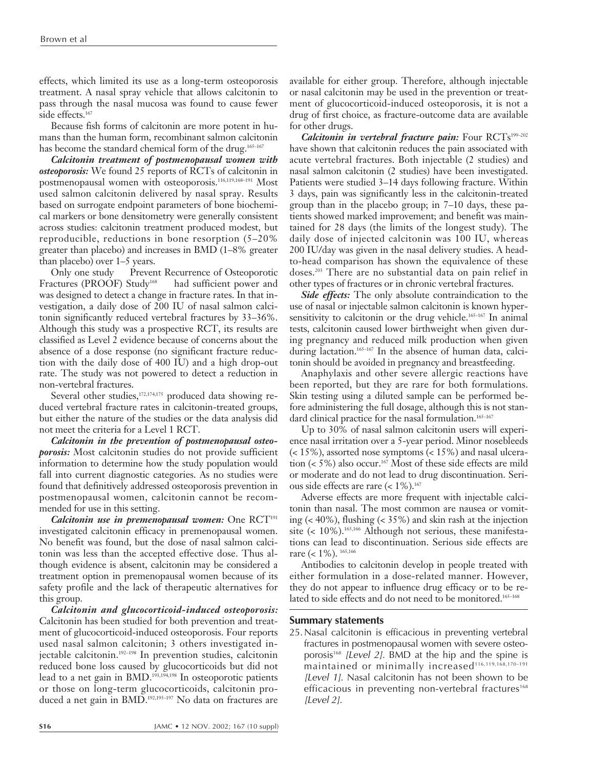effects, which limited its use as a long-term osteoporosis treatment. A nasal spray vehicle that allows calcitonin to pass through the nasal mucosa was found to cause fewer side effects.<sup>167</sup>

Because fish forms of calcitonin are more potent in humans than the human form, recombinant salmon calcitonin has become the standard chemical form of the drug.<sup>165-167</sup>

*Calcitonin treatment of postmenopausal women with osteoporosis:* We found 25 reports of RCTs of calcitonin in postmenopausal women with osteoporosis.<sup>116,119,168-191</sup> Most used salmon calcitonin delivered by nasal spray. Results based on surrogate endpoint parameters of bone biochemical markers or bone densitometry were generally consistent across studies: calcitonin treatment produced modest, but reproducible, reductions in bone resorption (5–20% greater than placebo) and increases in BMD (1–8% greater than placebo) over 1–5 years.

Only one study — Prevent Recurrence of Osteoporotic Fractures (PROOF) Study<sup>168</sup> - had sufficient power and was designed to detect a change in fracture rates. In that investigation, a daily dose of 200 IU of nasal salmon calcitonin significantly reduced vertebral fractures by 33–36%. Although this study was a prospective RCT, its results are classified as Level 2 evidence because of concerns about the absence of a dose response (no significant fracture reduction with the daily dose of 400 IU) and a high drop-out rate. The study was not powered to detect a reduction in non-vertebral fractures.

Several other studies,<sup>172,174,175</sup> produced data showing reduced vertebral fracture rates in calcitonin-treated groups, but either the nature of the studies or the data analysis did not meet the criteria for a Level 1 RCT.

*Calcitonin in the prevention of postmenopausal osteoporosis:* Most calcitonin studies do not provide sufficient information to determine how the study population would fall into current diagnostic categories. As no studies were found that definitively addressed osteoporosis prevention in postmenopausal women, calcitonin cannot be recommended for use in this setting.

*Calcitonin use in premenopausal women:* One RCT<sup>191</sup> investigated calcitonin efficacy in premenopausal women. No benefit was found, but the dose of nasal salmon calcitonin was less than the accepted effective dose. Thus although evidence is absent, calcitonin may be considered a treatment option in premenopausal women because of its safety profile and the lack of therapeutic alternatives for this group.

*Calcitonin and glucocorticoid-induced osteoporosis:* Calcitonin has been studied for both prevention and treatment of glucocorticoid-induced osteoporosis. Four reports used nasal salmon calcitonin; 3 others investigated injectable calcitonin.<sup>192-198</sup> In prevention studies, calcitonin reduced bone loss caused by glucocorticoids but did not lead to a net gain in BMD.<sup>193,194,198</sup> In osteoporotic patients or those on long-term glucocorticoids, calcitonin produced a net gain in BMD.<sup>192,195-197</sup> No data on fractures are

available for either group. Therefore, although injectable or nasal calcitonin may be used in the prevention or treatment of glucocorticoid-induced osteoporosis, it is not a drug of first choice, as fracture-outcome data are available for other drugs.

Calcitonin in vertebral fracture pain: Four RCTs<sup>199-202</sup> have shown that calcitonin reduces the pain associated with acute vertebral fractures. Both injectable (2 studies) and nasal salmon calcitonin (2 studies) have been investigated. Patients were studied 3–14 days following fracture. Within 3 days, pain was significantly less in the calcitonin-treated group than in the placebo group; in 7–10 days, these patients showed marked improvement; and benefit was maintained for 28 days (the limits of the longest study). The daily dose of injected calcitonin was 100 IU, whereas 200 IU/day was given in the nasal delivery studies. A headto-head comparison has shown the equivalence of these doses.203 There are no substantial data on pain relief in other types of fractures or in chronic vertebral fractures.

*Side effects:* The only absolute contraindication to the use of nasal or injectable salmon calcitonin is known hypersensitivity to calcitonin or the drug vehicle.<sup>165–167</sup> In animal tests, calcitonin caused lower birthweight when given during pregnancy and reduced milk production when given during lactation.<sup>165-167</sup> In the absence of human data, calcitonin should be avoided in pregnancy and breastfeeding.

Anaphylaxis and other severe allergic reactions have been reported, but they are rare for both formulations. Skin testing using a diluted sample can be performed before administering the full dosage, although this is not standard clinical practice for the nasal formulation.<sup>165-167</sup>

Up to 30% of nasal salmon calcitonin users will experience nasal irritation over a 5-year period. Minor nosebleeds (< 15%), assorted nose symptoms (< 15%) and nasal ulceration ( $\lt$  5%) also occur.<sup>167</sup> Most of these side effects are mild or moderate and do not lead to drug discontinuation. Serious side effects are rare (< 1%).<sup>167</sup>

Adverse effects are more frequent with injectable calcitonin than nasal. The most common are nausea or vomiting  $\left($  < 40%), flushing  $\left($  < 35%) and skin rash at the injection site  $($  10%).<sup>165,166</sup> Although not serious, these manifestations can lead to discontinuation. Serious side effects are rare (< 1%). 165,166

Antibodies to calcitonin develop in people treated with either formulation in a dose-related manner. However, they do not appear to influence drug efficacy or to be related to side effects and do not need to be monitored.<sup>165-168</sup>

#### **Summary statements**

25.Nasal calcitonin is efficacious in preventing vertebral fractures in postmenopausal women with severe osteoporosis<sup>168</sup> [Level 2]. BMD at the hip and the spine is maintained or minimally increased<sup>116,119,168,170-191</sup> [Level 1]. Nasal calcitonin has not been shown to be efficacious in preventing non-vertebral fractures<sup>168</sup> [Level 2].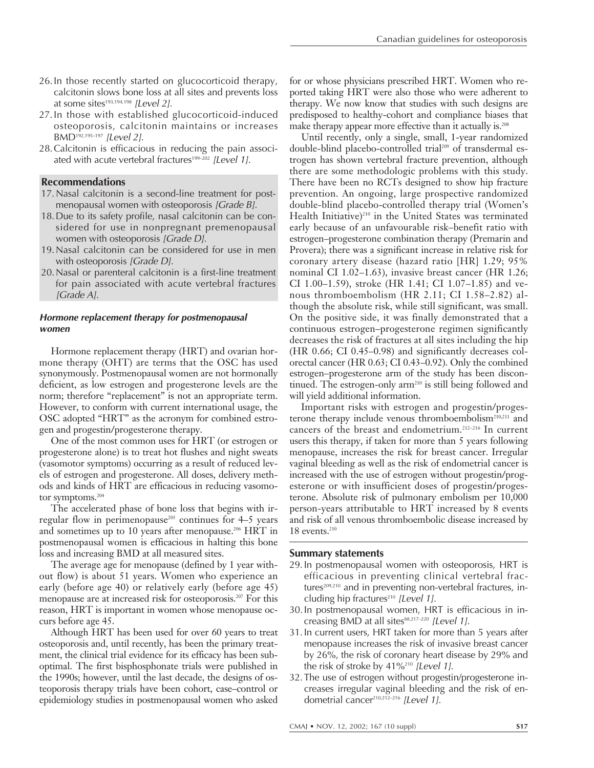- 26.In those recently started on glucocorticoid therapy, calcitonin slows bone loss at all sites and prevents loss at some sites $193,194,198$  [Level 2].
- 27.In those with established glucocorticoid-induced osteoporosis, calcitonin maintains or increases BMD192,195–197 [Level 2].
- 28.Calcitonin is efficacious in reducing the pain associated with acute vertebral fractures<sup>199-202</sup> [Level 1].

# **Recommendations**

- 17.Nasal calcitonin is a second-line treatment for postmenopausal women with osteoporosis [Grade B].
- 18.Due to its safety profile, nasal calcitonin can be considered for use in nonpregnant premenopausal women with osteoporosis [Grade D].
- 19.Nasal calcitonin can be considered for use in men with osteoporosis [Grade D].
- 20.Nasal or parenteral calcitonin is a first-line treatment for pain associated with acute vertebral fractures [Grade A].

# **Hormone replacement therapy for postmenopausal women**

Hormone replacement therapy (HRT) and ovarian hormone therapy (OHT) are terms that the OSC has used synonymously. Postmenopausal women are not hormonally deficient, as low estrogen and progesterone levels are the norm; therefore "replacement" is not an appropriate term. However, to conform with current international usage, the OSC adopted "HRT" as the acronym for combined estrogen and progestin/progesterone therapy.

One of the most common uses for HRT (or estrogen or progesterone alone) is to treat hot flushes and night sweats (vasomotor symptoms) occurring as a result of reduced levels of estrogen and progesterone. All doses, delivery methods and kinds of HRT are efficacious in reducing vasomotor symptoms.<sup>204</sup>

The accelerated phase of bone loss that begins with irregular flow in perimenopause<sup>205</sup> continues for  $4-5$  years and sometimes up to 10 years after menopause.<sup>206</sup> HRT in postmenopausal women is efficacious in halting this bone loss and increasing BMD at all measured sites.

The average age for menopause (defined by 1 year without flow) is about 51 years. Women who experience an early (before age 40) or relatively early (before age 45) menopause are at increased risk for osteoporosis.207 For this reason, HRT is important in women whose menopause occurs before age 45.

Although HRT has been used for over 60 years to treat osteoporosis and, until recently, has been the primary treatment, the clinical trial evidence for its efficacy has been suboptimal. The first bisphosphonate trials were published in the 1990s; however, until the last decade, the designs of osteoporosis therapy trials have been cohort, case–control or epidemiology studies in postmenopausal women who asked

for or whose physicians prescribed HRT. Women who reported taking HRT were also those who were adherent to therapy. We now know that studies with such designs are predisposed to healthy-cohort and compliance biases that make therapy appear more effective than it actually is.<sup>208</sup>

Until recently, only a single, small, 1-year randomized double-blind placebo-controlled trial<sup>209</sup> of transdermal estrogen has shown vertebral fracture prevention, although there are some methodologic problems with this study. There have been no RCTs designed to show hip fracture prevention. An ongoing, large prospective randomized double-blind placebo-controlled therapy trial (Women's Health Initiative)<sup>210</sup> in the United States was terminated early because of an unfavourable risk–benefit ratio with estrogen–progesterone combination therapy (Premarin and Provera); there was a significant increase in relative risk for coronary artery disease (hazard ratio [HR] 1.29; 95% nominal CI 1.02–1.63), invasive breast cancer (HR 1.26; CI 1.00–1.59), stroke (HR 1.41; CI 1.07–1.85) and venous thromboembolism (HR 2.11; CI 1.58–2.82) although the absolute risk, while still significant, was small. On the positive side, it was finally demonstrated that a continuous estrogen–progesterone regimen significantly decreases the risk of fractures at all sites including the hip (HR 0.66; CI 0.45–0.98) and significantly decreases colorectal cancer (HR 0.63; CI 0.43–0.92). Only the combined estrogen–progesterone arm of the study has been discontinued. The estrogen-only arm<sup>210</sup> is still being followed and will yield additional information.

Important risks with estrogen and progestin/progesterone therapy include venous thromboembolism<sup>210,211</sup> and cancers of the breast and endometrium.212–216 In current users this therapy, if taken for more than 5 years following menopause, increases the risk for breast cancer. Irregular vaginal bleeding as well as the risk of endometrial cancer is increased with the use of estrogen without progestin/progesterone or with insufficient doses of progestin/progesterone. Absolute risk of pulmonary embolism per 10,000 person-years attributable to HRT increased by 8 events and risk of all venous thromboembolic disease increased by  $18$  events. $210$ 

## **Summary statements**

- 29.In postmenopausal women with osteoporosis, HRT is efficacious in preventing clinical vertebral fractures<sup>209,210</sup> and in preventing non-vertebral fractures, including hip fractures<sup>210</sup> [Level 1].
- 30.In postmenopausal women, HRT is efficacious in increasing BMD at all sites88,217-220 [Level 1].
- 31.In current users, HRT taken for more than 5 years after menopause increases the risk of invasive breast cancer by 26%, the risk of coronary heart disease by 29% and the risk of stroke by 41%<sup>210</sup> [Level 1].
- 32.The use of estrogen without progestin/progesterone increases irregular vaginal bleeding and the risk of endometrial cancer<sup>210,212-216</sup> [Level 1].

CMAJ • NOV. 12, 2002; 167 (10 suppl) **S17**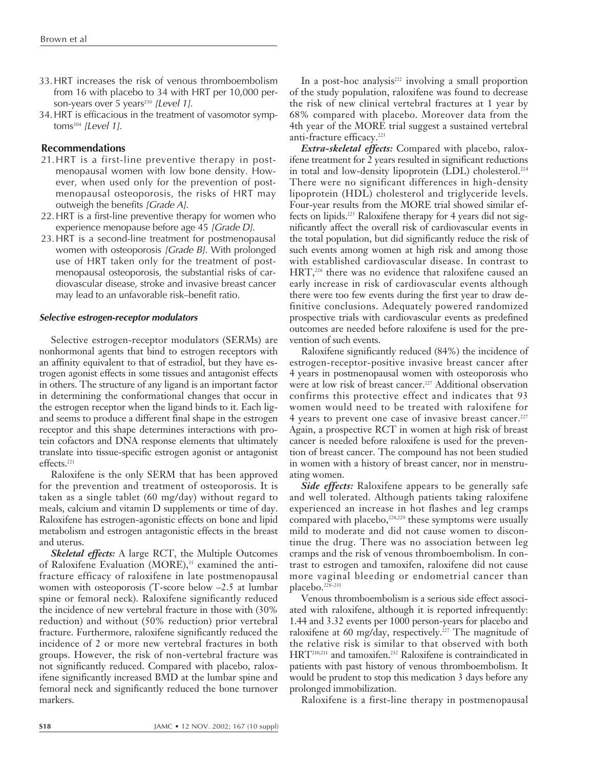- 33.HRT increases the risk of venous thromboembolism from 16 with placebo to 34 with HRT per 10,000 person-years over 5 years<sup>210</sup> [Level 1].
- 34.HRT is efficacious in the treatment of vasomotor symptoms $204$  [Level 1].

# **Recommendations**

- 21.HRT is a first-line preventive therapy in postmenopausal women with low bone density. However, when used only for the prevention of postmenopausal osteoporosis, the risks of HRT may outweigh the benefits [Grade A].
- 22.HRT is a first-line preventive therapy for women who experience menopause before age 45 [Grade D].
- 23.HRT is a second-line treatment for postmenopausal women with osteoporosis [Grade B]. With prolonged use of HRT taken only for the treatment of postmenopausal osteoporosis, the substantial risks of cardiovascular disease, stroke and invasive breast cancer may lead to an unfavorable risk–benefit ratio.

## **Selective estrogen-receptor modulators**

Selective estrogen-receptor modulators (SERMs) are nonhormonal agents that bind to estrogen receptors with an affinity equivalent to that of estradiol, but they have estrogen agonist effects in some tissues and antagonist effects in others. The structure of any ligand is an important factor in determining the conformational changes that occur in the estrogen receptor when the ligand binds to it. Each ligand seems to produce a different final shape in the estrogen receptor and this shape determines interactions with protein cofactors and DNA response elements that ultimately translate into tissue-specific estrogen agonist or antagonist effects.<sup>221</sup>

Raloxifene is the only SERM that has been approved for the prevention and treatment of osteoporosis. It is taken as a single tablet (60 mg/day) without regard to meals, calcium and vitamin D supplements or time of day. Raloxifene has estrogen-agonistic effects on bone and lipid metabolism and estrogen antagonistic effects in the breast and uterus.

*Skeletal effects:* A large RCT, the Multiple Outcomes of Raloxifene Evaluation (MORE), $35$  examined the antifracture efficacy of raloxifene in late postmenopausal women with osteoporosis (T-score below –2.5 at lumbar spine or femoral neck). Raloxifene significantly reduced the incidence of new vertebral fracture in those with (30% reduction) and without (50% reduction) prior vertebral fracture. Furthermore, raloxifene significantly reduced the incidence of 2 or more new vertebral fractures in both groups. However, the risk of non-vertebral fracture was not significantly reduced. Compared with placebo, raloxifene significantly increased BMD at the lumbar spine and femoral neck and significantly reduced the bone turnover markers.

In a post-hoc analysis $222$  involving a small proportion of the study population, raloxifene was found to decrease the risk of new clinical vertebral fractures at 1 year by 68% compared with placebo. Moreover data from the 4th year of the MORE trial suggest a sustained vertebral anti-fracture efficacy.<sup>223</sup>

*Extra-skeletal effects:* Compared with placebo, raloxifene treatment for 2 years resulted in significant reductions in total and low-density lipoprotein (LDL) cholesterol.<sup>224</sup> There were no significant differences in high-density lipoprotein (HDL) cholesterol and triglyceride levels. Four-year results from the MORE trial showed similar effects on lipids.225 Raloxifene therapy for 4 years did not significantly affect the overall risk of cardiovascular events in the total population, but did significantly reduce the risk of such events among women at high risk and among those with established cardiovascular disease. In contrast to HRT,<sup>226</sup> there was no evidence that raloxifene caused an early increase in risk of cardiovascular events although there were too few events during the first year to draw definitive conclusions. Adequately powered randomized prospective trials with cardiovascular events as predefined outcomes are needed before raloxifene is used for the prevention of such events.

Raloxifene significantly reduced (84%) the incidence of estrogen-receptor-positive invasive breast cancer after 4 years in postmenopausal women with osteoporosis who were at low risk of breast cancer.<sup>227</sup> Additional observation confirms this protective effect and indicates that 93 women would need to be treated with raloxifene for 4 years to prevent one case of invasive breast cancer.<sup>227</sup> Again, a prospective RCT in women at high risk of breast cancer is needed before raloxifene is used for the prevention of breast cancer. The compound has not been studied in women with a history of breast cancer, nor in menstruating women.

*Side effects:* Raloxifene appears to be generally safe and well tolerated. Although patients taking raloxifene experienced an increase in hot flashes and leg cramps compared with placebo,<sup>228,229</sup> these symptoms were usually mild to moderate and did not cause women to discontinue the drug. There was no association between leg cramps and the risk of venous thromboembolism. In contrast to estrogen and tamoxifen, raloxifene did not cause more vaginal bleeding or endometrial cancer than placebo.228–231

Venous thromboembolism is a serious side effect associated with raloxifene, although it is reported infrequently: 1.44 and 3.32 events per 1000 person-years for placebo and raloxifene at 60 mg/day, respectively.<sup>227</sup> The magnitude of the relative risk is similar to that observed with both HRT210,211 and tamoxifen.232 Raloxifene is contraindicated in patients with past history of venous thromboembolism. It would be prudent to stop this medication 3 days before any prolonged immobilization.

Raloxifene is a first-line therapy in postmenopausal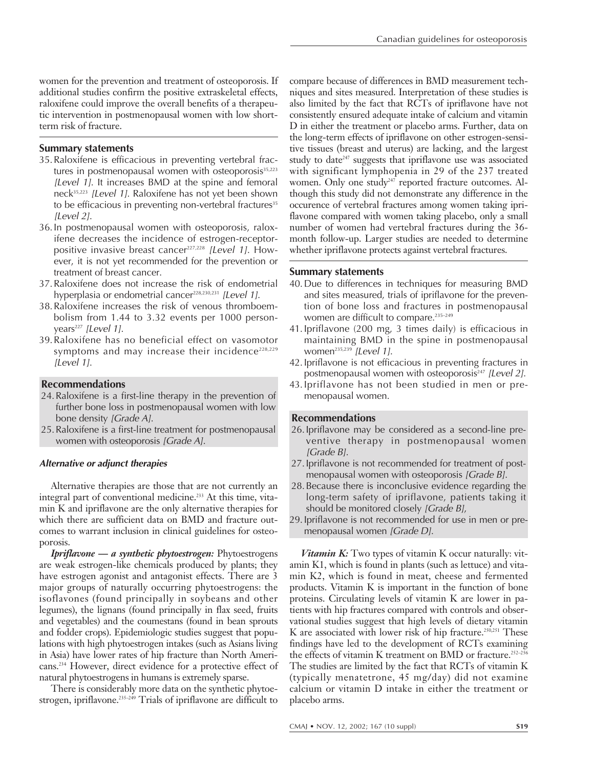women for the prevention and treatment of osteoporosis. If additional studies confirm the positive extraskeletal effects, raloxifene could improve the overall benefits of a therapeutic intervention in postmenopausal women with low shortterm risk of fracture.

# **Summary statements**

- 35.Raloxifene is efficacious in preventing vertebral fractures in postmenopausal women with osteoporosis<sup>35,223</sup> [Level 1]. It increases BMD at the spine and femoral neck35,223 [Level 1]. Raloxifene has not yet been shown to be efficacious in preventing non-vertebral fractures<sup>35</sup> [Level 2].
- 36.In postmenopausal women with osteoporosis, raloxifene decreases the incidence of estrogen-receptorpositive invasive breast cancer<sup>227,228</sup> [Level 1]. However, it is not yet recommended for the prevention or treatment of breast cancer.
- 37.Raloxifene does not increase the risk of endometrial hyperplasia or endometrial cancer<sup>228,230,231</sup> [Level 1].
- 38.Raloxifene increases the risk of venous thromboembolism from 1.44 to 3.32 events per 1000 personyears<sup>227</sup> [Level 1].
- 39.Raloxifene has no beneficial effect on vasomotor symptoms and may increase their incidence<sup>228,229</sup> [Level 1].

# **Recommendations**

- 24.Raloxifene is a first-line therapy in the prevention of further bone loss in postmenopausal women with low bone density [Grade A].
- 25.Raloxifene is a first-line treatment for postmenopausal women with osteoporosis [Grade A].

## **Alternative or adjunct therapies**

Alternative therapies are those that are not currently an integral part of conventional medicine.<sup>233</sup> At this time, vitamin K and ipriflavone are the only alternative therapies for which there are sufficient data on BMD and fracture outcomes to warrant inclusion in clinical guidelines for osteoporosis.

*Ipriflavone — a synthetic phytoestrogen:* Phytoestrogens are weak estrogen-like chemicals produced by plants; they have estrogen agonist and antagonist effects. There are 3 major groups of naturally occurring phytoestrogens: the isoflavones (found principally in soybeans and other legumes), the lignans (found principally in flax seed, fruits and vegetables) and the coumestans (found in bean sprouts and fodder crops). Epidemiologic studies suggest that populations with high phytoestrogen intakes (such as Asians living in Asia) have lower rates of hip fracture than North Americans.234 However, direct evidence for a protective effect of natural phytoestrogens in humans is extremely sparse.

There is considerably more data on the synthetic phytoestrogen, ipriflavone.<sup>235-249</sup> Trials of ipriflavone are difficult to compare because of differences in BMD measurement techniques and sites measured. Interpretation of these studies is also limited by the fact that RCTs of ipriflavone have not consistently ensured adequate intake of calcium and vitamin D in either the treatment or placebo arms. Further, data on the long-term effects of ipriflavone on other estrogen-sensitive tissues (breast and uterus) are lacking, and the largest study to date<sup>247</sup> suggests that ipriflavone use was associated with significant lymphopenia in 29 of the 237 treated women. Only one study<sup>247</sup> reported fracture outcomes. Although this study did not demonstrate any difference in the occurence of vertebral fractures among women taking ipriflavone compared with women taking placebo, only a small number of women had vertebral fractures during the 36 month follow-up. Larger studies are needed to determine whether ipriflavone protects against vertebral fractures.

## **Summary statements**

- 40.Due to differences in techniques for measuring BMD and sites measured, trials of ipriflavone for the prevention of bone loss and fractures in postmenopausal women are difficult to compare.<sup>235-249</sup>
- 41.Ipriflavone (200 mg, 3 times daily) is efficacious in maintaining BMD in the spine in postmenopausal women<sup>235,239</sup> [Level 1].
- 42.Ipriflavone is not efficacious in preventing fractures in postmenopausal women with osteoporosis<sup>247</sup> [Level 2].
- 43.Ipriflavone has not been studied in men or premenopausal women.

# **Recommendations**

- 26.Ipriflavone may be considered as a second-line preventive therapy in postmenopausal women [Grade B].
- 27.Ipriflavone is not recommended for treatment of postmenopausal women with osteoporosis [Grade B].
- 28.Because there is inconclusive evidence regarding the long-term safety of ipriflavone, patients taking it should be monitored closely [Grade B],
- 29.Ipriflavone is not recommended for use in men or premenopausal women [Grade D].

*Vitamin K:* Two types of vitamin K occur naturally: vitamin K1, which is found in plants (such as lettuce) and vitamin K2, which is found in meat, cheese and fermented products. Vitamin K is important in the function of bone proteins. Circulating levels of vitamin K are lower in patients with hip fractures compared with controls and observational studies suggest that high levels of dietary vitamin K are associated with lower risk of hip fracture.<sup>250,251</sup> These findings have led to the development of RCTs examining the effects of vitamin K treatment on BMD or fracture.<sup>252-256</sup> The studies are limited by the fact that RCTs of vitamin K (typically menatetrone, 45 mg/day) did not examine calcium or vitamin D intake in either the treatment or placebo arms.

CMAJ • NOV. 12, 2002; 167 (10 suppl) **S19**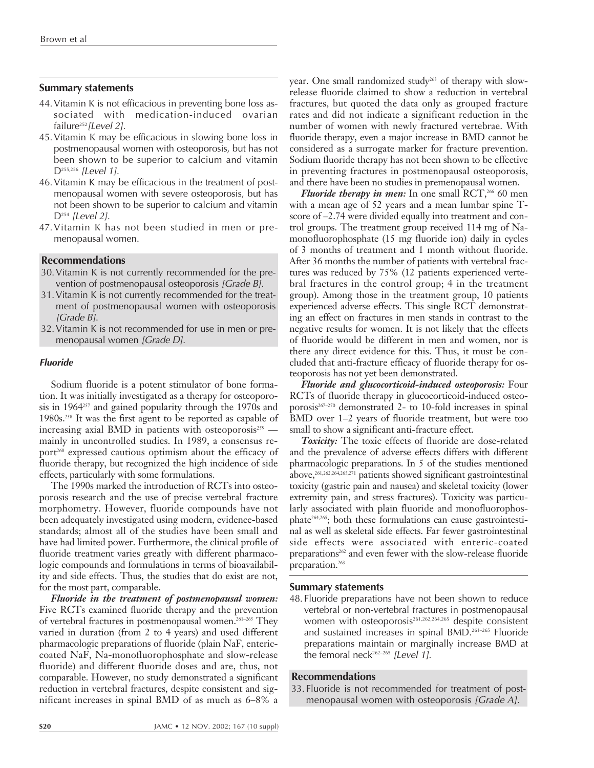## **Summary statements**

- 44.Vitamin K is not efficacious in preventing bone loss associated with medication-induced ovarian failure<sup>252</sup> [Level 2].
- 45.Vitamin K may be efficacious in slowing bone loss in postmenopausal women with osteoporosis, but has not been shown to be superior to calcium and vitamin D<sup>255,256</sup> [Level 1].
- 46.Vitamin K may be efficacious in the treatment of postmenopausal women with severe osteoporosis, but has not been shown to be superior to calcium and vitamin  $D^{254}$  [Level 2].
- 47.Vitamin K has not been studied in men or premenopausal women.

#### **Recommendations**

- 30.Vitamin K is not currently recommended for the prevention of postmenopausal osteoporosis [Grade B].
- 31.Vitamin K is not currently recommended for the treatment of postmenopausal women with osteoporosis [Grade B].
- 32.Vitamin K is not recommended for use in men or premenopausal women [Grade D].

#### **Fluoride**

Sodium fluoride is a potent stimulator of bone formation. It was initially investigated as a therapy for osteoporosis in 1964257 and gained popularity through the 1970s and 1980s.258 It was the first agent to be reported as capable of increasing axial BMD in patients with osteoporosis<sup>259</sup> mainly in uncontrolled studies. In 1989, a consensus report<sup>260</sup> expressed cautious optimism about the efficacy of fluoride therapy, but recognized the high incidence of side effects, particularly with some formulations.

The 1990s marked the introduction of RCTs into osteoporosis research and the use of precise vertebral fracture morphometry. However, fluoride compounds have not been adequately investigated using modern, evidence-based standards; almost all of the studies have been small and have had limited power. Furthermore, the clinical profile of fluoride treatment varies greatly with different pharmacologic compounds and formulations in terms of bioavailability and side effects. Thus, the studies that do exist are not, for the most part, comparable.

*Fluoride in the treatment of postmenopausal women:* Five RCTs examined fluoride therapy and the prevention of vertebral fractures in postmenopausal women.<sup>261-265</sup> They varied in duration (from 2 to 4 years) and used different pharmacologic preparations of fluoride (plain NaF, entericcoated NaF, Na-monofluorophosphate and slow-release fluoride) and different fluoride doses and are, thus, not comparable. However, no study demonstrated a significant reduction in vertebral fractures, despite consistent and significant increases in spinal BMD of as much as 6–8% a

year. One small randomized study<sup>263</sup> of therapy with slowrelease fluoride claimed to show a reduction in vertebral fractures, but quoted the data only as grouped fracture rates and did not indicate a significant reduction in the number of women with newly fractured vertebrae. With fluoride therapy, even a major increase in BMD cannot be considered as a surrogate marker for fracture prevention. Sodium fluoride therapy has not been shown to be effective in preventing fractures in postmenopausal osteoporosis, and there have been no studies in premenopausal women.

*Fluoride therapy in men:* In one small RCT,<sup>266</sup> 60 men with a mean age of 52 years and a mean lumbar spine Tscore of –2.74 were divided equally into treatment and control groups. The treatment group received 114 mg of Namonofluorophosphate (15 mg fluoride ion) daily in cycles of 3 months of treatment and 1 month without fluoride. After 36 months the number of patients with vertebral fractures was reduced by 75% (12 patients experienced vertebral fractures in the control group; 4 in the treatment group). Among those in the treatment group, 10 patients experienced adverse effects. This single RCT demonstrating an effect on fractures in men stands in contrast to the negative results for women. It is not likely that the effects of fluoride would be different in men and women, nor is there any direct evidence for this. Thus, it must be concluded that anti-fracture efficacy of fluoride therapy for osteoporosis has not yet been demonstrated.

*Fluoride and glucocorticoid-induced osteoporosis:* Four RCTs of fluoride therapy in glucocorticoid-induced osteoporosis<sup>267-270</sup> demonstrated 2- to 10-fold increases in spinal BMD over 1–2 years of fluoride treatment, but were too small to show a significant anti-fracture effect.

*Toxicity:* The toxic effects of fluoride are dose-related and the prevalence of adverse effects differs with different pharmacologic preparations. In 5 of the studies mentioned above,261,262,264,265,271 patients showed significant gastrointestinal toxicity (gastric pain and nausea) and skeletal toxicity (lower extremity pain, and stress fractures). Toxicity was particularly associated with plain fluoride and monofluorophosphate264,265; both these formulations can cause gastrointestinal as well as skeletal side effects. Far fewer gastrointestinal side effects were associated with enteric-coated preparations<sup>262</sup> and even fewer with the slow-release fluoride preparation.<sup>263</sup>

#### **Summary statements**

48.Fluoride preparations have not been shown to reduce vertebral or non-vertebral fractures in postmenopausal women with osteoporosis<sup>261,262,264,265</sup> despite consistent and sustained increases in spinal BMD.261–265 Fluoride preparations maintain or marginally increase BMD at the femoral neck<sup>262–265</sup> [Level 1].

# **Recommendations**

33.Fluoride is not recommended for treatment of postmenopausal women with osteoporosis [Grade A].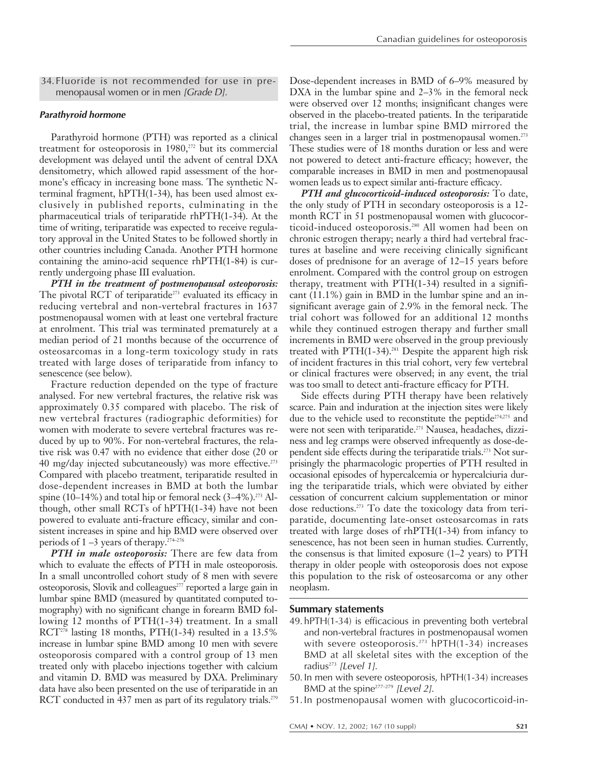34.Fluoride is not recommended for use in premenopausal women or in men [Grade D].

#### **Parathyroid hormone**

Parathyroid hormone (PTH) was reported as a clinical treatment for osteoporosis in 1980,<sup>272</sup> but its commercial development was delayed until the advent of central DXA densitometry, which allowed rapid assessment of the hormone's efficacy in increasing bone mass. The synthetic Nterminal fragment, hPTH(1-34), has been used almost exclusively in published reports, culminating in the pharmaceutical trials of teriparatide rhPTH(1-34). At the time of writing, teriparatide was expected to receive regulatory approval in the United States to be followed shortly in other countries including Canada. Another PTH hormone containing the amino-acid sequence rhPTH(1-84) is currently undergoing phase III evaluation.

*PTH in the treatment of postmenopausal osteoporosis:* The pivotal RCT of teriparatide<sup>273</sup> evaluated its efficacy in reducing vertebral and non-vertebral fractures in 1637 postmenopausal women with at least one vertebral fracture at enrolment. This trial was terminated prematurely at a median period of 21 months because of the occurrence of osteosarcomas in a long-term toxicology study in rats treated with large doses of teriparatide from infancy to senescence (see below).

Fracture reduction depended on the type of fracture analysed. For new vertebral fractures, the relative risk was approximately 0.35 compared with placebo. The risk of new vertebral fractures (radiographic deformities) for women with moderate to severe vertebral fractures was reduced by up to 90%. For non-vertebral fractures, the relative risk was 0.47 with no evidence that either dose (20 or 40 mg/day injected subcutaneously) was more effective.<sup>273</sup> Compared with placebo treatment, teriparatide resulted in dose-dependent increases in BMD at both the lumbar spine (10–14%) and total hip or femoral neck  $(3-4\%)$ .<sup>273</sup> Although, other small RCTs of hPTH(1-34) have not been powered to evaluate anti-fracture efficacy, similar and consistent increases in spine and hip BMD were observed over periods of  $1 - 3$  years of therapy.<sup>274–276</sup>

*PTH in male osteoporosis:* There are few data from which to evaluate the effects of PTH in male osteoporosis. In a small uncontrolled cohort study of 8 men with severe osteoporosis, Slovik and colleagues<sup>277</sup> reported a large gain in lumbar spine BMD (measured by quantitated computed tomography) with no significant change in forearm BMD following 12 months of PTH(1-34) treatment. In a small RCT<sup>278</sup> lasting 18 months, PTH(1-34) resulted in a 13.5% increase in lumbar spine BMD among 10 men with severe osteoporosis compared with a control group of 13 men treated only with placebo injections together with calcium and vitamin D. BMD was measured by DXA. Preliminary data have also been presented on the use of teriparatide in an RCT conducted in 437 men as part of its regulatory trials.<sup>279</sup>

Dose-dependent increases in BMD of 6–9% measured by DXA in the lumbar spine and  $2-3\%$  in the femoral neck were observed over 12 months; insignificant changes were observed in the placebo-treated patients. In the teriparatide trial, the increase in lumbar spine BMD mirrored the changes seen in a larger trial in postmenopausal women.<sup>273</sup> These studies were of 18 months duration or less and were not powered to detect anti-fracture efficacy; however, the comparable increases in BMD in men and postmenopausal women leads us to expect similar anti-fracture efficacy.

*PTH and glucocorticoid-induced osteoporosis:* To date, the only study of PTH in secondary osteoporosis is a 12 month RCT in 51 postmenopausal women with glucocorticoid-induced osteoporosis.280 All women had been on chronic estrogen therapy; nearly a third had vertebral fractures at baseline and were receiving clinically significant doses of prednisone for an average of 12–15 years before enrolment. Compared with the control group on estrogen therapy, treatment with  $PTH(1-34)$  resulted in a significant (11.1%) gain in BMD in the lumbar spine and an insignificant average gain of 2.9% in the femoral neck. The trial cohort was followed for an additional 12 months while they continued estrogen therapy and further small increments in BMD were observed in the group previously treated with PTH $(1-34)$ .<sup>281</sup> Despite the apparent high risk of incident fractures in this trial cohort, very few vertebral or clinical fractures were observed; in any event, the trial was too small to detect anti-fracture efficacy for PTH.

Side effects during PTH therapy have been relatively scarce. Pain and induration at the injection sites were likely due to the vehicle used to reconstitute the peptide<sup>274,275</sup> and were not seen with teriparatide.<sup>273</sup> Nausea, headaches, dizziness and leg cramps were observed infrequently as dose-dependent side effects during the teriparatide trials.<sup>273</sup> Not surprisingly the pharmacologic properties of PTH resulted in occasional episodes of hypercalcemia or hypercalciuria during the teriparatide trials, which were obviated by either cessation of concurrent calcium supplementation or minor dose reductions.273 To date the toxicology data from teriparatide, documenting late-onset osteosarcomas in rats treated with large doses of rhPTH(1-34) from infancy to senescence, has not been seen in human studies. Currently, the consensus is that limited exposure  $(1-2 \text{ years})$  to  $\text{PTH}$ therapy in older people with osteoporosis does not expose this population to the risk of osteosarcoma or any other neoplasm.

#### **Summary statements**

- 49.hPTH(1-34) is efficacious in preventing both vertebral and non-vertebral fractures in postmenopausal women with severe osteoporosis.<sup>273</sup> hPTH $(1-34)$  increases BMD at all skeletal sites with the exception of the radius<sup>273</sup> [Level 1].
- 50.In men with severe osteoporosis, hPTH(1-34) increases BMD at the spine $277-279$  [Level 2].
- 51.In postmenopausal women with glucocorticoid-in-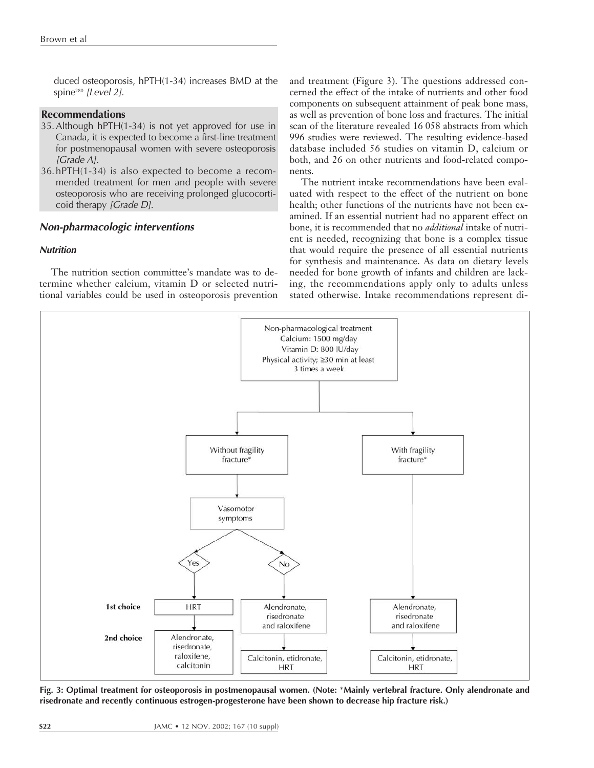duced osteoporosis, hPTH(1-34) increases BMD at the spine<sup>280</sup> [Level 2].

# **Recommendations**

- 35.Although hPTH(1-34) is not yet approved for use in Canada, it is expected to become a first-line treatment for postmenopausal women with severe osteoporosis [Grade A].
- 36.hPTH(1-34) is also expected to become a recommended treatment for men and people with severe osteoporosis who are receiving prolonged glucocorticoid therapy [Grade D].

## **Non-pharmacologic interventions**

## **Nutrition**

The nutrition section committee's mandate was to determine whether calcium, vitamin D or selected nutritional variables could be used in osteoporosis prevention and treatment (Figure 3). The questions addressed concerned the effect of the intake of nutrients and other food components on subsequent attainment of peak bone mass, as well as prevention of bone loss and fractures. The initial scan of the literature revealed 16 058 abstracts from which 996 studies were reviewed. The resulting evidence-based database included 56 studies on vitamin D, calcium or both, and 26 on other nutrients and food-related components.

The nutrient intake recommendations have been evaluated with respect to the effect of the nutrient on bone health; other functions of the nutrients have not been examined. If an essential nutrient had no apparent effect on bone, it is recommended that no *additional* intake of nutrient is needed, recognizing that bone is a complex tissue that would require the presence of all essential nutrients for synthesis and maintenance. As data on dietary levels needed for bone growth of infants and children are lacking, the recommendations apply only to adults unless stated otherwise. Intake recommendations represent di-



**Fig. 3: Optimal treatment for osteoporosis in postmenopausal women. (Note:** \***Mainly vertebral fracture. Only alendronate and risedronate and recently continuous estrogen-progesterone have been shown to decrease hip fracture risk.)**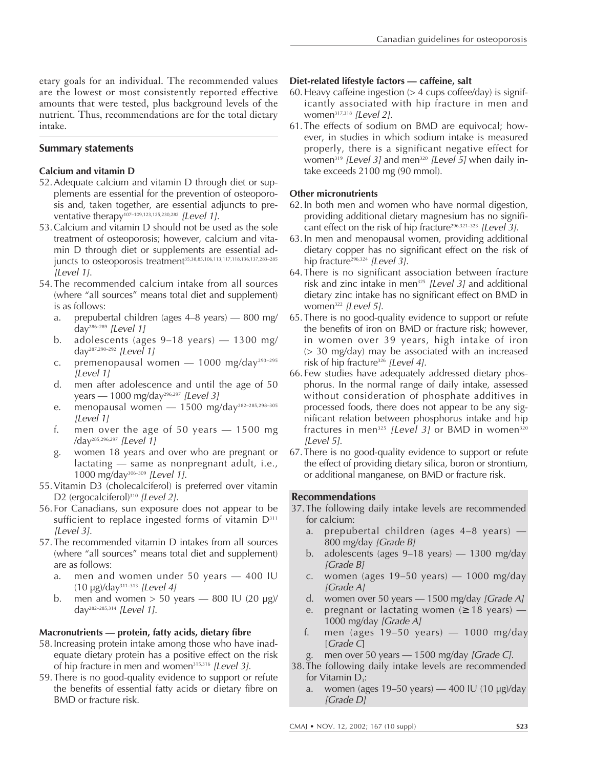etary goals for an individual. The recommended values are the lowest or most consistently reported effective amounts that were tested, plus background levels of the nutrient. Thus, recommendations are for the total dietary intake.

# **Summary statements**

# **Calcium and vitamin D**

- 52.Adequate calcium and vitamin D through diet or supplements are essential for the prevention of osteoporosis and, taken together, are essential adjuncts to preventative therapy<sup>107-109,123,125,230,282</sup> [Level 1].
- 53.Calcium and vitamin D should not be used as the sole treatment of osteoporosis; however, calcium and vitamin D through diet or supplements are essential adjuncts to osteoporosis treatment<sup>35,38,85,106,113,117,118,136,137,283-285</sup> [Level 1].
- 54.The recommended calcium intake from all sources (where "all sources" means total diet and supplement) is as follows:
	- a. prepubertal children (ages 4–8 years) 800 mg/ day<sup>286–289</sup> [Level 1]
	- b. adolescents (ages 9–18 years) 1300 mg/ day287,290–292 [Level 1]
	- c. premenopausal women  $-$  1000 mg/day<sup>293-295</sup> [Level 1]
	- d. men after adolescence and until the age of 50 years — 1000 mg/day<sup>296,297</sup> [Level 3]
	- e. menopausal women 1500 mg/day<sup>282-285,298-305</sup> [Level 1]
	- f. men over the age of 50 years 1500 mg /day285,296,297 [Level 1]
	- g. women 18 years and over who are pregnant or lactating — same as nonpregnant adult, i.e., 1000 mg/day306–309 [Level 1].
- 55.Vitamin D3 (cholecalciferol) is preferred over vitamin D2 (ergocalciferol)<sup>310</sup> [Level 2].
- 56.For Canadians, sun exposure does not appear to be sufficient to replace ingested forms of vitamin  $D<sup>311</sup>$ [Level 3].
- 57.The recommended vitamin D intakes from all sources (where "all sources" means total diet and supplement) are as follows:
	- a. men and women under 50 years 400 IU  $(10 \text{ µg})$ /day<sup>311-313</sup> [Level 4]
	- b. men and women  $> 50$  years  $800$  IU (20 µg)/ day<sup>282–285,314</sup> [Level 1].

# **Macronutrients — protein, fatty acids, dietary fibre**

- 58.Increasing protein intake among those who have inadequate dietary protein has a positive effect on the risk of hip fracture in men and women<sup>315,316</sup> [Level 3].
- 59.There is no good-quality evidence to support or refute the benefits of essential fatty acids or dietary fibre on BMD or fracture risk.

## **Diet-related lifestyle factors — caffeine, salt**

- 60. Heavy caffeine ingestion  $(> 4 \text{ cups coffee/day})$  is significantly associated with hip fracture in men and women<sup>317,318</sup> [Level 2].
- 61.The effects of sodium on BMD are equivocal; however, in studies in which sodium intake is measured properly, there is a significant negative effect for women<sup>319</sup> [Level 3] and men<sup>320</sup> [Level 5] when daily intake exceeds 2100 mg (90 mmol).

# **Other micronutrients**

- 62.In both men and women who have normal digestion, providing additional dietary magnesium has no significant effect on the risk of hip fracture<sup>296,321-323</sup> [Level 3].
- 63.In men and menopausal women, providing additional dietary copper has no significant effect on the risk of hip fracture<sup>296,324</sup> [Level 3].
- 64.There is no significant association between fracture risk and zinc intake in men $325$  [Level 3] and additional dietary zinc intake has no significant effect on BMD in women<sup>322</sup> [Level 5].
- 65.There is no good-quality evidence to support or refute the benefits of iron on BMD or fracture risk; however, in women over 39 years, high intake of iron (> 30 mg/day) may be associated with an increased risk of hip fracture<sup>326</sup> [Level 4].
- 66.Few studies have adequately addressed dietary phosphorus. In the normal range of daily intake, assessed without consideration of phosphate additives in processed foods, there does not appear to be any significant relation between phosphorus intake and hip fractures in men<sup>325</sup> [Level 3] or BMD in women<sup>320</sup> [Level 5].
- 67. There is no good-quality evidence to support or refute the effect of providing dietary silica, boron or strontium, or additional manganese, on BMD or fracture risk.

# **Recommendations**

- 37.The following daily intake levels are recommended for calcium:
	- a. prepubertal children (ages 4–8 years) 800 mg/day [Grade B]
	- b. adolescents (ages 9–18 years) 1300 mg/day [Grade B]
	- c. women (ages 19–50 years) 1000 mg/day [Grade A]
	- d. women over 50 years  $-$  1500 mg/day [Grade A]
	- e. pregnant or lactating women  $(≥ 18 \text{ years})$  1000 mg/day [Grade A]
	- f. men (ages 19–50 years) 1000 mg/day [Grade C]
	- men over 50 years 1500 mg/day [Grade C].
- 38.The following daily intake levels are recommended for Vitamin  $D_3$ :
	- a. women (ages  $19-50$  years)  $-400$  IU (10  $\mu$ g)/day [Grade D]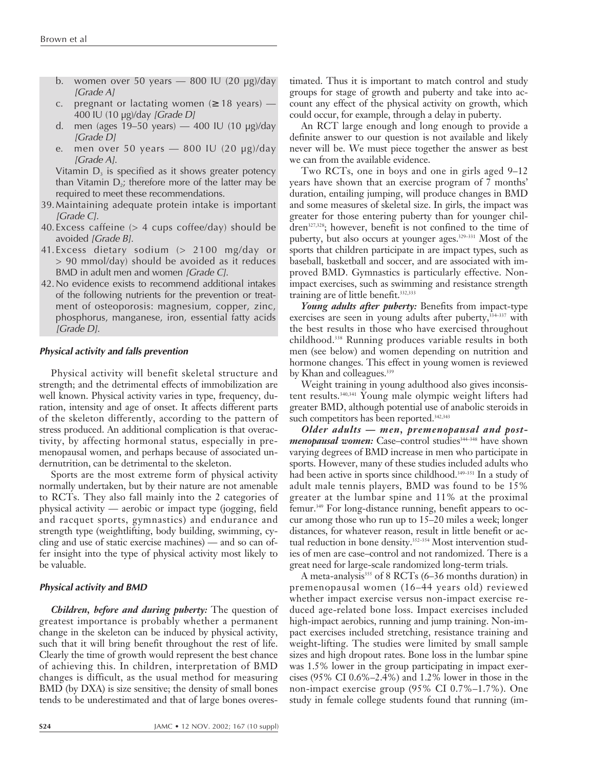- b. women over 50 years  $-$  800 IU (20 µg)/day [Grade A]
- c. pregnant or lactating women  $(≥ 18$  years) 400 IU (10 µg)/day [Grade D]
- d. men (ages 19–50 years) 400 IU (10 µg)/day [Grade D]
- e. men over 50 years 800 IU (20 µg)/day [Grade A].

Vitamin  $D_3$  is specified as it shows greater potency than Vitamin  $D_2$ ; therefore more of the latter may be required to meet these recommendations.

- 39.Maintaining adequate protein intake is important [Grade C].
- 40. Excess caffeine  $(> 4 \text{ cups coffee/day})$  should be avoided [Grade B].
- 41.Excess dietary sodium (> 2100 mg/day or > 90 mmol/day) should be avoided as it reduces BMD in adult men and women [Grade C].
- 42.No evidence exists to recommend additional intakes of the following nutrients for the prevention or treatment of osteoporosis: magnesium, copper, zinc, phosphorus, manganese, iron, essential fatty acids [Grade D].

#### **Physical activity and falls prevention**

Physical activity will benefit skeletal structure and strength; and the detrimental effects of immobilization are well known. Physical activity varies in type, frequency, duration, intensity and age of onset. It affects different parts of the skeleton differently, according to the pattern of stress produced. An additional complication is that overactivity, by affecting hormonal status, especially in premenopausal women, and perhaps because of associated undernutrition, can be detrimental to the skeleton.

Sports are the most extreme form of physical activity normally undertaken, but by their nature are not amenable to RCTs. They also fall mainly into the 2 categories of physical activity — aerobic or impact type (jogging, field and racquet sports, gymnastics) and endurance and strength type (weightlifting, body building, swimming, cycling and use of static exercise machines) — and so can offer insight into the type of physical activity most likely to be valuable.

#### **Physical activity and BMD**

*Children, before and during puberty:* The question of greatest importance is probably whether a permanent change in the skeleton can be induced by physical activity, such that it will bring benefit throughout the rest of life. Clearly the time of growth would represent the best chance of achieving this. In children, interpretation of BMD changes is difficult, as the usual method for measuring BMD (by DXA) is size sensitive; the density of small bones tends to be underestimated and that of large bones overes-

timated. Thus it is important to match control and study groups for stage of growth and puberty and take into account any effect of the physical activity on growth, which could occur, for example, through a delay in puberty.

An RCT large enough and long enough to provide a definite answer to our question is not available and likely never will be. We must piece together the answer as best we can from the available evidence.

Two RCTs, one in boys and one in girls aged 9–12 years have shown that an exercise program of 7 months' duration, entailing jumping, will produce changes in BMD and some measures of skeletal size. In girls, the impact was greater for those entering puberty than for younger children<sup>327,328</sup>; however, benefit is not confined to the time of puberty, but also occurs at younger ages.<sup>329-331</sup> Most of the sports that children participate in are impact types, such as baseball, basketball and soccer, and are associated with improved BMD. Gymnastics is particularly effective. Nonimpact exercises, such as swimming and resistance strength training are of little benefit.<sup>332,333</sup>

*Young adults after puberty:* Benefits from impact-type exercises are seen in young adults after puberty,  $334-337$  with the best results in those who have exercised throughout childhood.338 Running produces variable results in both men (see below) and women depending on nutrition and hormone changes. This effect in young women is reviewed by Khan and colleagues.<sup>339</sup>

Weight training in young adulthood also gives inconsistent results.340,341 Young male olympic weight lifters had greater BMD, although potential use of anabolic steroids in such competitors has been reported.<sup>342,343</sup>

*Older adults — men, premenopausal and postmenopausal women:* Case-control studies<sup>344-348</sup> have shown varying degrees of BMD increase in men who participate in sports. However, many of these studies included adults who had been active in sports since childhood.<sup>349-351</sup> In a study of adult male tennis players, BMD was found to be 15% greater at the lumbar spine and 11% at the proximal femur.349 For long-distance running, benefit appears to occur among those who run up to 15–20 miles a week; longer distances, for whatever reason, result in little benefit or actual reduction in bone density.<sup>352-354</sup> Most intervention studies of men are case–control and not randomized. There is a great need for large-scale randomized long-term trials.

A meta-analysis<sup>355</sup> of 8 RCTs (6-36 months duration) in premenopausal women (16–44 years old) reviewed whether impact exercise versus non-impact exercise reduced age-related bone loss. Impact exercises included high-impact aerobics, running and jump training. Non-impact exercises included stretching, resistance training and weight-lifting. The studies were limited by small sample sizes and high dropout rates. Bone loss in the lumbar spine was 1.5% lower in the group participating in impact exercises (95% CI 0.6%–2.4%) and 1.2% lower in those in the non-impact exercise group (95% CI 0.7%–1.7%). One study in female college students found that running (im-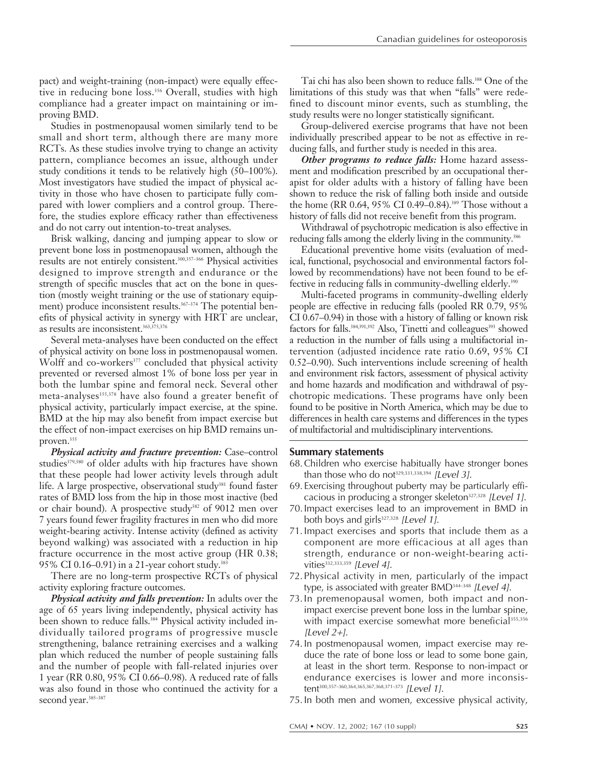pact) and weight-training (non-impact) were equally effective in reducing bone loss.<sup>356</sup> Overall, studies with high compliance had a greater impact on maintaining or improving BMD.

Studies in postmenopausal women similarly tend to be small and short term, although there are many more RCTs. As these studies involve trying to change an activity pattern, compliance becomes an issue, although under study conditions it tends to be relatively high (50–100%). Most investigators have studied the impact of physical activity in those who have chosen to participate fully compared with lower compliers and a control group. Therefore, the studies explore efficacy rather than effectiveness and do not carry out intention-to-treat analyses.

Brisk walking, dancing and jumping appear to slow or prevent bone loss in postmenopausal women, although the results are not entirely consistent.300,357–366 Physical activities designed to improve strength and endurance or the strength of specific muscles that act on the bone in question (mostly weight training or the use of stationary equipment) produce inconsistent results.<sup>367-374</sup> The potential benefits of physical activity in synergy with HRT are unclear, as results are inconsistent.363,375,376

Several meta-analyses have been conducted on the effect of physical activity on bone loss in postmenopausal women. Wolff and co-workers<sup>377</sup> concluded that physical activity prevented or reversed almost 1% of bone loss per year in both the lumbar spine and femoral neck. Several other meta-analyses<sup>355,378</sup> have also found a greater benefit of physical activity, particularly impact exercise, at the spine. BMD at the hip may also benefit from impact exercise but the effect of non-impact exercises on hip BMD remains unproven.<sup>355</sup>

*Physical activity and fracture prevention:* Case–control studies<sup>379,380</sup> of older adults with hip fractures have shown that these people had lower activity levels through adult life. A large prospective, observational study<sup>381</sup> found faster rates of BMD loss from the hip in those most inactive (bed or chair bound). A prospective study<sup>382</sup> of 9012 men over 7 years found fewer fragility fractures in men who did more weight-bearing activity. Intense activity (defined as activity beyond walking) was associated with a reduction in hip fracture occurrence in the most active group (HR 0.38; 95% CI 0.16–0.91) in a 21-year cohort study.383

There are no long-term prospective RCTs of physical activity exploring fracture outcomes.

*Physical activity and falls prevention:* In adults over the age of 65 years living independently, physical activity has been shown to reduce falls.<sup>384</sup> Physical activity included individually tailored programs of progressive muscle strengthening, balance retraining exercises and a walking plan which reduced the number of people sustaining falls and the number of people with fall-related injuries over 1year (RR 0.80, 95% CI 0.66–0.98). A reduced rate of falls was also found in those who continued the activity for a second year.<sup>385-387</sup>

Tai chi has also been shown to reduce falls.388 One of the limitations of this study was that when "falls" were redefined to discount minor events, such as stumbling, the study results were no longer statistically significant.

Group-delivered exercise programs that have not been individually prescribed appear to be not as effective in reducing falls, and further study is needed in this area.

*Other programs to reduce falls:* Home hazard assessment and modification prescribed by an occupational therapist for older adults with a history of falling have been shown to reduce the risk of falling both inside and outside the home (RR 0.64, 95% CI 0.49–0.84).<sup>389</sup> Those without a history of falls did not receive benefit from this program.

Withdrawal of psychotropic medication is also effective in reducing falls among the elderly living in the community.<sup>386</sup>

Educational preventive home visits (evaluation of medical, functional, psychosocial and environmental factors followed by recommendations) have not been found to be effective in reducing falls in community-dwelling elderly.<sup>390</sup>

Multi-faceted programs in community-dwelling elderly people are effective in reducing falls (pooled RR 0.79, 95% CI 0.67–0.94) in those with a history of falling or known risk factors for falls.<sup>384,391,392</sup> Also, Tinetti and colleagues<sup>393</sup> showed a reduction in the number of falls using a multifactorial intervention (adjusted incidence rate ratio 0.69, 95% CI 0.52–0.90). Such interventions include screening of health and environment risk factors, assessment of physical activity and home hazards and modification and withdrawal of psychotropic medications. These programs have only been found to be positive in North America, which may be due to differences in health care systems and differences in the types of multifactorial and multidisciplinary interventions.

## **Summary statements**

- 68.Children who exercise habitually have stronger bones than those who do not<sup>329,331,338,394</sup> [Level 3].
- 69.Exercising throughout puberty may be particularly efficacious in producing a stronger skeleton $327,328$  [Level 1].
- 70.Impact exercises lead to an improvement in BMD in both boys and girls $327,328$  [Level 1].
- 71.Impact exercises and sports that include them as a component are more efficacious at all ages than strength, endurance or non-weight-bearing activities<sup>332,333,359</sup> [Level 4].
- 72.Physical activity in men, particularly of the impact type, is associated with greater BMD<sup>344-348</sup> [Level 4].
- 73.In premenopausal women, both impact and nonimpact exercise prevent bone loss in the lumbar spine, with impact exercise somewhat more beneficial<sup>355,356</sup> [Level  $2+$ ].
- 74.In postmenopausal women, impact exercise may reduce the rate of bone loss or lead to some bone gain, at least in the short term. Response to non-impact or endurance exercises is lower and more inconsistent<sup>300,357-360,364,365,367,368,371-373</sup> [Level 1].
- 75.In both men and women, excessive physical activity,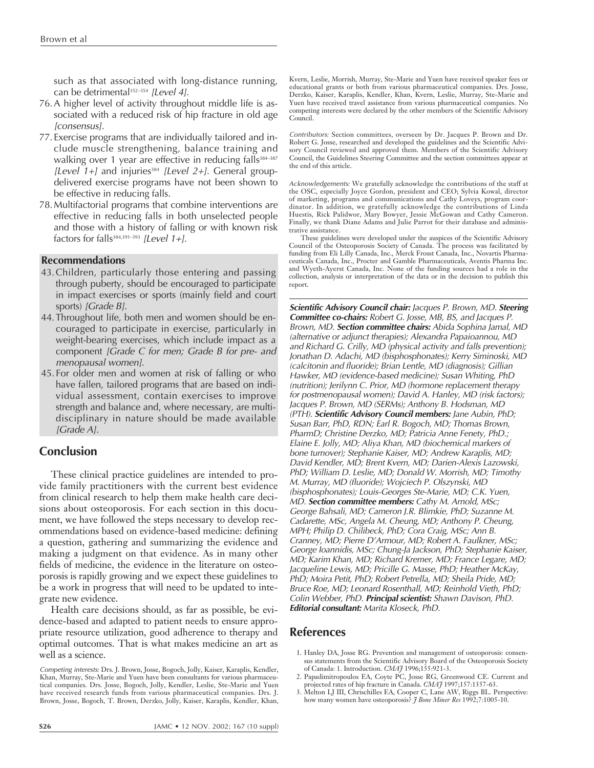such as that associated with long-distance running, can be detrimental $352-354$  [Level 4].

- 76.A higher level of activity throughout middle life is associated with a reduced risk of hip fracture in old age [consensus].
- 77.Exercise programs that are individually tailored and include muscle strengthening, balance training and walking over 1 year are effective in reducing falls<sup>384-387</sup> [Level  $1+j$  and injuries<sup>384</sup> [Level 2+]. General groupdelivered exercise programs have not been shown to be effective in reducing falls.
- 78.Multifactorial programs that combine interventions are effective in reducing falls in both unselected people and those with a history of falling or with known risk factors for falls<sup>384,391-393</sup> [Level 1+].

# **Recommendations**

- 43.Children, particularly those entering and passing through puberty, should be encouraged to participate in impact exercises or sports (mainly field and court sports) [Grade B].
- 44.Throughout life, both men and women should be encouraged to participate in exercise, particularly in weight-bearing exercises, which include impact as a component [Grade C for men; Grade B for pre- and menopausal women].
- 45.For older men and women at risk of falling or who have fallen, tailored programs that are based on individual assessment, contain exercises to improve strength and balance and, where necessary, are multidisciplinary in nature should be made available [Grade A].

# **Conclusion**

These clinical practice guidelines are intended to provide family practitioners with the current best evidence from clinical research to help them make health care decisions about osteoporosis. For each section in this document, we have followed the steps necessary to develop recommendations based on evidence-based medicine: defining a question, gathering and summarizing the evidence and making a judgment on that evidence. As in many other fields of medicine, the evidence in the literature on osteoporosis is rapidly growing and we expect these guidelines to be a work in progress that will need to be updated to integrate new evidence.

Health care decisions should, as far as possible, be evidence-based and adapted to patient needs to ensure appropriate resource utilization, good adherence to therapy and optimal outcomes. That is what makes medicine an art as well as a science.

Kvern, Leslie, Morrish, Murray, Ste-Marie and Yuen have received speaker fees or educational grants or both from various pharmaceutical companies. Drs. Josse, Derzko, Kaiser, Karaplis, Kendler, Khan, Kvern, Leslie, Murray, Ste-Marie and Yuen have received travel assistance from various pharmaceutical companies. No competing interests were declared by the other members of the Scientific Advisory Council.

Contributors*:* Section committees, overseen by Dr. Jacques P. Brown and Dr. Robert G. Josse, researched and developed the guidelines and the Scientific Advisory Council reviewed and approved them. Members of the Scientific Advisory Council, the Guidelines Steering Committee and the section committees appear at the end of this article.

Acknowledgements*:* We gratefully acknowledge the contributions of the staff at the OSC, especially Joyce Gordon, president and CEO; Sylvia Kowal, director of marketing, programs and communications and Cathy Loveys, program coordinator. In addition, we gratefully acknowledge the contributions of Linda Huestis, Rick Palidwor, Mary Bowyer, Jessie McGowan and Cathy Cameron. Finally, we thank Diane Adams and Julie Parrot for their database and administrative assistance.

These guidelines were developed under the auspices of the Scientific Advisory Council of the Osteoporosis Society of Canada. The process was facilitated by funding from Eli Lilly Canada, Inc., Merck Frosst Canada, Inc., Novartis Pharmaceuticals Canada, Inc., Procter and Gamble Pharmaceuticals, Aventis Pharma Inc. and Wyeth-Ayerst Canada, Inc. None of the funding sources had a role in the collection, analysis or interpretation of the data or in the decision to publish this report.

**Scientific Advisory Council chair:** Jacques P. Brown, MD. **Steering Committee co-chairs:** Robert G. Josse, MB, BS, and Jacques P. Brown, MD. **Section committee chairs:** Abida Sophina Jamal, MD (alternative or adjunct therapies); Alexandra Papaioannou, MD and Richard G. Crilly, MD (physical activity and falls prevention); Jonathan D. Adachi, MD (bisphosphonates); Kerry Siminoski, MD (calcitonin and fluoride); Brian Lentle, MD (diagnosis); Gillian Hawker, MD (evidence-based medicine); Susan Whiting, PhD (nutrition); Jerilynn C. Prior, MD (hormone replacement therapy for postmenopausal women); David A. Hanley, MD (risk factors); Jacques P. Brown, MD (SERMs); Anthony B. Hodsman, MD (PTH). **Scientific Advisory Council members:** Jane Aubin, PhD; Susan Barr, PhD, RDN; Earl R. Bogoch, MD; Thomas Brown, PharmD; Christine Derzko, MD; Patricia Anne Fenety, PhD.; Elaine E. Jolly, MD; Aliya Khan, MD (biochemical markers of bone turnover); Stephanie Kaiser, MD; Andrew Karaplis, MD; David Kendler, MD; Brent Kvern, MD; Darien-Alexis Lazowski, PhD; William D. Leslie, MD; Donald W. Morrish, MD; Timothy M. Murray, MD (fluoride); Wojciech P. Olszynski, MD (bisphosphonates); Louis-Georges Ste-Marie, MD; C.K. Yuen, MD. **Section committee members:** Cathy M. Arnold, MSc; George Bahsali, MD; Cameron J.R. Blimkie, PhD; Suzanne M. Cadarette, MSc, Angela M. Cheung, MD; Anthony P. Cheung, MPH; Philip D. Chilibeck, PhD; Cora Craig, MSc; Ann B. Cranney, MD; Pierre D'Armour, MD; Robert A. Faulkner, MSc; George Ioannidis, MSc; Chung-Ja Jackson, PhD; Stephanie Kaiser, MD; Karim Khan, MD; Richard Kremer, MD; France Legare, MD; Jacqueline Lewis, MD; Pricille G. Masse, PhD; Heather McKay, PhD; Moira Petit, PhD; Robert Petrella, MD; Sheila Pride, MD; Bruce Roe, MD; Leonard Rosenthall, MD; Reinhold Vieth, PhD; Colin Webber, PhD. **Principal scientist:** Shawn Davison, PhD. **Editorial consultant:** Marita Kloseck, PhD.

# **References**

- 1. Hanley DA, Josse RG. Prevention and management of osteoporosis: consensus statements from the Scientific Advisory Board of the Osteoporosis Society of Canada: 1. Introduction. *CMAJ* 1996;155:921-3.
- 2. Papadimitropoulos EA, Coyte PC, Josse RG, Greenwood CE. Current and projected rates of hip fracture in Canada. *CMAJ* 1997;157:1357-63.
- 3. Melton LJ III, Chrischilles EA, Cooper C, Lane AW, Riggs BL. Perspective: how many women have osteoporosis? *J Bone Miner Res* 1992;7:1005-10.

Competing interests*:* Drs. J. Brown, Josse, Bogoch, Jolly, Kaiser, Karaplis, Kendler, Khan, Murray, Ste-Marie and Yuen have been consultants for various pharmaceutical companies. Drs. Josse, Bogoch, Jolly, Kendler, Leslie, Ste-Marie and Yuen have received research funds from various pharmaceutical companies. Drs. J. Brown, Josse, Bogoch, T. Brown, Derzko, Jolly, Kaiser, Karaplis, Kendler, Khan,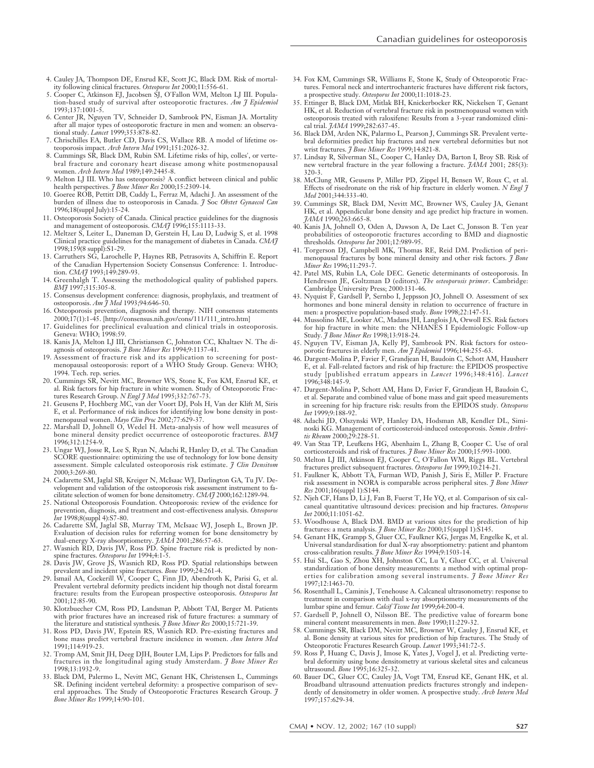- 4. Cauley JA, Thompson DE, Ensrud KE, Scott JC, Black DM. Risk of mortality following clinical fractures. *Osteoporos Int* 2000;11:556-61.
- 5. Cooper C, Atkinson EJ, Jacobsen SJ, O'Fallon WM, Melton LJ III. Population-based study of survival after osteoporotic fractures. *Am J Epidemiol* 1993;137:1001-5.
- 6. Center JR, Nguyen TV, Schneider D, Sambrook PN, Eisman JA. Mortality after all major types of osteoporotic fracture in men and women: an observational study. *Lancet* 1999;353:878-82.
- 7. Chrischilles EA, Butler CD, Davis CS, Wallace RB. A model of lifetime osteoporosis impact. *Arch Intern Med* 1991;151:2026-32.
- 8. Cummings SR, Black DM, Rubin SM. Lifetime risks of hip, colles', or vertebral fracture and coronary heart disease among white postmenopausal women. *Arch Intern Med* 1989;149:2445-8.
- 9. Melton LJ III. Who has osteoporosis? A conflict between clinical and public health perspectives. *J Bone Miner Res* 2000;15:2309-14.
- 10. Goeree ROB, Pettitt DB, Cuddy L, Ferraz M, Adachi J. An assessment of the burden of illness due to osteoporosis in Canada. *J* Soc *Obstet Gynaecol Can* 1996;18(suppl July):15-24.
- 11. Osteoporosis Society of Canada. Clinical practice guidelines for the diagnosis and management of osteoporosis. *CMAJ* 1996;155:1113-33.
- 12. Meltzer S, Leiter L, Daneman D, Gerstein H, Lau D, Ludwig S, et al. 1998 Clinical practice guidelines for the management of diabetes in Canada. *CMAJ* 1998;159(8 suppl):S1-29.
- 13. Carruthers SG, Larochelle P, Haynes RB, Petrasovits A, Schiffrin E. Report of the Canadian Hypertension Society Consensus Conference: 1. Introduction. *CMA*<sup>7</sup> 1993;149:289-93.
- 14. Greenhalgh T. Assessing the methodological quality of published papers. *BMJ* 1997;315:305-8.
- 15. Consensus development conference: diagnosis, prophylaxis, and treatment of osteoporosis. *Am J Med* 1993;94:646-50.
- 16. Osteoporosis prevention, diagnosis and therapy. NIH consensus statements 2000;17(1):1-45. [http://consensus.nih.gov/cons/111/111\_intro.htm]
- 17. Guidelines for preclinical evaluation and clinical trials in osteoporosis. Geneva: WHO; 1998:59.
- 18. Kanis JA, Melton LJ III, Christiansen C, Johnston CC, Khaltaev N. The diagnosis of osteoporosis. *J Bone Miner Res* 1994;9:1137-41.
- 19. Assessment of fracture risk and its application to screening for postmenopausal osteoporosis: report of a WHO Study Group. Geneva: WHO; 1994. Tech. rep. series.
- 20. Cummings SR, Nevitt MC, Browner WS, Stone K, Fox KM, Ensrud KE, et al. Risk factors for hip fracture in white women. Study of Osteoporotic Fractures Research Group. *N Engl J Med* 1995;332:767-73.
- 21. Geusens P, Hochberg MC, van der Voort DJ, Pols H, Van der Klift M, Siris E, et al. Performance of risk indices for identifying low bone density in postmenopausal women. *Mayo Clin Proc* 2002;77:629-37.
- 22. Marshall D, Johnell O, Wedel H. Meta-analysis of how well measures of bone mineral density predict occurrence of osteoporotic fractures. *BMJ* 1996;312:1254-9.
- 23. Ungar WJ, Josse R, Lee S, Ryan N, Adachi R, Hanley D, et al. The Canadian SCORE questionnaire: optimizing the use of technology for low bone density assessment. Simple calculated osteoporosis risk estimate. *J Clin Densitom* 2000;3:269-80.
- 24. Cadarette SM, Jaglal SB, Kreiger N, McIsaac WJ, Darlington GA, Tu JV. Development and validation of the osteoporosis risk assessment instrument to facilitate selection of women for bone densitometry. *CMAJ* 2000;162:1289-94.
- 25. National Osteoporosis Foundation. Osteoporosis: review of the evidence for prevention, diagnosis, and treatment and cost-effectiveness analysis. *Osteoporos Int* 1998;8(suppl 4):S7-80.
- 26. Cadarette SM, Jaglal SB, Murray TM, McIsaac WJ, Joseph L, Brown JP. Evaluation of decision rules for referring women for bone densitometry by<br>dual-energy X-ray absorptiometry. *JAMA* 2001;286:57-63.<br>27. Wasnich RD, Davis JW, Ross PD. Spine fracture risk is predicted by non-<br>spine fractures
- 
- 28. Davis JW, Grove JS, Wasnich RD, Ross PD. Spatial relationships between prevalent and incident spine fractures. *Bone* 1999;24:261-4.
- 29. Ismail AA, Cockerill W, Cooper C, Finn JD, Abendroth K, Parisi G, et al. Prevalent vertebral deformity predicts incident hip though not distal forearm fracture: results from the European prospective osteoporosis. *Osteoporos Int* 2001;12:85-90.
- 30. Klotzbuecher CM, Ross PD, Landsman P, Abbott TAI, Berger M. Patients with prior fractures have an increased risk of future fractures: a summary of
- the literature and statistical synthesis. *J Bone Miner Res* 2000;15:721-39. 31. Ross PD, Davis JW, Epstein RS, Wasnich RD. Pre-existing fractures and bone mass predict vertebral fracture incidence in women. *Ann Intern Med* 1991;114:919-23.
- 32. Tromp AM, Smit JH, Deeg DJH, Bouter LM, Lips P. Predictors for falls and fractures in the longitudinal aging study Amsterdam. *J Bone Miner Res* 1998;13:1932-9.
- 33. Black DM, Palermo L, Nevitt MC, Genant HK, Christensen L, Cummings SR. Defining incident vertebral deformity: a prospective comparison of several approaches. The Study of Osteoporotic Fractures Research Group. *J Bone Miner Res* 1999;14:90-101.
- 34. Fox KM, Cummings SR, Williams E, Stone K, Study of Osteoporotic Fractures. Femoral neck and intertrochanteric fractures have different risk factors, a prospective study. *Osteoporos Int* 2000;11:1018-23.
- 35. Ettinger B, Black DM, Mitlak BH, Knickerbocker RK, Nickelsen T, Genant HK, et al. Reduction of vertebral fracture risk in postmenopausal women with osteoporosis treated with raloxifene: Results from a 3-year randomized clinical trial. *JAMA* 1999;282:637-45.
- 36. Black DM, Arden NK, Palarmo L, Pearson J, Cummings SR. Prevalent vertebral deformities predict hip fractures and new vertebral deformities but not wrist fractures. *J Bone Miner Res* 1999;14:821-8.
- 37. Lindsay R, Silverman SL, Cooper C, Hanley DA, Barton I, Broy SB. Risk of new vertebral fracture in the year following a fracture. *JAMA* 2001; 285(3): 320-3.
- 38. McClung MR, Geusens P, Miller PD, Zippel H, Bensen W, Roux C, et al. Effects of risedronate on the risk of hip fracture in elderly women. *N Engl J Med* 2001;344:333-40.
- 39. Cummings SR, Black DM, Nevitt MC, Browner WS, Cauley JA, Genant HK, et al. Appendicular bone density and age predict hip fracture in women. *JAMA* 1990;263:665-8.
- 40. Kanis JA, Johnell O, Oden A, Dawson A, De Laet C, Jonsson B. Ten year probabilities of osteoporotic fractures according to BMD and diagnostic thresholds. *Osteoporos Int* 2001;12:989-95.
- 41. Torgerson DJ, Campbell MK, Thomas RE, Reid DM. Prediction of perimenopausal fractures by bone mineral density and other risk factors. *J Bone Miner Res* 1996;11:293-7.
- 42. Patel MS, Rubin LA, Cole DEC. Genetic determinants of osteoporosis. In Hendreson JE, Goltzman D (editors). *The osteoporosis primer*. Cambridge: Cambridge University Press; 2000:131-46.
- 43. Nyquist F, Gardsell P, Sernbo I, Jeppsson JO, Johnell O. Assessment of sex hormones and bone mineral density in relation to occurrence of fracture in men: a prospective population-based study. *Bone* 1998;22:147-51.
- 44. Mussolino ME, Looker AC, Madans JH, Langlois JA, Orwoll ES. Risk factors for hip fracture in white men: the NHANES I Epidemiologic Follow-up Study. *J Bone Miner Res* 1998;13:918-24.
- 45. Nguyen TV, Eisman JA, Kelly PJ, Sambrook PN. Risk factors for osteoporotic fractures in elderly men. *Am J Epidemiol* 1996;144:255-63.
- 46. Dargent-Molina P, Favier F, Grandjean H, Baudoin C, Schott AM, Hausherr E, et al. Fall-related factors and risk of hip fracture: the EPIDOS prospective study [published erratum appears in *Lancet* 1996;348:416]. *Lancet* 1996;348:145-9.
- 47. Dargent-Molina P, Schott AM, Hans D, Favier F, Grandjean H, Baudoin C, et al. Separate and combined value of bone mass and gait speed measurements in screening for hip fracture risk: results from the EPIDOS study. *Osteoporos Int* 1999;9:188-92.
- 48. Adachi JD, Olszynski WP, Hanley DA, Hodsman AB, Kendler DL, Simi-noski KG. Management of corticosteroid-induced osteoporosis. *Semin Arthritis Rheum* 2000;29:228-51.
- 49. Van Staa TP, Leufkens HG, Abenhaim L, Zhang B, Cooper C. Use of oral corticosteroids and risk of fractures. *J Bone Miner Res* 2000;15:993-1000.
- 50. Melton LJ III, Atkinson EJ, Cooper C, O'Fallon WM, Riggs BL. Vertebral fractures predict subsequent fractures. *Osteoporos Int* 1999;10:214-21.
- 51. Faulkner K, Abbott TA, Furman WD, Panish J, Siris E, Miller P. Fracture risk assessment in NORA is comparable across peripheral sites. *J Bone Miner Res* 2001;16(suppl 1):S144.
- 52. Njeh CF, Hans D, Li J, Fan B, Fuerst T, He YQ, et al. Comparison of six calcaneal quantitative ultrasound devices: precision and hip fractures. *Osteoporos Int* 2000;11:1051-62.
- 53. Woodhouse A, Black DM. BMD at various sites for the prediction of hip fractures: a meta analysis. *J Bone Miner Res* 2000;15(suppl 1):S145.
- 54. Genant HK, Grampp S, Gluer CC, Faulkner KG, Jergas M, Engelke K, et al. Universal standardisation for dual X-ray absorptiometry: patient and phantom cross-calibration results. *J Bone Miner Res* 1994;9:1503-14.
- 55. Hui SL, Gao S, Zhou XH, Johnston CC, Lu Y, Gluer CC, et al. Universal standardization of bone density measurements: a method with optimal properties for calibration among several instruments. *J Bone Miner Res* 1997;12:1463-70.
- 56. Rosenthall L, Caminis J, Tenehouse A. Calcaneal ultrasonometry: response to treatment in comparison with dual x-ray absorptiometry measurements of the lumbar spine and femur. *Calcif Tissue Int* 1999;64:200-4.
- 57. Gardsell P, Johnell O, Nilsson BE. The predictive value of forearm bone mineral content measurements in men. *Bone* 1990;11:229-32.
- 58. Cummings SR, Black DM, Nevitt MC, Browner W, Cauley J, Ensrud KE, et al. Bone density at various sites for prediction of hip fractures. The Study of Osteoporotic Fractures Research Group. *Lancet* 1993;341:72-5.
- 59. Ross P, Huang C, Davis J, Imose K, Yates J, Vogel J, et al. Predicting vertebral deformity using bone densitometry at various skeletal sites and calcaneus ultrasound. *Bone* 1995;16:325-32.
- 60. Bauer DC, Gluer CC, Cauley JA, Vogt TM, Ensrud KE, Genant HK, et al. Broadband ultrasound attenuation predicts fractures strongly and independently of densitometry in older women. A prospective study. *Arch Intern Med* 1997;157:629-34.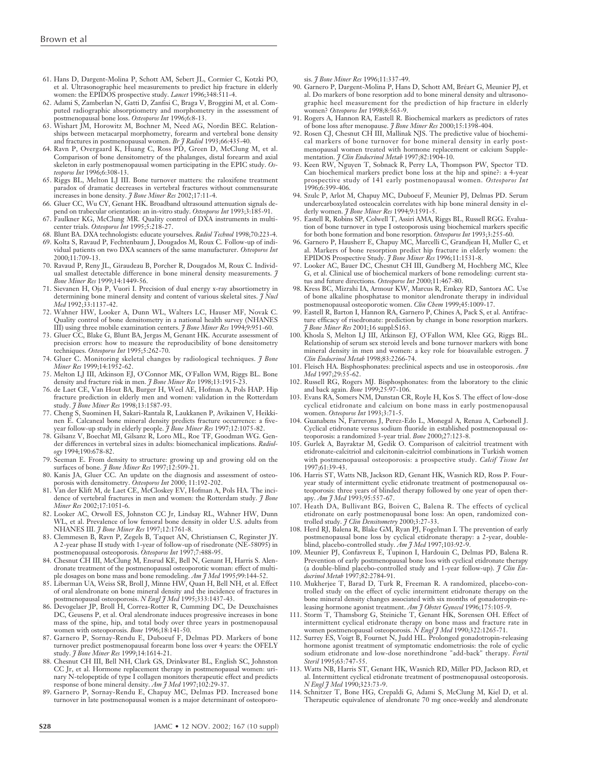- 61. Hans D, Dargent-Molina P, Schott AM, Sebert JL, Cormier C, Kotzki PO, et al. Ultrasonographic heel measurements to predict hip fracture in elderly women: the EPIDOS prospective study. *Lancet* 1996;348:511-4.
- 62. Adami S, Zamberlan N, Gatti D, Zanfisi C, Braga V, Broggini M, et al. Computed radiographic absorptiometry and morphometry in the assessment of postmenopausal bone loss. *Osteoporos Int* 1996;6:8-13.
- 63. Wishart JM, Horowitz M, Bochner M, Need AG, Nordin BEC. Relationships between metacarpal morphometry, forearm and vertebral bone density and fractures in postmenopausal women. *Br J Radiol* 1993;66:435-40.
- 64. Ravn P, Overgaard K, Huang C, Ross PD, Green D, McClung M, et al. Comparison of bone densitometry of the phalanges, distal forearm and axial skeleton in early postmenopausal women participating in the EPIC study. *Osteoporos Int* 1996;6:308-13.
- 65. Riggs BL, Melton LJ III. Bone turnover matters: the raloxifene treatment paradox of dramatic decreases in vertebral fractures without commensurate increases in bone density. *J Bone Miner Res* 2002;17:11-4.
- 66. Gluer CC, Wu CY, Genant HK. Broadband ultrasound attenuation signals de-
- pend on trabecular orientation: an in-vitro study. *Osteoporos Int* 1993;3:185-91. 67. Faulkner KG, McClung MR. Quality control of DXA instruments in multicenter trials. *Osteoporos Int* 1995;5:218-27.
- 68. Blunt BA. DXA technologists: educate yourselves. *Radiol Technol* 1998;70:223-4. 69. Kolta S, Ravaud P, Fechtenbaum J, Dougados M, Roux C. Follow-up of individual patients on two DXA scanners of the same manufacturer. *Osteoporos Int*
- 2000;11:709-13. 70. Ravaud P, Reny JL, Giraudeau B, Porcher R, Dougados M, Roux C. Individ-
- ual smallest detectable difference in bone mineral density measurements. *J Bone Miner Res* 1999;14:1449-56. 71. Sievanen H, Oja P, Vuori I. Precision of dual energy x-ray absortiometry in
- determining bone mineral density and content of various skeletal sites. *J Nucl Med* 1992;33:1137-42.
- 72. Wahner HW, Looker A, Dunn WL, Walters LC, Hauser MF, Novak C. Quality control of bone densitometry in a national health survey (NHANES III) using three mobile examination centers. *J Bone Miner Res* 1994;9:951-60.
- 73. Gluer CC, Blake G, Blunt BA, Jergas M, Genant HK. Accurate assessment of precision errors: how to measure the reproducibility of bone densitometry techniques. *Osteoporos Int* 1995;5:262-70.
- 74. Gluer C. Monitoring skeletal changes by radiological techniques. *J Bone Miner Res* 1999;14:1952-62.
- THE THE RESTRACT IN THE CONDUCT THE LAND III III, Atkinson EJ, O'Connor MK, O'Fallon WM, Riggs BL. Bone<br>
Annoise Anni III, Atkinson EJ, O'Connor *A Rone Miner Res* 1998:13:1915-23. density and fracture risk in men. *J Bone Miner Res* 1998;13:1915-
- 76. de Laet CE, Van Hout BA, Burger H, Weel AE, Hofman A, Pols HAP. Hip fracture prediction in elderly men and women: validation in the Rotterdam study. *J Bone Miner Res* 1998;13:1587-93.
- 77. Cheng S, Suominen H, Sakari-Rantala R, Laukkanen P, Avikainen V, Heikkinen E. Calcaneal bone mineral density predicts fracture occurrence: a fiveyear follow-up study in elderly people. *J Bone Miner Res* 1997;12:1075-82.
- 78. Gilsanz V, Boechat MI, Gilsanz R, Loro ML, Roe TF, Goodman WG. Gender differences in vertebral sizes in adults: biomechanical implications. *Radiology* 1994;190:678-82.
- 79. Seeman E. From density to structure: growing up and growing old on the surfaces of bone. *J Bone Miner Res* 1997;12:509-21.
- 80. Kanis JA, Gluer CC. An update on the diagnosis and assessment of osteoporosis with densitometry. *Osteoporos Int* 2000; 11:192-202.
- 81. Van der Klift M, de Laet CE, McCloskey EV, Hofman A, Pols HA. The incidence of vertebral fractures in men and women: the Rotterdam study. *J Bone Miner Res* 2002;17:1051-6.
- 82. Looker AC, Orwoll ES, Johnston CC Jr, Lindsay RL, Wahner HW, Dunn WL, et al. Prevalence of low femoral bone density in older U.S. adults from NHANES III. *J Bone Miner Res* 1997;12:1761-8.
- 83. Clemmesen B, Ravn P, Zegels B, Taquet AN, Christiansen C, Reginster JY. A 2-year phase II study with 1-year of follow-up of risedronate (NE-58095) in postmenopausal osteoporosis. *Osteoporos Int* 1997;7:488-95.
- 84. Chesnut CH III, McClung M, Ensrud KE, Bell N, Genant H, Harris S. Alendronate treatment of the postmenopausal osteoporotic woman: effect of multiple dosages on bone mass and bone remodeling. *Am J Med* 1995;99:144-52.
- 85. Liberman UA, Weiss SR, Broll J, Minne HW, Quan H, Bell NH, et al. Effect of oral alendronate on bone mineral density and the incidence of fractures in postmenopausal osteoporosis. *N Engl J Med* 1995;333:1437-43.
- 86. Devogelaer JP, Broll H, Correa-Rotter R, Cumming DC, De Deuxchaisnes DC, Geusens P, et al. Oral alendronate induces progressive increases in bone mass of the spine, hip, and total body over three years in postmenopausal women with osteoporosis. *Bone* 1996;18:141-50.
- 87. Garnero P, Sornay-Rendu E, Duboeuf F, Delmas PD. Markers of bone turnover predict postmenopausal forearm bone loss over 4 years: the OFELY study. *J Bone Miner Res* 1999;14:1614-21.
- 88. Chesnut CH III, Bell NH, Clark GS, Drinkwater BL, English SC, Johnston CC Jr, et al. Hormone replacement therapy in postmenopausal women: urinary N-telopeptide of type I collagen monitors therapeutic effect and predicts response of bone mineral density. *Am J Med* 1997;102:29-37.
- 89. Garnero P, Sornay-Rendu E, Chapuy MC, Delmas PD. Increased bone turnover in late postmenopausal women is a major determinant of osteoporo-

sis. *J Bone Miner Res* 1996;11:337-49.

- 90. Garnero P, Dargent-Molina P, Hans D, Schott AM, Bréart G, Meunier PJ, et al. Do markers of bone resorption add to bone mineral density and ultrasonographic heel measurement for the prediction of hip fracture in elderly women? *Osteoporos Int* 1998;8:563-9.
- 91. Rogers A, Hannon RA, Eastell R. Biochemical markers as predictors of rates of bone loss after menopause. *J Bone Miner Res* 2000;15:1398-404.
- 92. Rosen CJ, Chesnut CH III, Mallinak NJS. The predictive value of biochemical markers of bone turnover for bone mineral density in early postmenopausal women treated with hormone replacement or calcium Supplementation. *J Clin Endocrinol Metab* 1997;82:1904-10.
- 93. Keen RW, Nguyen T, Sobnack R, Perry LA, Thompson PW, Spector TD. Can biochemical markers predict bone loss at the hip and spine?: a 4-year prospective study of 141 early postmenopausal women. *Osteoporos Int* 1996;6:399-406.
- 94. Szulc P, Arlot M, Chapuy MC, Duboeuf F, Meunier PJ, Delmas PD. Serum undercarboxylated osteocalcin correlates with hip bone mineral density in elderly women. *J Bone Miner Res* 1994;9:1591-5.
- 95. Eastell R, Robins SP, Colwell T, Assiri AMA, Riggs BL, Russell RGG. Evaluation of bone turnover in type I osteoporosis using biochemical markers specific for both bone formation and bone resorption. *Osteoporos Int* 1993;3:255-60.
- 96. Garnero P, Hausherr E, Chapuy MC, Marcelli C, Grandjean H, Muller C, et al. Markers of bone resorption predict hip fracture in elderly women: the EPIDOS Prospective Study. *J Bone Miner Res* 1996;11:1531-8.
- 97. Looker AC, Bauer DC, Chesnut CH III, Gundberg M, Hochberg MC, Klee G, et al. Clinical use of biochemical markers of bone remodeling: current status and future directions. *Osteoporos Int* 2000;11:467-80.
- 98. Kress BC, Mizrahi IA, Armour KW, Marcus R, Emkey RD, Santora AC. Use of bone alkaline phosphatase to monitor alendronate therapy in individual postmenopausal osteoporotic women. *Clin Chem* 1999;45:1009-17.
- 99. Eastell R, Barton I, Hannon RA, Garnero P, Chines A, Pack S, et al. Antifracture efficacy of risedronate: prediction by change in bone resorption markers. *J Bone Miner Res* 2001;16 suppl:S163.
- 100. Khosla S, Melton LJ III, Atkinson EJ, O'Fallon WM, Klee GG, Riggs BL. Relationship of serum sex steroid levels and bone turnover markers with bone mineral density in men and women: a key role for bioavailable estrogen. *J Clin Endocrinol Metab* 1998;83:2266-74.
- 101. Fleisch HA. Bisphosphonates: preclinical aspects and use in osteoporosis. *Ann Med* 1997;29:55-62.
- 102. Russell RG, Rogers MJ. Bisphosphonates: from the laboratory to the clinic and back again. *Bone* 1999;25:97-106.
- 103. Evans RA, Somers NM, Dunstan CR, Royle H, Kos S. The effect of low-dose cyclical etidronate and calcium on bone mass in early postmenopausal women. *Osteoporos Int* 1993;3:71-5.
- 104. Guanabens N, Farrerons J, Perez-Edo L, Monegal A, Renau A, Carbonell J. Cyclical etidronate versus sodium fluoride in established postmenopausal osteoporosis: a randomized 3-year trial. *Bone* 2000;27:123-8.
- 105. Gurlek A, Bayraktar M, Gedik O. Comparison of calcitriol treatment with etidronate-calcitriol and calcitonin-calcitriol combinations in Turkish women with postmenopausal osteoporosis: a prospective study. *Calcif Tissue Int* 1997;61:39-43.
- 106. Harris ST, Watts NB, Jackson RD, Genant HK, Wasnich RD, Ross P. Fouryear study of intermittent cyclic etidronate treatment of postmenopausal osteoporosis: three years of blinded therapy followed by one year of open therapy. *Am J Med* 1993;95:557-67.
- 107. Heath DA, Bullivant BG, Boiven C, Balena R. The effects of cyclical etidronate on early postmenopausal bone loss: An open, randomized controlled study. *J Clin Densitometry* 2000;3:27-33.
- 108. Herd RJ, Balena R, Blake GM, Ryan PJ, Fogelman I. The prevention of early postmenopausal bone loss by cyclical etidronate therapy: a 2-year, doubleblind, placebo-controlled study. *Am J Med* 1997;103:92-9.
- 109. Meunier PJ, Confavreux E, Tupinon I, Hardouin C, Delmas PD, Balena R. Prevention of early postmenopausal bone loss with cyclical etidronate therapy (a double-blind placebo-controlled study and 1-year follow-up). *J Clin Endocrinol Metab* 1997;82:2784-91.
- 110. Mukherjee T, Barad D, Turk R, Freeman R. A randomized, placebo-controlled study on the effect of cyclic intermittent etidronate therapy on the bone mineral density changes associated with six months of gonadotropin-releasing hormone agonist treatment. *Am J Obstet Gynecol* 1996;175:105-9.
- 111. Storm T, Thamsborg G, Steiniche T, Genant HK, Sorensen OH. Effect of intermittent cyclical etidronate therapy on bone mass and fracture rate in
- women postmenopausal osteoporosis. *N Engl J Med* 1990;322:1265-71. 112. Surrey ES, Voigt B, Fournet N, Judd HL. Prolonged gonadotropin-releasing hormone agonist treatment of symptomatic endometriosis: the role of cyclic sodium etidronate and low-dose norethindrone "add-back" therapy. *Fertil Steril* 1995;63:747-55.
- 113. Watts NB, Harris ST, Genant HK, Wasnich RD, Miller PD, Jackson RD, et al. Intermittent cyclical etidronate treatment of postmenopausal osteoporosis. *N Engl J Med* 1990;323:73-9.
- 114. Schnitzer T, Bone HG, Crepaldi G, Adami S, McClung M, Kiel D, et al. Therapeutic equivalence of alendronate 70 mg once-weekly and alendronate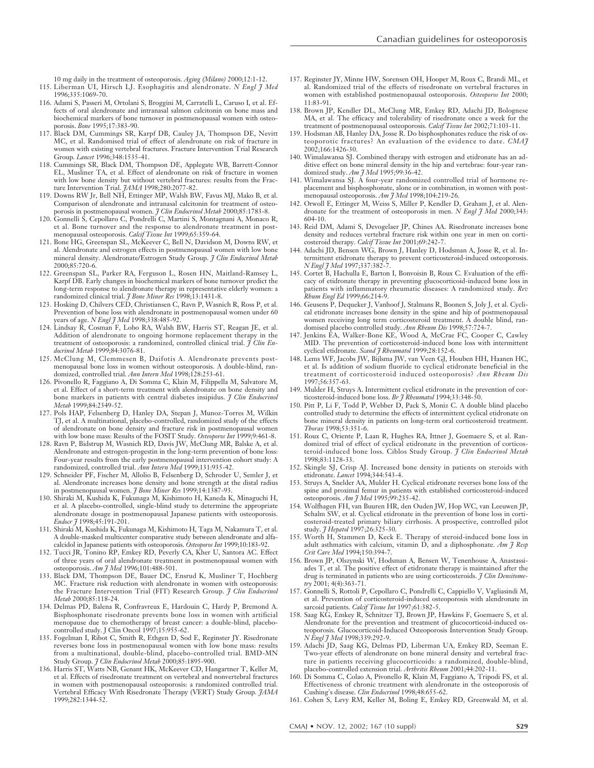10 mg daily in the treatment of osteoporosis. *Aging (Milano)* 2000;12:1-12. 115. Liberman UI, Hirsch LJ. Esophagitis and alendronate. *N Engl J Med*

- 1996;335:1069-70. 116. Adami S, Passeri M, Ortolani S, Broggini M, Carratelli L, Caruso I, et al. Effects of oral alendronate and intranasal salmon calcitonin on bone mass and biochemical markers of bone turnover in postmenopausal women with osteoporosis. *Bone* 1995;17:383-90.
- 117. Black DM, Cummings SR, Karpf DB, Cauley JA, Thompson DE, Nevitt MC, et al. Randomised trial of effect of alendronate on risk of fracture in women with existing vertebral fractures. Fracture Intervention Trial Research Group. *Lancet* 1996;348:1535-41.
- 118. Cummings SR, Black DM, Thompson DE, Applegate WB, Barrett-Connor EL, Musliner TA, et al. Effect of alendronate on risk of fracture in women with low bone density but without vertebral fractures: results from the Fracture Intervention Trial. *JAMA* 1998;280:2077-82.
- 119. Downs RW Jr, Bell NH, Ettinger MP, Walsh BW, Favus MJ, Mako B, et al. Comparison of alendronate and intranasal calcitonin for treatment of osteo-
- porosis in postmenopausal women. *J Clin Endocrinol Metab* 2000;85:1783-8. 120. Gonnelli S, Cepollaro C, Pondrelli C, Martini S, Montagnani A, Monaco R, et al. Bone turnover and the response to alendronate treatment in postmenopausal osteoporosis. *Calcif Tissue Int* 1999;65:359-64.
- 121. Bone HG, Greenspan SL, McKeever C, Bell N, Davidson M, Downs RW, et al. Alendronate and estrogen effects in postmenopausal women with low bone mineral density. Alendronate/Estrogen Study Group. *J Clin Endocrinol Metab* 2000;85:720-6.
- 122. Greenspan SL, Parker RA, Ferguson L, Rosen HN, Maitland-Ramsey L, Karpf DB. Early changes in biochemical markers of bone turnover predict the long-term response to alendronate therapy in representative elderly women: a randomized clinical trial. *J Bone Miner Res* 1998;13:1431-8.
- 123. Hosking D, Chilvers CED, Christiansen C, Ravn P, Wasnich R, Ross P, et al. Prevention of bone loss with alendronate in postmenopausal women under 60 years of age. *N Engl J Med* 1998;338:485-92.
- 124. Lindsay R, Cosman F, Lobo RA, Walsh BW, Harris ST, Reagan JE, et al. Addition of alendronate to ongoing hormone replacement therapy in the treatment of osteoporosis: a randomized, controlled clinical trial. *J Clin Endocrinol Metab* 1999;84:3076-81.
- 125. McClung M, Clemmesen B, Daifotis A. Alendronate prevents postmenopausal bone loss in women without osteoporosis. A double-blind, randomized, controlled trial. *Ann Intern Med* 1998;128:253-61.
- 126. Pivonello R, Faggiano A, Di Somma C, Klain M, Filippella M, Salvatore M, et al. Effect of a short-term treatment with alendronate on bone density and bone markers in patients with central diabetes insipidus. *J Clin Endocrinol Metab* 1999;84:2349-52.
- 127. Pols HAP, Felsenberg D, Hanley DA, Stepan J, Munoz-Torres M, Wilkin TJ, et al. A multinational, placebo-controlled, randomized study of the effects of alendronate on bone density and fracture risk in postmenopausal women with low bone mass: Results of the FOSIT Study. *Osteoporos Int* 1999;9:461-8.
- 128. Ravn P, Bidstrup M, Wasnich RD, Davis JW, McClung MR, Balske A, et al. Alendronate and estrogen-progestin in the long-term prevention of bone loss: Four-year results from the early postmenopausal intervention cohort study: A randomized, controlled trial. *Ann Intern Med* 1999;131:935-42.
- 129. Schneider PF, Fischer M, Allolio B, Felsenberg D, Schroder U, Semler J, et al. Alendronate increases bone density and bone strength at the distal radius in postmenopausal women. *J Bone Miner Res* 1999;14:1387-93.
- 130. Shiraki M, Kushida K, Fukunaga M, Kishimoto H, Kaneda K, Minaguchi H, et al. A placebo-controlled, single-blind study to determine the appropriate alendronate dosage in postmenopausal Japanese patients with osteoporosis. *Endocr J* 1998;45:191-201.
- 131. Shiraki M, Kushida K, Fukunaga M, Kishimoto H, Taga M, Nakamura T, et al. A double-masked multicenter comparative study between alendronate and alfacalcidol in Japanese patients with osteoporosis. *Osteoporos Int* 1999;10:183-92.
- 132. Tucci JR, Tonino RP, Emkey RD, Peverly CA, Kher U, Santora AC. Effect of three years of oral alendronate treatment in postmenopausal women with osteoporosis. *Am J Med* 1996;101:488-501.
- 133. Black DM, Thompson DE, Bauer DC, Ensrud K, Musliner T, Hochberg MC. Fracture risk reduction with alendronate in women with osteoporosis: the Fracture Intervention Trial (FIT) Research Group. *J Clin Endocrinol Metab* 2000;85:118-24.
- 134. Delmas PD, Balena R, Confravreux E, Hardouin C, Hardy P, Bremond A. Bisphosphonate risedronate prevents bone loss in women with artificial menopause due to chemotherapy of breast cancer: a double-blind, placebocontrolled study. J Clin Oncol 1997;15:955-62.
- 135. Fogelman I, Ribot C, Smith R, Ethgen D, Sod E, Reginster JY. Risedronate reverses bone loss in postmenopausal women with low bone mass: results from a multinational, double-blind, placebo-controlled trial. BMD-MN Study Group. *J Clin Endocrinol Metab* 2000;85:1895-900.
- 136. Harris ST, Watts NB, Genant HK, McKeever CD, Hangartner T, Keller M, et al. Effects of risedronate treatment on vertebral and nonvertebral fractures in women with postmenopausal osteoporosis: a randomized controlled trial. Vertebral Efficacy With Risedronate Therapy (VERT) Study Group. *JAMA* 1999;282:1344-52.
- 137. Reginster JY, Minne HW, Sorensen OH, Hooper M, Roux C, Brandi ML, et al. Randomized trial of the effects of risedronate on vertebral fractures in women with established postmenopausal osteoporosis. *Osteoporos Int* 2000; 11:83-91.
- 138. Brown JP, Kendler DL, McClung MR, Emkey RD, Adachi JD, Bolognese MA, et al. The efficacy and tolerability of risedronate once a week for the treatment of postmenopausal osteoporosis. *Calcif Tissue Int* 2002;71:103-11.
- 139. Hodsman AB, Hanley DA, Josse R. Do bisphosphonates reduce the risk of osteoporotic fractures? An evaluation of the evidence to date. *CMAJ* 2002;166:1426-30.
- 140. Wimalawansa SJ. Combined therapy with estrogen and etidronate has an additive effect on bone mineral density in the hip and vertebrae: four-year randomized study. *Am J Med* 1995;99:36-42.
- 141. Wimalawansa SJ. A four-year randomized controlled trial of hormone replacement and bisphosphonate, alone or in combination, in women with postmenopausal osteoporosis. *Am J Med* 1998;104:219-26.
- 142. Orwoll E, Ettinger M, Weiss S, Miller P, Kendler D, Graham J, et al. Alendronate for the treatment of osteoporosis in men. *N Engl J Med* 2000;343: 604-10.
- 143. Reid DM, Adami S, Devogelaer JP, Chines AA. Risedronate increases bone density and reduces vertebral fracture risk within one year in men on corticosteroid therapy. *Calcif Tissue Int* 2001;69:242-7.
- 144. Adachi JD, Bensen WG, Brown J, Hanley D, Hodsman A, Josse R, et al. Intermittent etidronate therapy to prevent corticosteroid-induced osteoporosis. *N Engl J Med* 1997;337:382-7.
- 145. Cortet B, Hachulla E, Barton I, Bonvoisin B, Roux C. Evaluation of the efficacy of etidronate therapy in preventing glucocorticoid-induced bone loss in patients with inflammatory rheumatic diseases: A randomized study. *Rev Rhum Engl Ed* 1999;66:214-9.
- 146. Geusens P, Dequeker J, Vanhoof J, Stalmans R, Boonen S, Joly J, et al. Cyclical etidronate increases bone density in the spine and hip of postmenopausal women receiving long term corticosteroid treatment. A double blind, ran-
- domised placebo controlled study. *Ann Rheum Dis* 1998;57:724-7. 147. Jenkins EA, Walker-Bone KE, Wood A, McCrae FC, Cooper C, Cawley MID. The prevention of corticosteroid-induced bone loss with intermittent cyclical etidronate. *Scand J Rheumatol* 1999;28:152-6.
- 148. Lems WF, Jacobs JW, Bijlsma JW, van Veen GJ, Houben HH, Haanen HC, et al. Is addition of sodium fluoride to cyclical etidronate beneficial in the treatment of corticosteroid induced osteoporosis? *Ann Rheum Dis* 1997;56:357-63.
- 149. Mulder H, Struys A. Intermittent cyclical etidronate in the prevention of corticosteroid-induced bone loss. *Br J Rheumatol* 1994;33:348-50.
- 150. Pitt P, Li F, Todd P, Webber D, Pack S, Moniz C. A double blind placebo controlled study to determine the effects of intermittent cyclical etidronate on bone mineral density in patients on long-term oral corticosteroid treatment. *Thorax* 1998;53:351-6.
- 151. Roux C, Oriente P, Laan R, Hughes RA, Ittner J, Goemaere S, et al. Randomized trial of effect of cyclical etidronate in the prevention of corticosteroid-induced bone loss. Ciblos Study Group. *J Clin Endocrinol Metab* 1998;83:1128-33.
- 152. Skingle SJ, Crisp AJ. Increased bone density in patients on steroids with etidronate. *Lancet* 1994;344:543-4.
- 153. Struys A, Snelder AA, Mulder H. Cyclical etidronate reverses bone loss of the spine and proximal femur in patients with established corticosteroid-induced osteoporosis. *Am J Med* 1995;99:235-42.
- 154. Wolfhagen FH, van Buuren HR, den Ouden JW, Hop WC, van Leeuwen JP, Schalm SW, et al. Cyclical etidronate in the prevention of bone loss in corticosteroid-treated primary biliary cirrhosis. A prospective, controlled pilot study. *J Hepatol* 1997;26:325-30.
- 155. Worth H, Stammen D, Keck E. Therapy of steroid-induced bone loss in adult asthmatics with calcium, vitamin D, and a diphosphonate. *Am J Resp Crit Care Med* 1994;150:394-7.
- 156. Brown JP, Olszynski W, Hodsman A, Bensen W, Tenenhouse A, Anastassiades T, et al. The positive effect of etidronate therapy is maintained after the drug is terminated in patients who are using corticosteroids. *J Clin Densitometry* 2001; 4(4):363-71.
- 157. Gonnelli S, Rottoli P, Cepollaro C, Pondrelli C, Cappiello V, Vagliasindi M, et al. Prevention of corticosteroid-induced osteoporosis with alendronate in sarcoid patients. *Calcif Tissue Int* 1997;61:382-5.
- 158. Saag KG, Emkey R, Schnitzer TJ, Brown JP, Hawkins F, Goemaere S, et al. Alendronate for the prevention and treatment of glucocorticoid-induced osteoporosis. Glucocorticoid-Induced Osteoporosis Intervention Study Group. *N Engl J Med* 1998;339:292-9.
- 159. Adachi JD, Saag KG, Delmas PD, Liberman UA, Emkey RD, Seeman E. Two-year effects of alendronate on bone mineral density and vertebral fracture in patients receiving glucocorticoids: a randomized, double-blind, placebo-controlled extension trial. *Arthritis Rheum* 2001;44:202-11.
- 160. Di Somma C, Colao A, Pivonello R, Klain M, Faggiano A, Tripodi FS, et al. Effectiveness of chronic treatment with alendronate in the osteoporosis of Cushing's disease. *Clin Endocrinol* 1998;48:655-62.
- 161. Cohen S, Levy RM, Keller M, Boling E, Emkey RD, Greenwald M, et al.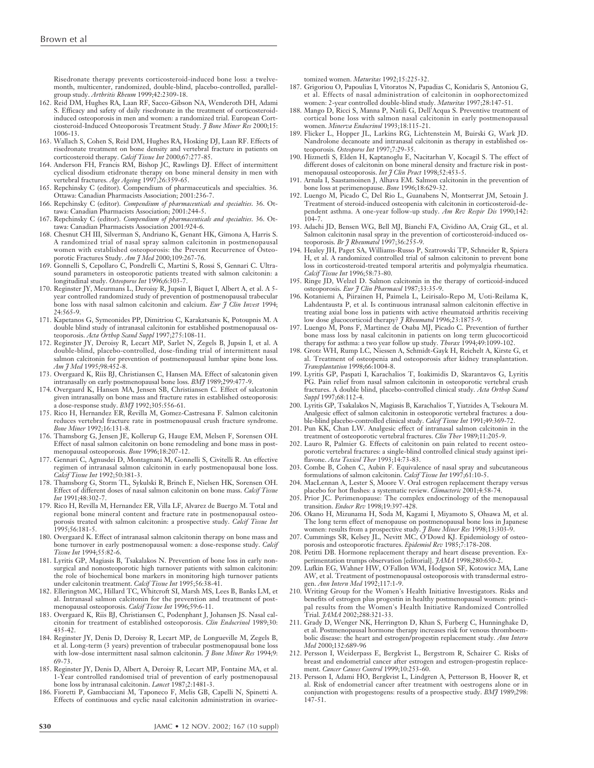Risedronate therapy prevents corticosteroid-induced bone loss: a twelvemonth, multicenter, randomized, double-blind, placebo-controlled, parallelgroup study. *Arthritis Rheum* 1999;42:2309-18.

- 162. Reid DM, Hughes RA, Laan RF, Sacco-Gibson NA, Wenderoth DH, Adami S. Efficacy and safety of daily risedronate in the treatment of corticosteroidinduced osteoporosis in men and women: a randomized trial. European Cortciosteroid-Induced Osteoporosis Treatment Study. *J Bone Miner Res* 2000;15: 1006-13.
- 163. Wallach S, Cohen S, Reid DM, Hughes RA, Hosking DJ, Laan RF. Effects of risedronate treatment on bone density and vertebral fracture in patients on corticosteroid therapy. *Calcif Tissue Int* 2000;67:277-85.
- 164. Anderson FH, Francis RM, Bishop JC, Rawlings DJ. Effect of intermittent cyclical disodium etidronate therapy on bone mineral density in men with vertebral fractures. *Age Agein*g 1997;26:359-65.
- 165. Repchinsky C (editor). Compendium of pharmaceuticals and specialties. 36. Ottawa: Canadian Pharmacists Association; 2001:236-7.
- 166. Repchinsky C (editor). *Compendium of pharmaceuticals and specialties*. 36. Ottawa: Canadian Pharmacists Association; 2001:244-5.
- 167. Repchinsky C (editor). *Compendium of pharmaceuticals and specialties*. 36. Ottawa: Canadian Pharmacists Association 2001:924-6.
- 168. Chesnut CH III, Silverman S, Andriano K, Genant HK, Gimona A, Harris S. A randomized trial of nasal spray salmon calcitonin in postmenopausal women with established osteoporosis: the Prevent Recurrence of Osteoporotic Fractures Study. *Am J Med* 2000;109:267-76.
- 169. Gonnelli S, Cepollaro C, Pondrelli C, Martini S, Rossi S, Gennari C. Ultrasound parameters in osteoporotic patients treated with salmon calcitonin: a longitudinal study. *Osteoporos Int* 1996;6:303-7.
- 170. Reginster JY, Meurmans L, Deroisy R, Jupsin I, Biquet I, Albert A, et al. A 5 year controlled randomized study of prevention of postmenopausal trabecular bone loss with nasal salmon calcitonin and calcium. *Eur J Clin Invest* 1994; 24:565-9.
- 171. Kapetanos G, Symeonides PP, Dimitriou C, Karakatsanis K, Potoupnis M. A double blind study of intranasal calcitonin for established postmenopausal osteoporosis. *Acta Orthop Scand Suppl* 1997;275:108-11.
- 172. Reginster JY, Deroisy R, Lecart MP, Sarlet N, Zegels B, Jupsin I, et al. A double-blind, placebo-controlled, dose-finding trial of intermittent nasal salmon calcitonin for prevention of postmenopausal lumbar spine bone loss. *Am J Med* 1995;98:452-8.
- 173. Overgaard K, Riis BJ, Christiansen C, Hansen MA. Effect of salcatonin given intranasally on early postmenopausal bone loss. *BMJ* 1989;299:477-9.
- 174. Overgaard K, Hansen MA, Jensen SB, Christiansen C. Effect of salcatonin given intranasally on bone mass and fracture rates in established osteoporosis: a dose-response study. *BMJ* 1992;305:556-61.
- 175. Rico H, Hernandez ER, Revilla M, Gomez-Castresana F. Salmon calcitonin reduces vertebral fracture rate in postmenopausal crush fracture syndrome. *Bone Miner* 1992;16:131-8.
- 176. Thamsborg G, Jensen JE, Kollerup G, Hauge EM, Melsen F, Sorensen OH. Effect of nasal salmon calcitonin on bone remodeling and bone mass in postmenopausal osteoporosis. *Bone* 1996;18:207-12.
- 177. Gennari C, Agnusdei D, Montagnani M, Gonnelli S, Civitelli R. An effective regimen of intranasal salmon calcitonin in early postmenopausal bone loss. *Calcif Tissue Int* 1992;50:381-3.
- 178. Thamsborg G, Storm TL, Sykulski R, Brinch E, Nielsen HK, Sorensen OH. Effect of different doses of nasal salmon calcitonin on bone mass. *Calcif Tissue Int* 1991;48:302-7.
- 179. Rico H, Revilla M, Hernandez ER, Villa LF, Alvarez de Buergo M. Total and regional bone mineral content and fracture rate in postmenopausal osteoporosis treated with salmon calcitonin: a prospective study. *Calcif Tissue Int* 1995;56:181-5.
- 180. Overgaard K. Effect of intranasal salmon calcitonin therapy on bone mass and bone turnover in early postmenopausal women: a dose-response study. *Calcif Tissue Int* 1994;55:82-6.
- 181. Lyritis GP, Magiasis B, Tsakalakos N. Prevention of bone loss in early nonsurgical and nonosteoporotic high turnover patients with salmon calcitonin: the role of biochemical bone markers in monitoring high turnover patients under calcitonin treatment. *Calcif Tissue Int* 1995;56:38-41.
- 182. Ellerington MC, Hillard TC, Whitcroft SI, Marsh MS, Lees B, Banks LM, et al. Intranasal salmon calcitonin for the prevention and treatment of postmenopausal osteoporosis. *Calcif Tissue Int* 1996;59:6-11.
- 183. Overgaard K, Riis BJ, Christiansen C, Podenphant J, Johansen JS. Nasal calcitonin for treatment of established osteoporosis. *Clin Endocrinol* 1989;30: 435-42.
- 184. Reginster JY, Denis D, Deroisy R, Lecart MP, de Longueville M, Zegels B, et al. Long-term (3 years) prevention of trabecular postmenopausal bone loss with low-dose intermittent nasal salmon calcitonin. *J Bone Miner Res* 1994;9: 69-73.
- 185. Reginster JY, Denis D, Albert A, Deroisy R, Lecart MP, Fontaine MA, et al. 1-Year controlled randomised trial of prevention of early postmenopausal bone loss by intranasal calcitonin. *Lancet* 1987;2:1481-3.
- 186. Fioretti P, Gambacciani M, Taponeco F, Melis GB, Capelli N, Spinetti A. Effects of continuous and cyclic nasal calcitonin administration in ovariec-

tomized women. *Maturitas* 1992;15:225-32.

- 187. Grigoriou O, Papoulias I, Vitoratos N, Papadias C, Konidaris S, Antoniou G, et al. Effects of nasal administration of calcitonin in oophorectomized women: 2-year controlled double-blind study. *Maturitas* 1997;28:147-51.
- 188. Mango D, Ricci S, Manna P, Natili G, Dell'Acqua S. Preventive treatment of cortical bone loss with salmon nasal calcitonin in early postmenopausal women. *Minerva Endocrinol* 1993;18:115-21.
- 189. Flicker L, Hopper JL, Larkins RG, Lichtenstein M, Buirski G, Wark JD. Nandrolone decanoate and intranasal calcitonin as therapy in established osteoporosis. *Osteoporos Int* 1997;7:29-35.
- 190. Hizmetli S, Elden H, Kaptanoglu E, Nacitarhan V, Kocagil S. The effect of different doses of calcitonin on bone mineral density and fracture risk in postmenopausal osteoporosis. *Int J Clin Pract* 1998;52:453-5.
- 191. Arnala I, Saastamoinen J, Alhava EM. Salmon calcitonin in the prevention of bone loss at perimenopause. *Bone* 1996;18:629-32.
- 192. Luengo M, Picado C, Del Rio L, Guanabens N, Montserrat JM, Setoain J. Treatment of steroid-induced osteopenia with calcitonin in corticosteroid-dependent asthma. A one-year follow-up study. *Am Rev Respir Dis* 1990;142: 104-7.
- 193. Adachi JD, Bensen WG, Bell MJ, Bianchi FA, Cividino AA, Craig GL, et al. Salmon calcitonin nasal spray in the prevention of corticosteroid-induced osteoporosis. *Br J Rheumatol* 1997;36:255-9.
- 194. Healey JH, Paget SA, Williams-Russo P, Szatrowski TP, Schneider R, Spiera H, et al. A randomized controlled trial of salmon calcitonin to prevent bone loss in corticosteroid-treated temporal arteritis and polymyalgia rheumatica. *Calcif Tissue Int* 1996;58:73-80.
- 195. Ringe JD, Welzel D. Salmon calcitonin in the therapy of corticoid-induced osteoporosis. *Eur J Clin Pharmacol* 1987;33:35-9.
- 196. Kotaniemi A, Piirainen H, Paimela L, Leirisalo-Repo M, Uoti-Reilama K, Lahdentausta P, et al. Is continuous intranasal salmon calcitonin effective in treating axial bone loss in patients with active rheumatoid arthritis receiving low dose glucocorticoid therapy? *J Rheumatol* 1996;23:1875-9.
- 197. Luengo M, Pons F, Martinez de Osaba MJ, Picado C. Prevention of further bone mass loss by nasal calcitonin in patients on long term glucocorticoid therapy for asthma: a two year follow up study. *Thorax* 1994;49:1099-102.
- 198. Grotz WH, Rump LC, Niessen A, Schmidt-Gayk H, Reichelt A, Kirste G, et al. Treatment of osteopenia and osteoporosis after kidney transplantation. *Transplantation* 1998;66:1004-8.
- 199. Lyritis GP, Paspati I, Karachalios T, Ioakimidis D, Skarantavos G, Lyritis PG. Pain relief from nasal salmon calcitonin in osteoporotic vertebral crush fractures. A double blind, placebo-controlled clinical study. *Acta Orthop Scand Suppl* 1997;68:112-4.
- 200. Lyritis GP, Tsakalakos N, Magiasis B, Karachalios T, Yiatzides A, Tsekoura M. Analgesic effect of salmon calcitonin in osteoporotic vertebral fractures: a double-blind placebo-controlled clinical study. *Calcif Tissue Int* 1991;49:369-72.
- 201. Pun KK, Chan LW. Analgesic effect of intranasal salmon calcitonin in the treatment of osteoporotic vertebral fractures. *Clin Ther* 1989;11:205-9.
- 202. Lauro R, Palmier G. Effects of calcitonin on pain related to recent osteoporotic vertebral fractures: a single-blind controlled clinical study against ipriflavone. *Acta Toxicol Ther* 1993;14:73-83.
- 203. Combe B, Cohen C, Aubin F. Equivalence of nasal spray and subcutaneous formulations of salmon calcitonin. *Calcif Tissue Int* 1997;61:10-5.
- 204. MacLennan A, Lester S, Moore V. Oral estrogen replacement therapy versus placebo for hot flushes: a systematic review. *Climacteric* 2001;4:58-74.
- 205. Prior JC. Perimenopause: The complex endocrinology of the menopausal transition. *Endocr Rev* 1998;19:397-428.
- 206. Okano H, Mizunama H, Soda M, Kagami I, Miyamoto S, Ohsawa M, et al. The long term effect of menopause on postmenopausal bone loss in Japanese women: results from a prospective study. *J Bone Miner Res* 1998;13:303-9.
- 207. Cummings SR, Kelsey JL, Nevitt MC, O'Dowd KJ. Epidemiology of osteoporosis and osteoporotic fractures. *Epidemiol Rev* 1985;7:178-208.
- 208. Petitti DB. Hormone replacement therapy and heart disease prevention. Experimentation trumps observation [editorial]. *JAMA* 1998;280:650-2.
- 209. Lufkin EG, Wahner HW, O'Fallon WM, Hodgson SF, Kotowicz MA, Lane AW, et al. Treatment of postmenopausal osteoporosis with transdermal estrogen. *Ann Intern Med* 1992;117:1-9.
- 210. Writing Group for the Women's Health Initiative Investigators. Risks and benefits of estrogen plus progestin in healthy postmenopausal women: principal results from the Women's Health Initiative Randomized Controlled Trial. *JAMA* 2002;288:321-33.
- 211. Grady D, Wenger NK, Herrington D, Khan S, Furberg C, Hunninghake D, et al. Postmenopausal hormone therapy increases risk for venous thromboembolic disease: the heart and estrogen/progestin replacement study. *Ann Intern Med* 2000;132:689-96
- 212. Persson I, Weiderpass E, Bergkvist L, Bergstrom R, Schairer C. Risks of breast and endometrial cancer after estrogen and estrogen-progestin replacement. *Cancer Causes Control* 1999;10:253-60.
- 213. Persson I, Adami HO, Bergkvist L, Lindgren A, Pettersson B, Hoover R, et al. Risk of endometrial cancer after treatment with oestrogens alone or in conjunction with progestogens: results of a prospective study. *BMJ* 1989;298: 147-51.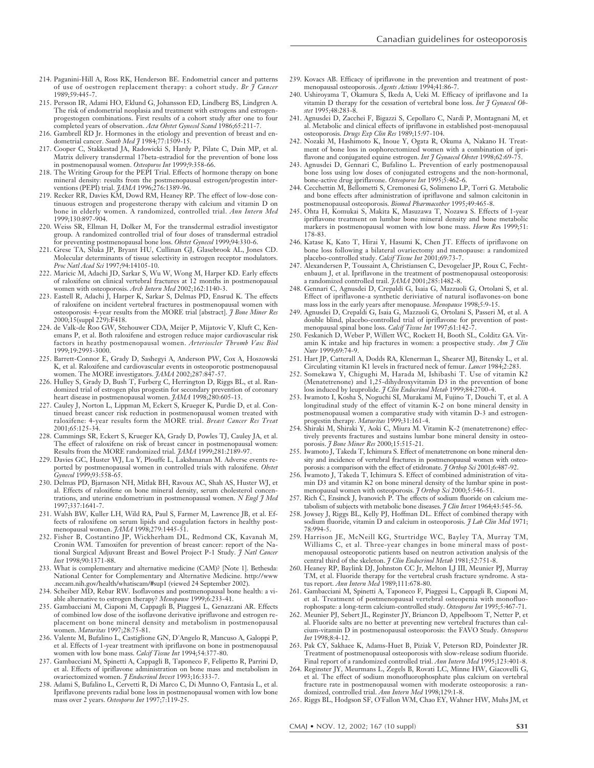- 214. Paganini-Hill A, Ross RK, Henderson BE. Endometrial cancer and patterns of use of oestrogen replacement therapy: a cohort study. *Br J Cancer* 1989;59:445-7.
- 215. Persson IR, Adami HO, Eklund G, Johansson ED, Lindberg BS, Lindgren A. The risk of endometrial neoplasia and treatment with estrogens and estrogenprogestogen combinations. First results of a cohort study after one to four completed years of observation. *Acta Obstet Gynecol Scand* 1986;65:211-7.
- 216. Gambrell RD Jr. Hormones in the etiology and prevention of breast and endometrial cancer. *South Med J* 1984;77:1509-15.
- 217. Cooper C, Stakkestad JA, Radowicki S, Hardy P, Pilate C, Dain MP, et al. Matrix delivery transdermal 17beta-estradiol for the prevention of bone loss in postmenopausal women. *Osteoporos Int* 1999;9:358-66.
- 218. The Writing Group for the PEPI Trial. Effects of hormone therapy on bone mineral density: results from the postmenopausal estrogen/progestin interventions (PEPI) trial. *JAMA* 1996;276:1389-96.
- 219. Recker RR, Davies KM, Dowd RM, Heaney RP. The effect of low-dose continuous estrogen and progesterone therapy with calcium and vitamin D on bone in elderly women. A randomized, controlled trial. *Ann Intern Med* 1999;130:897-904.
- 220. Weiss SR, Ellman H, Dolker M, For the transdermal estradiol investigator group. A randomized controlled trial of four doses of transdermal estradiol for preventing postmenopausal bone loss. *Obstet Gynecol* 1999;94:330-6.
- 221. Grese TA, Sluka JP, Bryant HU, Cullinan GJ, Glasebrook AL, Jones CD. Molecular determinants of tissue selectivity in estrogen receptor modulators. *Proc Natl Acad Sci* 1997;94:14105-10.
- 222. Maricic M, Adachi JD, Sarkar S, Wu W, Wong M, Harper KD. Early effects of raloxifene on clinical vertebral fractures at 12 months in postmenopausal women with osteoporosis. *Arch Intern Med* 2002;162:1140-3.
- 223. Eastell R, Adachi J, Harper K, Sarkar S, Delmas PD, Ensrud K. The effects of raloxifene on incident vertebral fractures in postmenopausal women with osteoporosis: 4-year results from the MORE trial [abstract]. *J Bone Miner Res* 2000;15(suppl 229):F418.
- 224. de Valk-de Roo GW, Stehouwer CDA, Meijer P, Mijatovic V, Kluft C, Kenemans P, et al. Both raloxifene and estrogen reduce major cardiovascular risk factors in heathy postmenopausal women. *Arterioscler Thromb Vasc Biol* 1999;19:2993-3000.
- 225. Barrett-Connor E, Grady D, Sashegyi A, Anderson PW, Cox A, Hoszowski K, et al. Raloxifene and cardiovascular events in osteoporotic postmenopausal women. The MORE investigators. *JAMA* 2002;287:847-57.
- 226. Hulley S, Grady D, Bush T, Furberg C, Herrington D, Riggs BL, et al. Randomized trial of estrogen plus progestin for secondary prevention of coronary heart disease in postmenopausal women. *JAMA* 1998;280:605-13.
- 227. Cauley J, Norton L, Lippman M, Eckert S, Krueger K, Purdie D, et al. Continued breast cancer risk reduction in postmenopausal women treated with raloxifene: 4-year results form the MORE trial. *Breast Cancer Res Treat* 2001;65:125-34.
- 228. Cummings SR, Eckert S, Krueger KA, Grady D, Powles TJ, Cauley JA, et al. The effect of raloxifene on risk of breast cancer in postmenopausal women: Results from the MORE randomized trial. *JAMA* 1999;281:2189-97.
- 229. Davies GC, Huster WJ, Lu Y, Plouffe L, Lakshmanan M. Adverse events reported by postmenopausal women in controlled trials with raloxifene. *Obstet Gynecol* 1999;93:558-65.
- 230. Delmas PD, Bjarnason NH, Mitlak BH, Ravoux AC, Shah AS, Huster WJ, et al. Effects of raloxifene on bone mineral density, serum cholesterol concentrations, and uterine endometrium in postmenopausal women. *N Engl J Med* 1997;337:1641-7.
- 231. Walsh BW, Kuller LH, Wild RA, Paul S, Farmer M, Lawrence JB, et al. Effects of raloxifene on serum lipids and coagulation factors in healthy postmenopausal women. *JAMA* 1998;279:1445-51.
- 232. Fisher B, Costantino JP, Wickherham DL, Redmond CK, Kavanah M, Cronin WM. Tamoxifen for prevention of breast cancer: report of the National Surgical Adjuvant Breast and Bowel Project P-1 Study. *J Natl Cancer Inst* 1998;90:1371-88.
- 233. What is complementary and alternative medicine (CAM)? [Note 1]. Bethesda: National Center for Complementary and Alternative Medicine. http://www .nccam.nih.gov/health/whatiscam/#sup1 (viewed 24 September 2002).
- 234. Scheiber MD, Rebar RW. Isoflavones and postmenopausal bone health: a viable alternative to estrogen therapy? *Menopause* 1999;6:233-41.
- 235. Gambacciani M, Ciaponi M, Cappagli B, Piaggesi L, Genazzani AR. Effects of combined low dose of the isoflavone derivative ipriflavone and estrogen replacement on bone mineral density and metabolism in postmenopausal women. *Maturitas* 1997;28:75-81.
- 236. Valente M, Bufalino L, Castiglione GN, D'Angelo R, Mancuso A, Galoppi P, et al. Effects of 1-year treatment with ipriflavone on bone in postmenopausal women with low bone mass. *Calcif Tissue Int* 1994;54:377-80.
- 237. Gambacciani M, Spinetti A, Cappagli B, Taponeco F, Felipetto R, Parrini D, et al. Effects of ipriflavone administration on bone mass and metabolism in ovariectomized women. *J Endocrinol Invest* 1993;16:333-7.
- 238. Adami S, Bufalino L, Cervetti R, Di Marco C, Di Munno O, Fantasia L, et al. Ipriflavone prevents radial bone loss in postmenopausal women with low bone mass over 2 years. *Osteoporos Int* 1997;7:119-25.

239. Kovacs AB. Efficacy of ipriflavone in the prevention and treatment of postmenopausal osteoporosis. *Agents Actions* 1994;41:86-7.

Canadian guidelines for osteoporosis

- 240. Ushiroyama T, Okamura S, Ikeda A, Ueki M. Efficacy of ipriflavone and 1a vitamin D therapy for the cessation of vertebral bone loss. *Int J Gynaecol Obstet* 1995;48:283-8.
- 241. Agnusdei D, Zacchei F, Bigazzi S, Cepollaro C, Nardi P, Montagnani M, et al. Metabolic and clinical effects of ipriflavone in established post-menopausal osteoporosis. *Drugs Exp Clin Res* 1989;15:97-104.
- 242. Nozaki M, Hashimoto K, Inoue Y, Ogata R, Okuma A, Nakano H. Treatment of bone loss in oophorectomized women with a combination of ipriflavone and conjugated equine estrogen. *Int J Gynaecol Obstet* 1998;62:69-75.
- 243. Agnusdei D, Gennari C, Bufalino L. Prevention of early postmenopausal bone loss using low doses of conjugated estrogens and the non-hormonal, bone-active drug ipriflavone. *Osteoporos Int* 1995;5:462-6.
- 244. Cecchettin M, Bellometti S, Cremonesi G, Solimeno LP, Torri G. Metabolic and bone effects after administration of ipriflavone and salmon calcitonin in postmenopausal osteoporosis. *Biomed Pharmacother* 1995;49:465-8.
- 245. Ohta H, Komukai S, Makita K, Masuzawa T, Nozawa S. Effects of 1-year ipriflavone treatment on lumbar bone mineral density and bone metabolic markers in postmenopausal women with low bone mass. *Horm Re*s 1999;51: 178-83.
- 246. Katase K, Kato T, Hirai Y, Hasumi K, Chen JT. Effects of ipriflavone on bone loss following a bilateral ovariectomy and menopause: a randomized placebo-controlled study. *Calcif Tissue Int* 2001;69:73-7.
- 247. Alexandersen P, Toussaint A, Christiansen C, Devogelaer JP, Roux C, Fechtenbaum J, et al. Ipriflavone in the treatment of postmenopausal osteoporosis: a randomized controlled trail. *JAMA* 2001;285:1482-8.
- 248. Gennari C, Agnusdei D, Crepaldi G, Isaia G, Mazzuoli G, Ortolani S, et al. Effect of ipriflavone-a synthetic deriviative of natural isoflavones-on bone mass loss in the early years after menopause. *Menopause* 1998;5:9-15.
- 249. Agnusdei D, Crepaldi G, Isaia G, Mazzuoli G, Ortolani S, Passeri M, et al. A double blind, placebo-controlled trial of ipriflavone for prevention of post-
- menopausal spinal bone loss. *Calcif Tissue Int* 1997;61:142-7. 250. Feskanich D, Weber P, Willett WC, Rockett H, Booth SL, Colditz GA. Vitamin K intake and hip fractures in women: a prospective study. *Am J Clin Nutr* 1999;69:74-9.
- 251. Hart JP, Catterall A, Dodds RA, Klenerman L, Shearer MJ, Bitensky L, et al. Circulating vitamin K1 levels in fractured neck of femur. *Lancet* 1984;2:283.
- 252. Somekawa Y, Chigughi M, Harada M, Ishibashi T. Use of vitamin K2 (Menatetrenone) and 1,25-dihydroxyvitamin D3 in the prevention of bone loss induced by leuprolide. *J Clin Endocrinol Metab* 1999;84:2700-4.
- 253. Iwamoto I, Kosha S, Noguchi SI, Murakami M, Fujino T, Douchi T, et al. A longitudinal study of the effect of vitamin K-2 on bone mineral density in postmenopausal women a comparative study with vitamin D-3 and estrogenprogestin therapy. *Maturitas* 1999;31:161-4.
- 254. Shiraki M, Shiraki Y, Aoki C, Miura M. Vitamin K-2 (menatetrenone) effectively prevents fractures and sustains lumbar bone mineral density in osteoporosis. *J Bone Miner Res* 2000;15:515-21.
- 255. Iwamoto J, Takeda T, Ichimura S. Effect of menatetrenone on bone mineral density and incidence of vertebral fractures in postmenopausal women with osteoporosis: a comparison with the effect of etidronate. *J Orthop Sci* 2001;6:487-92.
- 256. Iwamoto J, Takeda T, Ichimura S. Effect of combined administration of vitamin D3 and vitamin K2 on bone mineral density of the lumbar spine in postmenopausal women with osteoporosis. *J Orthop Sci* 2000;5:546-51.
- 257. Rich C, Ensinck J, Ivanovich P. The effects of sodium fluoride on calcium metabolism of subjects with metabolic bone diseases. *J Clin Invest* 1964;43:545-56.
- 258. Jowsey J, Riggs BL, Kelly PJ, Hoffman DL. Effect of combined therapy with sodium fluoride, vitamin D and calcium in osteoporosis. *J Lab Clin Med* 1971; 78:994-5.
- 259. Harrison JE, McNeill KG, Sturtridge WC, Bayley TA, Murray TM, Williams C, et al. Three-year changes in bone mineral mass of postmenopausal osteoporotic patients based on neutron activation analysis of the central third of the skeleton. *J Clin Endocrinol Metab* 1981;52:751-8.
- 260. Heaney RP, Baylink DJ, Johnston CC Jr, Melton LJ III, Meunier PJ, Murray TM, et al. Fluoride therapy for the vertebral crush fracture syndrome. A status report. *Ann Intern Med* 1989;111:678-80.
- 261. Gambacciani M, Spinetti A, Taponeco F, Piaggesi L, Cappagli B, Ciaponi M, et al. Treatment of postmenopausal vertebral osteopenia with monofluorophospate: a long-term calcium-controlled study. *Osteoporos Int* 1995;5:467-71.
- 262. Meunier PJ, Sebert JL, Reginster JY, Briancon D, Appelboom T, Netter P, et al. Fluoride salts are no better at preventing new vertebral fractures than calcium-vitamin D in postmenopausal osteoporosis: the FAVO Study. *Osteoporos Int* 1998;8:4-12.
- 263. Pak CY, Sakhaee K, Adams-Huet B, Piziak V, Peterson RD, Poindexter JR. Treatment of postmenopausal osteoporosis with slow-release sodium fluoride. Final report of a randomized controlled trial. *Ann Intern Med* 1995;123:401-8.
- 264. Reginster JY, Meurmans L, Zegels B, Rovati LC, Minne HW, Giacovelli G, et al. The effect of sodium monofluorophosphate plus calcium on vertebral fracture rate in postmenopausal women with moderate osteoporosis: a randomized, controlled trial. *Ann Intern Med* 1998;129:1-8.
- 265. Riggs BL, Hodgson SF, O'Fallon WM, Chao EY, Wahner HW, Muhs JM, et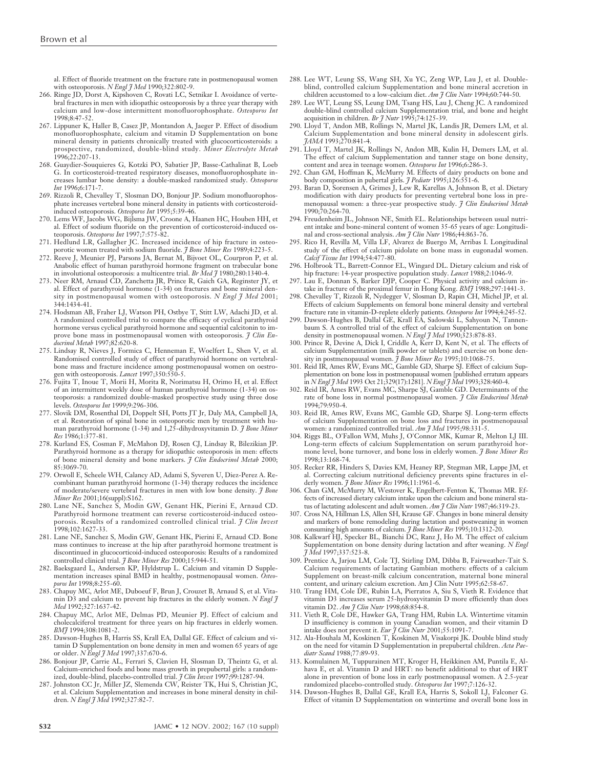al. Effect of fluoride treatment on the fracture rate in postmenopausal women with osteoporosis. *N Engl J Med* 1990;322:802-9.

- 266. Ringe JD, Dorst A, Kipshoven C, Rovati LC, Setnikar I. Avoidance of vertebral fractures in men with idiopathic osteoporosis by a three year therapy with calcium and low-dose intermittent monofluorophosphate. *Osteoporos Int* 1998;8:47-52.
- 267. Lippuner K, Haller B, Casez JP, Montandon A, Jaeger P. Effect of disodium monofluorophosphate, calcium and vitamin D Supplementation on bone mineral density in patients chronically treated with glucocorticosteroids: a prospective, randomized, double-blind study. *Miner Electrolyte Metab* 1996;22:207-13.
- 268. Guaydier-Souquieres G, Kotzki PO, Sabatier JP, Basse-Cathalinat B, Loeb G. In corticosteroid-treated respiratory diseases, monofluorophosphate increases lumbar bone density: a double-masked randomized study. *Osteoporos Int* 1996;6:171-7.
- 269. Rizzoli R, Chevalley T, Slosman DO, Bonjour JP. Sodium monofluorophosphate increases vertebral bone mineral density in patients with corticosteroidinduced osteoporosis. *Osteoporos Int* 1995;5:39-46.
- 270. Lems WF, Jacobs WG, Bijlsma JW, Croone A, Haanen HC, Houben HH, et al. Effect of sodium fluoride on the prevention of corticosteroid-induced osteoporosis. *Osteoporos Int* 1997;7:575-82.
- 271. Hedlund LR, Gallagher JC. Increased incidence of hip fracture in osteoporotic women treated with sodium fluoride. *J Bone Miner Res* 1989;4:223-5.
- 272. Reeve J, Meunier PJ, Parsons JA, Bernat M, Bijvoet OL, Courpron P, et al. Anabolic effect of human parathyroid hormone fragment on trabecular bone in involutional osteoporosis: a multicentre trial. *Br Med J* 1980;280:1340-4.
- 273. Neer RM, Arnaud CD, Zanchetta JR, Prince R, Gaich GA, Reginster JY, et al. Effect of parathyroid hormone (1-34) on fractures and bone mineral density in postmenopausal women with osteoporosis. *N Engl J Med* 2001; 344:1434-41.
- 274. Hodsman AB, Fraher LJ, Watson PH, Ostbye T, Stitt LW, Adachi JD, et al. A randomized controlled trial to compare the efficacy of cyclical parathyroid hormone versus cyclical parathyroid hormone and sequential calcitonin to improve bone mass in postmenopausal women with osteoporosis. *J Clin Endocrinol Metab* 1997;82:620-8.
- 275. Lindsay R, Nieves J, Formica C, Henneman E, Woelfert L, Shen V, et al. Randomised controlled study of effect of parathyroid hormone on vertebralbone mass and fracture incidence among postmenopausal women on oestrogen with osteoporosis. *Lancet* 1997;350:550-5.
- 276. Fujita T, Inoue T, Morii H, Morita R, Norimatsu H, Orimo H, et al. Effect of an intermittent weekly dose of human parathyroid hormone (1-34) on osteoporosis: a randomized double-masked prospective study using three dose levels. *Osteoporos Int* 1999;9:296-306.
- 277. Slovik DM, Rosenthal DI, Doppelt SH, Potts JT Jr, Daly MA, Campbell JA, et al. Restoration of spinal bone in osteoporotic men by treatment with human parathyroid hormone (1-34) and 1,25-dihydroxyvitamin D. *J Bone Miner Res* 1986;1:377-81.
- 278. Kurland ES, Cosman F, McMahon DJ, Rosen CJ, Lindsay R, Bilezikian JP. Parathyroid hormone as a therapy for idiopathic osteoporosis in men: effects of bone mineral density and bone markers. *J Clin Endocrinol Metab* 2000; 85:3069-70.
- 279. Orwoll E, Scheele WH, Calancy AD, Adami S, Syveren U, Diez-Perez A. Recombinant human parathyroid hormone (1-34) therapy reduces the incidence of moderate/severe vertebral fractures in men with low bone density. *J Bone Miner Res* 2001;16(suppl):S162.
- 280. Lane NE, Sanchez S, Modin GW, Genant HK, Pierini E, Arnaud CD. Parathyroid hormone treatment can reverse corticosteroid-induced osteoporosis. Results of a randomized controlled clinical trial. *J Clin Invest* 1998;102:1627-33.
- 281. Lane NE, Sanchez S, Modin GW, Genant HK, Pierini E, Arnaud CD. Bone mass continues to increase at the hip after parathyroid hormone treatment is discontinued in glucocorticoid-induced osteoporosis: Results of a randomized controlled clinical trial. *J Bone Miner Res* 2000;15:944-51.
- 282. Baeksgaard L, Andersen KP, Hyldstrup L. Calcium and vitamin D Supplementation increases spinal BMD in healthy, postmenopausal women. *Osteoporos Int* 1998;8:255-60.
- 283. Chapuy MC, Arlot ME, Duboeuf F, Brun J, Crouzet B, Arnaud S, et al. Vitamin D3 and calcium to prevent hip fractures in the elderly women. *N Engl J Med* 1992;327:1637-42.
- 284. Chapuy MC, Arlot ME, Delmas PD, Meunier PJ. Effect of calcium and cholecalciferol treatment for three years on hip fractures in elderly women. *BMJ* 1994;308:1081-2.
- 285. Dawson-Hughes B, Harris SS, Krall EA, Dallal GE. Effect of calcium and vitamin D Supplementation on bone density in men and women 65 years of age or older. *N Engl J Med* 1997;337:670-6.
- 286. Bonjour JP, Carrie AL, Ferrari S, Clavien H, Slosman D, Theintz G, et al. Calcium-enriched foods and bone mass growth in prepubertal girls: a random-
- ized, double-blind, placebo-controlled trial. *J Clin Invest* 1997;99:1287-94. 287. Johnston CC Jr, Miller JZ, Slemenda CW, Reister TK, Hui S, Christian JC, et al. Calcium Supplementation and increases in bone mineral density in children. *N Engl J Med* 1992;327:82-7.
- 288. Lee WT, Leung SS, Wang SH, Xu YC, Zeng WP, Lau J, et al. Doubleblind, controlled calcium Supplementation and bone mineral accretion in children accustomed to a low-calcium diet. *Am J Clin Nutr* 1994;60:744-50.
- 289. Lee WT, Leung SS, Leung DM, Tsang HS, Lau J, Cheng JC. A randomized double-blind controlled calcium Supplementation trial, and bone and height acquisition in children. *Br J Nutr* 1995;74:125-39.
- 290. Lloyd T, Andon MB, Rollings N, Martel JK, Landis JR, Demers LM, et al. Calcium Supplementation and bone mineral density in adolescent girls. *JAMA* 1993;270:841-4.
- 291. Lloyd T, Martel JK, Rollings N, Andon MB, Kulin H, Demers LM, et al. The effect of calcium Supplementation and tanner stage on bone density, content and area in teenage women. *Osteoporos Int* 1996;6:286-3. 292. Chan GM, Hoffman K, McMurry M. Effects of dairy products on bone and
- body composition in pubertal girls. *J Pediatr* 1995;126:551-6.
- 293. Baran D, Sorensen A, Grimes J, Lew R, Karellas A, Johnson B, et al. Dietary modification with dairy products for preventing vertebral bone loss in premenopausal women: a three-year prospective study. *J Clin Endocrinol Metab* 1990;70:264-70.
- 294. Freudenheim JL, Johnson NE, Smith EL. Relationships between usual nutrient intake and bone-mineral content of women 35-65 years of age: Longitudinal and cross-sectional analysis. *Am J Clin Nutr* 1986;44:863-76.
- 295. Rico H, Revilla M, Villa LF, Alvarez de Buergo M, Arribas I. Longitudinal study of the effect of calcium pidolate on bone mass in eugonadal women. *Calcif Tissue Int* 1994;54:477-80.
- 296. Holbrook TL, Barrett-Connor EL, Wingard DL. Dietary calcium and risk of hip fracture: 14-year prospective population study. *Lancet* 1988;2:1046-9.
- 297. Lau E, Donnan S, Barker DJP, Cooper C. Physical activity and calcium intake in fracture of the proximal femur in Hong Kong. *BMJ* 1988;297:1441-3.
- 298. Chevalley T, Rizzoli R, Nydegger V, Slosman D, Rapin CH, Michel JP, et al. Effects of calcium Supplements on femoral bone mineral density and vertebral fracture rate in vitamin-D-replete elderly patients. *Osteoporos Int* 1994;4:245-52.
- 299. Dawson-Hughes B, Dallal GE, Krall EA, Sadowski L, Sahyoun N, Tannenbaum S. A controlled trial of the effect of calcium Supplementation on bone density in postmenopausal women. *N Engl J Med* 1990;323:878-83.
- 300. Prince R, Devine A, Dick I, Criddle A, Kerr D, Kent N, et al. The effects of calcium Supplementation (milk powder or tablets) and exercise on bone density in postmenopausal women. *J Bone Miner Res* 1995;10:1068-75.
- 301. Reid IR, Ames RW, Evans MC, Gamble GD, Sharpe SJ. Effect of calcium Supplementation on bone loss in postmenopausal women [published erratum appears in *N Engl J Med* 1993 Oct 21;329(17):1281]. *N Engl J Med* 1993;328:460-4.
- 302. Reid IR, Ames RW, Evans MC, Sharpe SJ, Gamble GD. Determinants of the rate of bone loss in normal postmenopausal women. *J Clin Endocrinol Metab* 1994;79:950-4.
- 303. Reid IR, Ames RW, Evans MC, Gamble GD, Sharpe SJ. Long-term effects of calcium Supplementation on bone loss and fractures in postmenopausal women: a randomized controlled trial. *Am J Med* 1995;98:331-5.
- 304. Riggs BL, O'Fallon WM, Muhs J, O'Connor MK, Kumar R, Melton LJ III. Long-term effects of calcium Supplementation on serum parathyroid hormone level, bone turnover, and bone loss in elderly women. *J Bone Miner Res* 1998;13:168-74.
- 305. Recker RR, Hinders S, Davies KM, Heaney RP, Stegman MR, Lappe JM, et al. Correcting calcium nutritional deficiency prevents spine fractures in elderly women. *J Bone Miner Res* 1996;11:1961-6.
- 306. Chan GM, McMurry M, Westover K, Engelbert-Fenton K, Thomas MR. Effects of increased dietary calcium intake upon the calcium and bone mineral status of lactating adolescent and adult women. *Am J Clin Nutr* 1987;46:319-23.
- 307. Cross NA, Hillman LS, Allen SH, Krause GF. Changes in bone mineral density and markers of bone remodeling during lactation and postweaning in women consuming high amounts of calcium. *J Bone Miner Res* 1995;10:1312-20.
- 308. Kalkwarf HJ, Specker BL, Bianchi DC, Ranz J, Ho M. The effect of calcium Supplementation on bone density during lactation and after weaning. *N Engl J Med* 1997;337:523-8.
- 309. Prentice A, Jarjou LM, Cole TJ, Stirling DM, Dibba B, Fairweather-Tait S. Calcium requirements of lactating Gambian mothers: effects of a calcium Supplement on breast-milk calcium concentration, maternal bone mineral content, and urinary calcium excretion. Am J Clin Nutr 1995;62:58-67.
- 310. Trang HM, Cole DE, Rubin LA, Pierratos A, Siu S, Vieth R. Evidence that vitamin D3 increases serum 25-hydroxyvitamin D more efficiently than does vitamin D2. *Am J Clin Nutr* 1998;68:854-8.
- 311. Vieth R, Cole DE, Hawker GA, Trang HM, Rubin LA. Wintertime vitamin D insufficiency is common in young Canadian women, and their vitamin D
- intake does not prevent it. *Eur J Clin Nutr* 2001;55:1091-7. 312. Ala-Houhala M, Koskinen T, Koskinen M, Visakorpi JK. Double blind study on the need for vitamin D Supplementation in prepubertal children. *Acta Paediatr Scand* 1988;77:89-93.
- 313. Komulainen M, Tuppurainen MT, Kroger H, Heikkinen AM, Puntila E, Alhava E, et al. Vitamin D and HRT: no benefit additional to that of HRT alone in prevention of bone loss in early postmenopausal women. A 2.5-year randomized placebo-controlled study. *Osteoporos Int* 1997;7:126-32.
- 314. Dawson-Hughes B, Dallal GE, Krall EA, Harris S, Sokoll LJ, Falconer G. Effect of vitamin D Supplementation on wintertime and overall bone loss in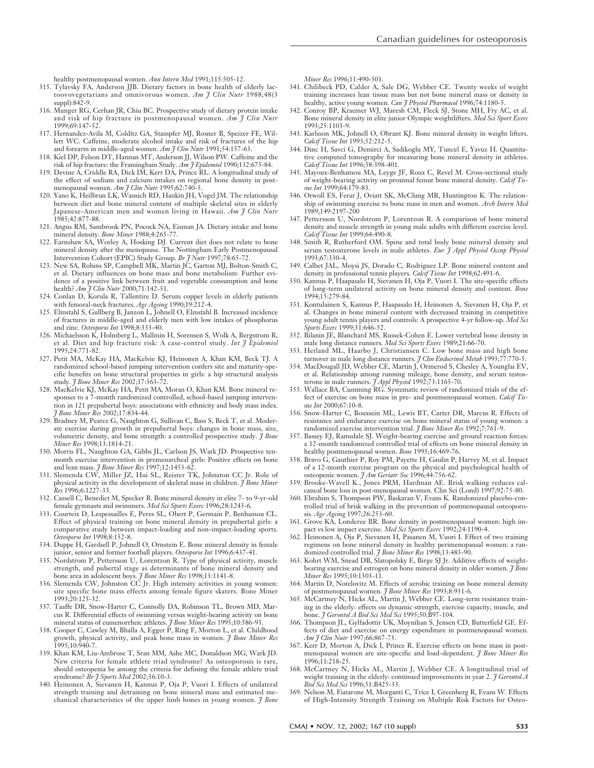- 315. Tylavsky FA, Anderson JJB. Dietary factors in bone health of elderly lactoovovegetarians and omnivorous women. *Am J Clin Nutr* 1988;48(3 suppl):842-9.
- 316. Munger RG, Cerhan JR, Chiu BC. Prospective study of dietary protein intake and risk of hip fracture in postmenopausal women. *Am J Clin Nutr* 1999;69:147-52.
- 317. Hernandez-Avila M, Colditz GA, Stampfer MJ, Rosner B, Speizer FE, Willett WC. Caffeine, moderate alcohol intake and risk of fractures of the hip and forearm in middle-aged women. *Am J Clin Nutr* 1991;54:157-63.
- 318. Kiel DP, Felson DT, Hannan MT, Anderson JJ, Wilson PW. Caffeine and the
- risk of hip fracture: the Framingham Study. *Am J Epidemiol* 1990;132:675-84. 319. Devine A, Criddle RA, Dick IM, Kerr DA, Prince RL. A longitudinal study of the effect of sodium and calcium intakes on regional bone density in post-
- menopausal women. *Am J Clin Nutr* 1995;62:740-5. 320. Yano K, Heilbrun LK, Wasnich RD, Hankin JH, Vogel JM. The relationship between diet and bone mineral content of multiple skeletal sites in elderly Japanese-American men and women living in Hawaii. *Am J Clin Nutr* 1985;42:877-88.
- 321. Angus RM, Sambrook PN, Pocock NA, Eisman JA. Dietary intake and bone mineral density. *Bone Miner* 1988;4:265-77.
- 322. Earnshaw SA, Worley A, Hosking DJ. Current diet does not relate to bone mineral density after the menopause. The Nottingham Early Postmenopausal Intervention Cohort (EPIC) Study Group. *Br J Nutr* 1997;78:65-72. 323. New SA, Robins SP, Campbell MK, Martin JC, Garton MJ, Bolton-Smith C,
- et al. Dietary influences on bone mass and bone metabolism: Further evidence of a positive link between fruit and vegetable consumption and bone health? *Am J Clin Nutr* 2000;71:142-51.
- 324. Conlan D, Korula R, Tallentire D. Serum copper levels in elderly patients
- with femoral-neck fractures. *Age Ageing* 1990;19:212-4. 325. Elmstahl S, Gullberg B, Janzon L, Johnell O, Elmstahl B. Increased incidence of fractures in middle-aged and elderly men with low intakes of phosphorus and zinc. *Osteoporos Int* 1998;8:333-40.
- 326. Michaelsson K, Holmberg L, Mallmin H, Sorensen S, Wolk A, Bergstrom R, et al. Diet and hip fracture risk: A case-control study. *Int J Epidemiol* 1995;24:771-82.
- 327. Petit MA, McKay HA, MacKelvie KJ, Heinonen A, Khan KM, Beck TJ. A randomized school-based jumping intervention confers site and maturity-specific benefits on bone structural properties in girls: a hip structural analysis study. *J Bone Miner Res* 2002;17:363-72.
- 328. MacKelvie KJ, McKay HA, Petit MA, Moran O, Khan KM. Bone mineral responses to a 7-month randomized controlled, school-based jumping intervention in 121 prepubertal boys: associations with ethnicity and body mass index. *J Bone Miner Res* 2002;17:834-44.
- 329. Bradney M, Pearce G, Naughton G, Sullivan C, Bass S, Beck T, et al. Moderate exercise during growth in prepubertal boys: changes in bone mass, size, volumetric density, and bone strength: a controlled prospective study. *J Bone Miner Res* 1998;13:1814-21.
- 330. Morris FL, Naughton GA, Gibbs JL, Carlson JS, Wark JD. Prospective tenmonth exercise intervention in premenarcheal girls: Positive effects on bone
- and lean mass. *J Bone Miner Res* 1997;12:1453-62. 331. Slemenda CW, Miller JZ, Hui SL, Reister TK, Johnston CC Jr. Role of physical activity in the development of skeletal mass in children. *J Bone Miner Res* 1996;6:1227-33.
- 332. Cassell C, Benedict M, Specker B. Bone mineral density in elite 7- to 9-yr-old female gymnasts and swimmers. *Med Sci Sports Exerc* 1996;28:1243-6.
- 333. Courteix D, Lespessailles E, Peres SL, Obert P, Germain P, Benhamou CL. Effect of physical training on bone mineral density in prepubertal girls: a comparative study between impact-loading and non-impact-loading sports. *Osteoporos Int* 1998;8:152-8.
- 334. Duppe H, Gardsell P, Johnell O, Ornstein E. Bone mineral density in female junior, senior and former football players. *Osteoporos Int* 1996;6:437-41.
- 335. Nordstrom P, Pettersson U, Lorentzon R. Type of physical activity, muscle strength, and pubertal stage as determinants of bone mineral density and bone area in adolescent boys. *J Bone Miner Res* 1998;13:1141-8.
- 336. Slemenda CW, Johnston CC Jr. High intensity activities in young women: site specific bone mass effects among female figure skaters. Bone Miner 1993;20:125-32.
- 337. Taaffe DR, Snow-Harter C, Connolly DA, Robinson TL, Brown MD, Marcus R. Differential effects of swimming versus weight-bearing activity on bone mineral status of eumenorrheic athletes. *J Bone Miner Res* 1995;10:586-93.
- 338. Cooper C, Cawley M, Bhalla A, Egger P, Ring F, Morton L, et al. Childhood growth, physical activity, and peak bone mass in women. *J Bone Miner Res* 1995;10:940-7.
- 339. Khan KM, Liu-Ambrose T, Sran MM, Ashe MC, Donaldson MG, Wark JD. New criteria for female athlete triad syndrome? As osteoporosis is rare, should osteopenia be among the criteria for defining the female athlete triad
- syndrome? *Br J Sports Med* 2002;36:10-3. 340. Heinonen A, Sievanen H, Kannus P, Oja P, Vuori I. Effects of unilateral strength training and detraining on bone mineral mass and estimated mechanical characteristics of the upper limb bones in young women. *J Bone*

*Miner Res* 1996;11:490-501.

- 341. Chilibeck PD, Calder A, Sale DG, Webber CE. Twenty weeks of weight training increases lean tissue mass but not bone mineral mass or density in healthy, active young women. *Can J Physiol Pharmacol* 1996;74:1180-5.
- 342. Conroy BP, Kraemer WJ, Maresh CM, Fleck SJ, Stone MH, Fry AC, et al. Bone mineral density in elite junior Olympic weightlifters. *Med Sci Sport Exerc* 1993;25:1103-9.
- 343. Karlsson MK, Johnell O, Obrant KJ. Bone mineral density in weight lifters. *Calcif Tissue Int* 1993;52:212-5.
- 344. Dinc H, Savci G, Demirci A, Sadikoglu MY, Tuncel E, Yavuz H. Quantitative computed tomography for measuring bone mineral density in athletes. *Calcif Tissue Int* 1996;58:398-401.
- 345. Mayoux-Benhamou MA, Leyge JF, Roux C, Revel M. Cross-sectional study of weight-bearing activity on proximal femur bone mineral density. *Calcif Tissue Int* 1999;64:179-83.
- 346. Orwoll ES, Ferar J, Oviatt SK, McClung MR, Huntington K. The relationship of swimming exercise to bone mass in men and women. *Arch Intern Med* 1989;149:2197-200
- 347. Pettersson U, Nordstrom P, Lorentzon R. A comparison of bone mineral density and muscle strength in young male adults with different exercise level. *Calcif Tissue Int* 1999;64:490-8.
- 348. Smith R, Rutherford OM. Spine and total body bone mineral density and serum testosterone levels in male athletes. *Eur J Appl Physiol Occup Physiol* 1993;67:330-4.
- 349. Calbet JAL, Moysi JS, Dorado C, Rodriguez LP. Bone mineral content and density in professional tennis players. *Calcif Tissue Int* 1998;62:491-6.
- 350. Kannus P, Haapasalo H, Sievanen H, Oja P, Vuori I. The site-specific effects of long-term unilateral activity on bone mineral density and content. *Bone* 1994;15:279-84.
- 351. Kontulainen S, Kannus P, Haapasalo H, Heinonen A, Sievanen H, Oja P, et al. Changes in bone mineral content with decreased training in competitive young adult tennis players and controls: A prospective 4-yr follow-up. *Med Sci Sports Exerc* 1999;31:646-52.
- 352. Bilanin JE, Blanchard MS, Russek-Cohen E. Lower vertebral bone density in male long distance runners. *Med Sci Sports Exerc* 1989;21:66-70.
- 353. Hetland ML, Haarbo J, Christiansen C. Low bone mass and high bone turnover in male long distance runners. *J Clin Endocrinol Metab* 1993;77:770-5.
- 354. MacDougall JD, Webber CE, Martin J, Ormerod S, Chesley A, Younglai EV, et al. Relationship among running mileage, bone density, and serum testosterone in male runners. *J Appl Physiol* 1992;73:1165-70.
- 355. Wallace BA, Cumming RG. Systematic review of randomized trials of the effect of exercise on bone mass in pre- and postmenopausal women. *Calcif Tissue Int* 2000;67:10-8.
- 356. Snow-Harter C, Bouxsein ML, Lewis BT, Carter DR, Marcus R. Effects of resistance and endurance exercise on bone mineral status of young women: a randomized exercise intervention trial. *J Bone Miner Res* 1992;7:761-9.
- 357. Bassey EJ, Ramsdale SJ. Weight-bearing exercise and ground reaction forces: a 12-month randomized controlled trial of effects on bone mineral density in healthy postmenopausal women. *Bone* 1995;16:469-76.
- 358. Bravo G, Gauthier P, Roy PM, Payette H, Gaulin P, Harvey M, et al. Impact of a 12-month exercise program on the physical and psychological health of osteopenic women. *J Am Geriatr Soc* 1996;44:756-62.
- 359. Brooke-Wavell K., Jones PRM, Hardman AE. Brisk walking reduces calcaneal bone loss in post-menopausal women. Clin Sci (Lond) 1997;92:75-80.
- 360. Ebrahim S, Thompson PW, Baskaran V, Evans K. Randomized placebo-controlled trial of brisk walking in the prevention of postmenopausal osteoporosis. *Age Ageing* 1997;26:253-60.
- 361. Grove KA, Londeree BR. Bone density in postmenopausal women: high impact vs low impact exercise. *Med Sci Sports Exerc* 1992;24:1190-4.
- 362. Heinonen A, Oja P, Sievanen H, Pasanen M, Vuori I. Effect of two training regimens on bone mineral density in healthy perimenopausal women: a randomized controlled trial. *J Bone Miner Res* 1998;13:483-90.
- 363. Kohrt WM, Snead DB, Slatopolsky E, Birge SJ Jr. Additive effects of weightbearing exercise and estrogen on bone mineral density in older women. *J Bone Miner Res* 1995;10:1303-11.
- 364. Martin D, Notelovitz M. Effects of aerobic training on bone mineral density of postmenopausal women. *J Bone Miner Res* 1993;8:931-6.
- 365. McCartney N, Hicks AL, Martin J, Webber CE. Long-term resistance training in the elderly: effects on dynamic strength, exercise capacity, muscle, and bone. *J Gerontol A Biol Sci Med Sci* 1995;50:B97-104.
- 366. Thompson JL, Gylfadottir UK, Moynihan S, Jensen CD, Butterfield GE. Effects of diet and exercise on energy expenditure in postmenopausal women. *Am J Clin Nutr* 1997;66:867-73.
- 367. Kerr D, Morton A, Dick I, Prince R. Exercise effects on bone mass in postmenopausal women are site-specific and load-dependent. *J Bone Miner Res* 1996;11:218-25.
- 368. McCartney N, Hicks AL, Martin J, Webber CE. A longitudinal trial of weight training in the elderly: continued improvements in year 2. *J Gerontol A Biol Sci Med Sci* 1996;51:B425-33.
- 369. Nelson M, Fiatarone M, Morganti C, Trice I, Greenberg R, Evans W. Effects of High-Intensity Strength Training on Multiple Risk Factors for Osteo-